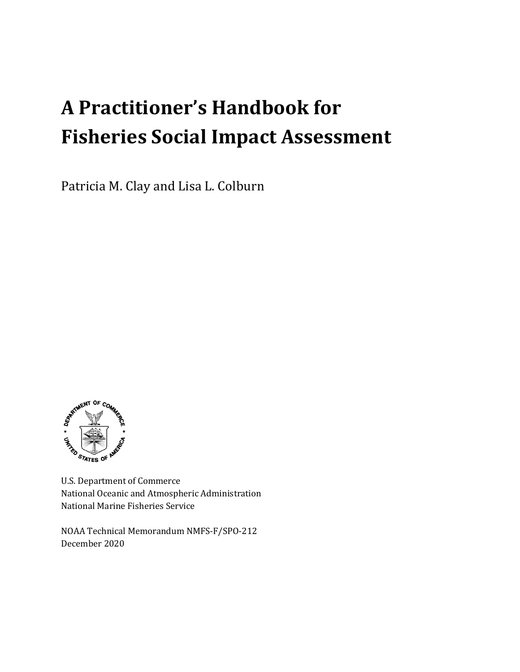# **A Practitioner's Handbook for Fisheries Social Impact Assessment**

Patricia M. Clay and Lisa L. Colburn



U.S. Department of Commerce National Oceanic and Atmospheric Administration National Marine Fisheries Service

NOAA Technical Memorandum NMFS-F/SPO-212 December 2020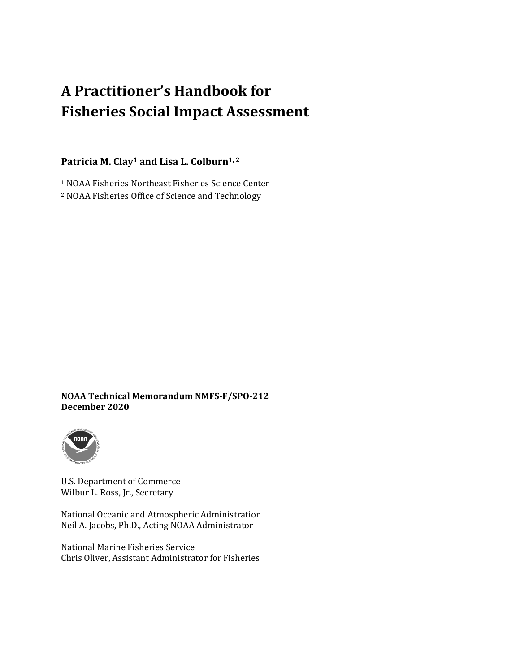## **A Practitioner's Handbook for Fisheries Social Impact Assessment**

#### Patricia M. Clay<sup>1</sup> and Lisa L. Colburn<sup>1, 2</sup>

<sup>1</sup> NOAA Fisheries Northeast Fisheries Science Center <sup>2</sup> NOAA Fisheries Office of Science and Technology

#### **NOAA Technical Memorandum NMFS-F/SPO-212 December 2020**



U.S. Department of Commerce Wilbur L. Ross, Jr., Secretary

National Oceanic and Atmospheric Administration Neil A. Jacobs, Ph.D., Acting NOAA Administrator

National Marine Fisheries Service Chris Oliver, Assistant Administrator for Fisheries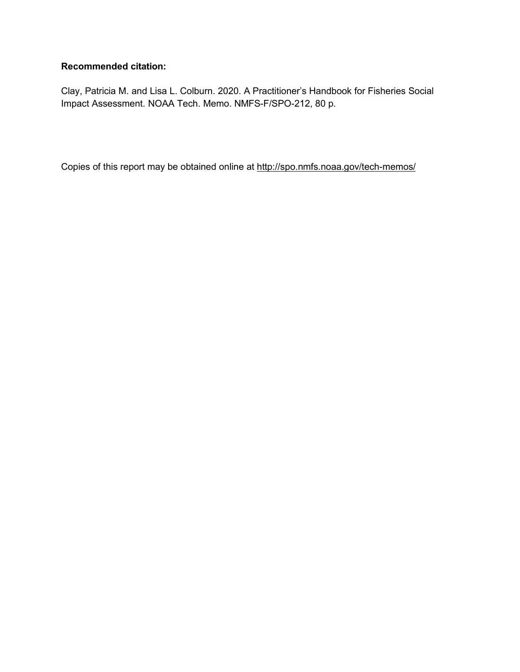#### **Recommended citation:**

Clay, Patricia M. and Lisa L. Colburn. 2020. A Practitioner's Handbook for Fisheries Social Impact Assessment. NOAA Tech. Memo. NMFS-F/SPO-212, 80 p.

Copies of this report may be obtained online at<http://spo.nmfs.noaa.gov/tech-memos/>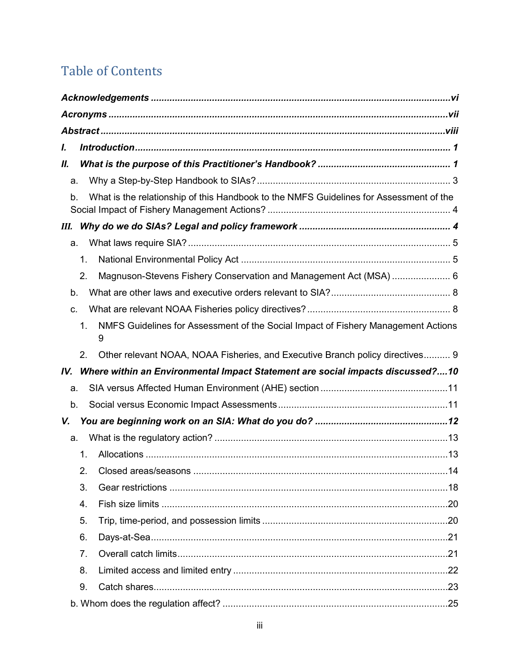## Table of Contents

| I.                                                                                           |  |
|----------------------------------------------------------------------------------------------|--|
| Ш.                                                                                           |  |
| a.                                                                                           |  |
| What is the relationship of this Handbook to the NMFS Guidelines for Assessment of the<br>b. |  |
| Ш.                                                                                           |  |
| a.                                                                                           |  |
| 1.                                                                                           |  |
| Magnuson-Stevens Fishery Conservation and Management Act (MSA)  6<br>2.                      |  |
| b.                                                                                           |  |
| C.                                                                                           |  |
| NMFS Guidelines for Assessment of the Social Impact of Fishery Management Actions<br>1.<br>9 |  |
| 2.<br>Other relevant NOAA, NOAA Fisheries, and Executive Branch policy directives 9          |  |
| Where within an Environmental Impact Statement are social impacts discussed?10<br>IV.        |  |
| a.                                                                                           |  |
| b.                                                                                           |  |
| V.                                                                                           |  |
| a.                                                                                           |  |
| 1.                                                                                           |  |
| 2.                                                                                           |  |
| 3.                                                                                           |  |
| 4.                                                                                           |  |
| 5.                                                                                           |  |
| 6.                                                                                           |  |
| 7.                                                                                           |  |
| 8.                                                                                           |  |
| 9.                                                                                           |  |
|                                                                                              |  |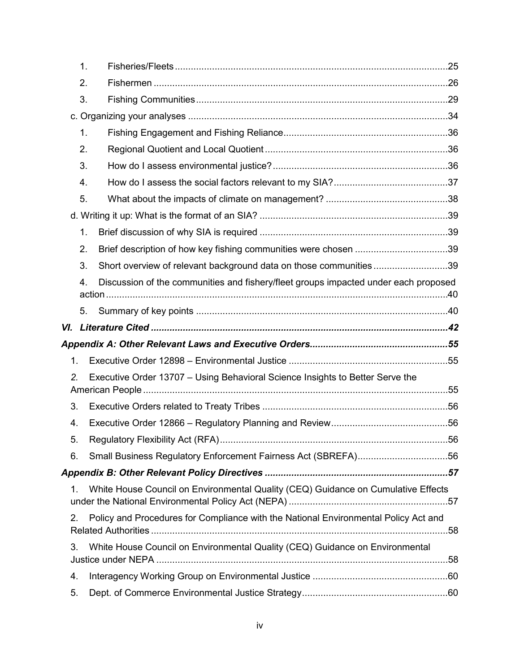|                | $\mathbf{1}$ .                                                                            |  |
|----------------|-------------------------------------------------------------------------------------------|--|
|                | 2.                                                                                        |  |
|                | 3.                                                                                        |  |
|                |                                                                                           |  |
|                | 1.                                                                                        |  |
|                | 2.                                                                                        |  |
|                | 3.                                                                                        |  |
|                | 4.                                                                                        |  |
|                | 5.                                                                                        |  |
|                |                                                                                           |  |
|                | 1.                                                                                        |  |
|                | Brief description of how key fishing communities were chosen 39<br>2.                     |  |
|                | Short overview of relevant background data on those communities39<br>3.                   |  |
|                | Discussion of the communities and fishery/fleet groups impacted under each proposed<br>4. |  |
|                |                                                                                           |  |
|                | 5.                                                                                        |  |
|                |                                                                                           |  |
|                |                                                                                           |  |
|                |                                                                                           |  |
| 1 <sub>1</sub> |                                                                                           |  |
| 2.             | Executive Order 13707 – Using Behavioral Science Insights to Better Serve the             |  |
| 3.             |                                                                                           |  |
| 4.             |                                                                                           |  |
| 5.             |                                                                                           |  |
| 6.             | Small Business Regulatory Enforcement Fairness Act (SBREFA)56                             |  |
|                |                                                                                           |  |
| 1.             | White House Council on Environmental Quality (CEQ) Guidance on Cumulative Effects         |  |
| 2.             | Policy and Procedures for Compliance with the National Environmental Policy Act and       |  |
| 3.             | White House Council on Environmental Quality (CEQ) Guidance on Environmental              |  |
| 4.             |                                                                                           |  |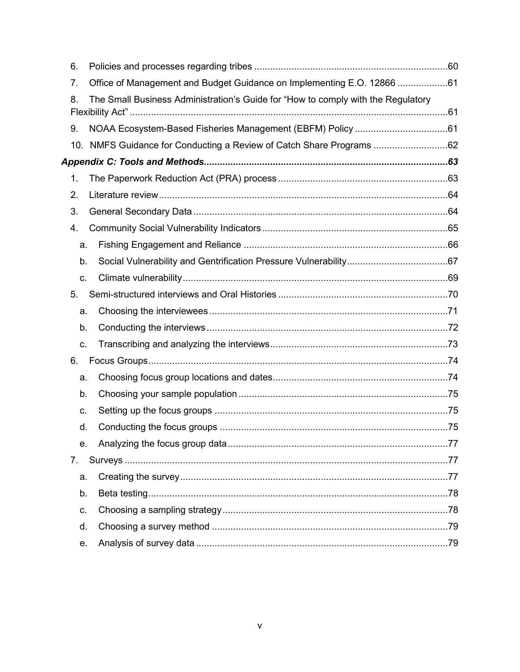| 6.             |                                                                                  |  |
|----------------|----------------------------------------------------------------------------------|--|
| 7.             | Office of Management and Budget Guidance on Implementing E.O. 12866 61           |  |
| 8.             | The Small Business Administration's Guide for "How to comply with the Regulatory |  |
| 9.             |                                                                                  |  |
|                | 10. NMFS Guidance for Conducting a Review of Catch Share Programs 62             |  |
|                |                                                                                  |  |
| 1.             |                                                                                  |  |
| 2.             |                                                                                  |  |
| 3.             |                                                                                  |  |
| 4.             |                                                                                  |  |
| a.             |                                                                                  |  |
| b.             |                                                                                  |  |
| C.             |                                                                                  |  |
| 5 <sub>1</sub> |                                                                                  |  |
| a.             |                                                                                  |  |
| b.             |                                                                                  |  |
| C.             |                                                                                  |  |
| 6.             |                                                                                  |  |
| a.             |                                                                                  |  |
| b.             |                                                                                  |  |
| C.             |                                                                                  |  |
| d.             |                                                                                  |  |
| e.             |                                                                                  |  |
| 7.             |                                                                                  |  |
| a.             |                                                                                  |  |
| b.             |                                                                                  |  |
| C.             |                                                                                  |  |
| d.             |                                                                                  |  |
| е.             |                                                                                  |  |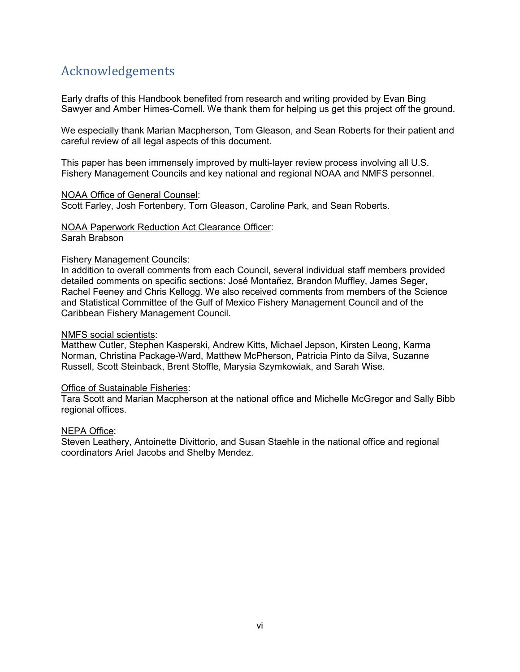## <span id="page-7-0"></span>Acknowledgements

Early drafts of this Handbook benefited from research and writing provided by Evan Bing Sawyer and Amber Himes-Cornell. We thank them for helping us get this project off the ground.

We especially thank Marian Macpherson, Tom Gleason, and Sean Roberts for their patient and careful review of all legal aspects of this document.

This paper has been immensely improved by multi-layer review process involving all U.S. Fishery Management Councils and key national and regional NOAA and NMFS personnel.

#### NOAA Office of General Counsel:

Scott Farley, Josh Fortenbery, Tom Gleason, Caroline Park, and Sean Roberts.

#### NOAA Paperwork Reduction Act Clearance Officer:

Sarah Brabson

#### Fishery Management Councils:

In addition to overall comments from each Council, several individual staff members provided detailed comments on specific sections: José Montañez, Brandon Muffley, James Seger, Rachel Feeney and Chris Kellogg. We also received comments from members of the Science and Statistical Committee of the Gulf of Mexico Fishery Management Council and of the Caribbean Fishery Management Council.

#### NMFS social scientists:

Matthew Cutler, Stephen Kasperski, Andrew Kitts, Michael Jepson, Kirsten Leong, Karma Norman, Christina Package-Ward, Matthew McPherson, Patricia Pinto da Silva, Suzanne Russell, Scott Steinback, Brent Stoffle, Marysia Szymkowiak, and Sarah Wise.

#### Office of Sustainable Fisheries:

Tara Scott and Marian Macpherson at the national office and Michelle McGregor and Sally Bibb regional offices.

#### NEPA Office:

Steven Leathery, Antoinette Divittorio, and Susan Staehle in the national office and regional coordinators Ariel Jacobs and Shelby Mendez.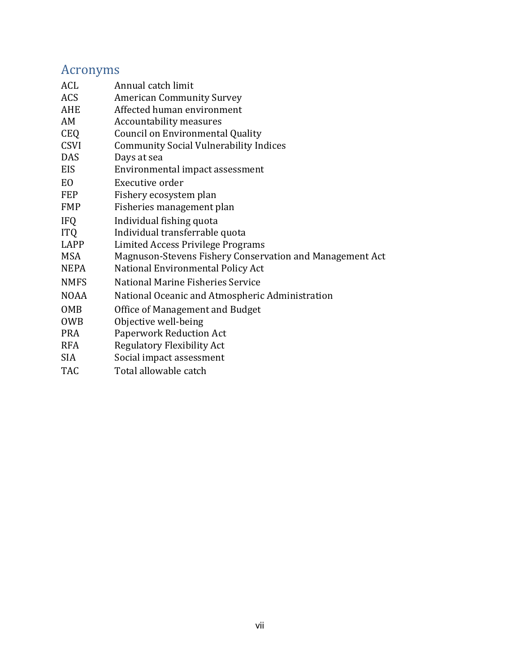## <span id="page-8-0"></span>Acronyms

| ACL            | Annual catch limit                                       |
|----------------|----------------------------------------------------------|
| ACS            | <b>American Community Survey</b>                         |
| AHE            | Affected human environment                               |
| AM             | <b>Accountability measures</b>                           |
| <b>CEQ</b>     | <b>Council on Environmental Quality</b>                  |
| <b>CSVI</b>    | <b>Community Social Vulnerability Indices</b>            |
| <b>DAS</b>     | Days at sea                                              |
| EIS            | Environmental impact assessment                          |
| E <sub>O</sub> | Executive order                                          |
| <b>FEP</b>     | Fishery ecosystem plan                                   |
| <b>FMP</b>     | Fisheries management plan                                |
| <b>IFQ</b>     | Individual fishing quota                                 |
| <b>ITQ</b>     | Individual transferrable quota                           |
| LAPP           | Limited Access Privilege Programs                        |
| <b>MSA</b>     | Magnuson-Stevens Fishery Conservation and Management Act |
| <b>NEPA</b>    | National Environmental Policy Act                        |
| <b>NMFS</b>    | National Marine Fisheries Service                        |
| <b>NOAA</b>    | National Oceanic and Atmospheric Administration          |
| OMB            | Office of Management and Budget                          |
| <b>OWB</b>     | Objective well-being                                     |
| <b>PRA</b>     | <b>Paperwork Reduction Act</b>                           |
| <b>RFA</b>     | <b>Regulatory Flexibility Act</b>                        |
| SIA            | Social impact assessment                                 |
| <b>TAC</b>     | Total allowable catch                                    |
|                |                                                          |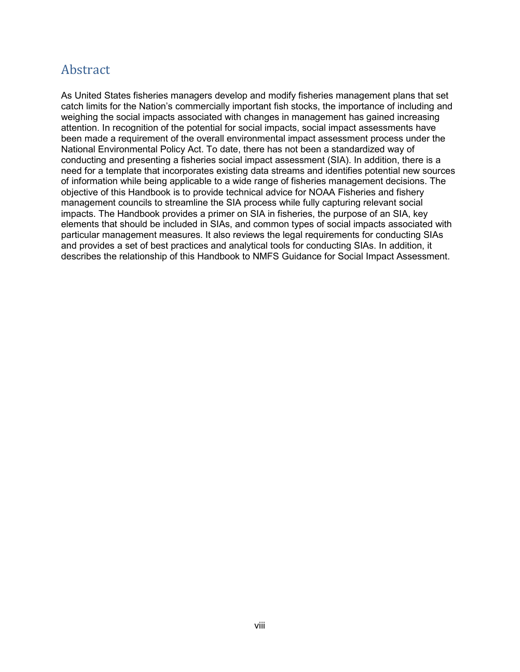## <span id="page-9-0"></span>Abstract

As United States fisheries managers develop and modify fisheries management plans that set catch limits for the Nation's commercially important fish stocks, the importance of including and weighing the social impacts associated with changes in management has gained increasing attention. In recognition of the potential for social impacts, social impact assessments have been made a requirement of the overall environmental impact assessment process under the National Environmental Policy Act. To date, there has not been a standardized way of conducting and presenting a fisheries social impact assessment (SIA). In addition, there is a need for a template that incorporates existing data streams and identifies potential new sources of information while being applicable to a wide range of fisheries management decisions. The objective of this Handbook is to provide technical advice for NOAA Fisheries and fishery management councils to streamline the SIA process while fully capturing relevant social impacts. The Handbook provides a primer on SIA in fisheries, the purpose of an SIA, key elements that should be included in SIAs, and common types of social impacts associated with particular management measures. It also reviews the legal requirements for conducting SIAs and provides a set of best practices and analytical tools for conducting SIAs. In addition, it describes the relationship of this Handbook to NMFS Guidance for Social Impact Assessment.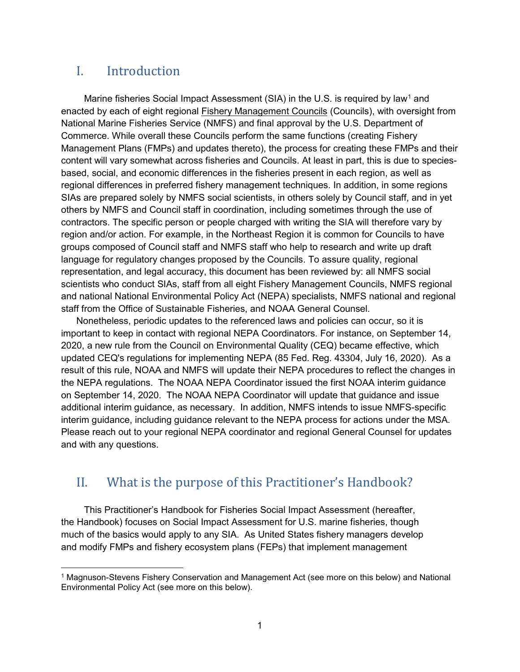## <span id="page-10-0"></span>I. Introduction

Marine fisheries Social Impact Assessment (SIA) in the U.S. is required by law<sup>[1](#page-10-2)</sup> and enacted by each of eight regional [Fishery Management Councils](https://www.fisheries.noaa.gov/node/2506) (Councils), with oversight from National Marine Fisheries Service (NMFS) and final approval by the U.S. Department of Commerce. While overall these Councils perform the same functions (creating Fishery Management Plans (FMPs) and updates thereto), the process for creating these FMPs and their content will vary somewhat across fisheries and Councils. At least in part, this is due to speciesbased, social, and economic differences in the fisheries present in each region, as well as regional differences in preferred fishery management techniques. In addition, in some regions SIAs are prepared solely by NMFS social scientists, in others solely by Council staff, and in yet others by NMFS and Council staff in coordination, including sometimes through the use of contractors. The specific person or people charged with writing the SIA will therefore vary by region and/or action. For example, in the Northeast Region it is common for Councils to have groups composed of Council staff and NMFS staff who help to research and write up draft language for regulatory changes proposed by the Councils. To assure quality, regional representation, and legal accuracy, this document has been reviewed by: all NMFS social scientists who conduct SIAs, staff from all eight Fishery Management Councils, NMFS regional and national National Environmental Policy Act (NEPA) specialists, NMFS national and regional staff from the Office of Sustainable Fisheries, and NOAA General Counsel.

Nonetheless, periodic updates to the referenced laws and policies can occur, so it is important to keep in contact with regional NEPA Coordinators. For instance, on September 14, 2020, a new rule from the Council on Environmental Quality (CEQ) became effective, which updated CEQ's regulations for implementing NEPA (85 Fed. Reg. 43304, July 16, 2020). As a result of this rule, NOAA and NMFS will update their NEPA procedures to reflect the changes in the NEPA regulations. The NOAA NEPA Coordinator issued the first NOAA interim guidance on September 14, 2020. The NOAA NEPA Coordinator will update that guidance and issue additional interim guidance, as necessary. In addition, NMFS intends to issue NMFS-specific interim guidance, including guidance relevant to the NEPA process for actions under the MSA. Please reach out to your regional NEPA coordinator and regional General Counsel for updates and with any questions.

## <span id="page-10-1"></span>II. What is the purpose of this Practitioner's Handbook?

This Practitioner's Handbook for Fisheries Social Impact Assessment (hereafter, the Handbook) focuses on Social Impact Assessment for U.S. marine fisheries, though much of the basics would apply to any SIA. As United States fishery managers develop and modify FMPs and fishery ecosystem plans (FEPs) that implement management

<span id="page-10-2"></span> <sup>1</sup> Magnuson-Stevens Fishery Conservation and Management Act (see more on this below) and National Environmental Policy Act (see more on this below).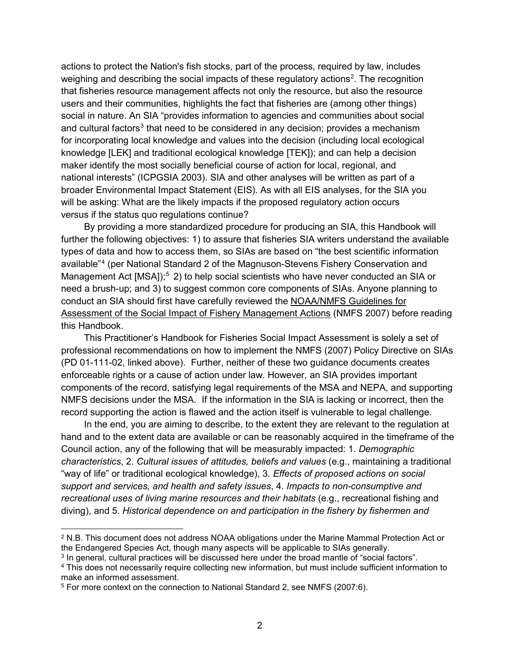actions to protect the Nation's fish stocks, part of the process, required by law, includes weighing and describing the social impacts of these regulatory actions $^2$  $^2$ . The recognition that fisheries resource management affects not only the resource, but also the resource users and their communities, highlights the fact that fisheries are (among other things) social in nature. An SIA "provides information to agencies and communities about social and cultural factors<sup>3</sup> that need to be considered in any decision; provides a mechanism for incorporating local knowledge and values into the decision (including local ecological knowledge [LEK] and traditional ecological knowledge [TEK]); and can help a decision maker identify the most socially beneficial course of action for local, regional, and national interests" (ICPGSIA 2003). SIA and other analyses will be written as part of a broader Environmental Impact Statement (EIS). As with all EIS analyses, for the SIA you will be asking: What are the likely impacts if the proposed regulatory action occurs versus if the status quo regulations continue?

By providing a more standardized procedure for producing an SIA, this Handbook will further the following objectives: 1) to assure that fisheries SIA writers understand the available types of data and how to access them, so SIAs are based on "the best scientific information available"[4](#page-11-2) (per National Standard 2 of the Magnuson-Stevens Fishery Conservation and Management Act [MSA]);<sup>[5](#page-11-3)</sup> 2) to help social scientists who have never conducted an SIA or need a brush-up; and 3) to suggest common core components of SIAs. Anyone planning to conduct an SIA should first have carefully reviewed the [NOAA/NMFS Guidelines for](https://media.fisheries.noaa.gov/dam-migration/01-111-02.pdf)  [Assessment of the Social Impact of Fishery Management Actions](https://media.fisheries.noaa.gov/dam-migration/01-111-02.pdf) (NMFS 2007) before reading this Handbook.

This Practitioner's Handbook for Fisheries Social Impact Assessment is solely a set of professional recommendations on how to implement the NMFS (2007) Policy Directive on SIAs (PD 01-111-02, linked above). Further, neither of these two guidance documents creates enforceable rights or a cause of action under law. However, an SIA provides important components of the record, satisfying legal requirements of the MSA and NEPA, and supporting NMFS decisions under the MSA. If the information in the SIA is lacking or incorrect, then the record supporting the action is flawed and the action itself is vulnerable to legal challenge.

In the end, you are aiming to describe, to the extent they are relevant to the regulation at hand and to the extent data are available or can be reasonably acquired in the timeframe of the Council action, any of the following that will be measurably impacted: 1. *Demographic characteristics*, 2. *Cultural issues of attitudes, beliefs and values* (e.g., maintaining a traditional "way of life" or traditional ecological knowledge), 3*. Effects of proposed actions on social support and services, and health and safety issues*, 4. *Impacts to non-consumptive and recreational uses of living marine resources and their habitats* (e.g., recreational fishing and diving), and 5. *Historical dependence on and participation in the fishery by fishermen and* 

<span id="page-11-0"></span> <sup>2</sup> N.B. This document does not address NOAA obligations under the Marine Mammal Protection Act or the Endangered Species Act, though many aspects will be applicable to SIAs generally.

<span id="page-11-1"></span><sup>3</sup> In general, cultural practices will be discussed here under the broad mantle of "social factors".

<span id="page-11-2"></span><sup>4</sup> This does not necessarily require collecting new information, but must include sufficient information to make an informed assessment.

<span id="page-11-3"></span><sup>5</sup> For more context on the connection to National Standard 2, see NMFS (2007:6).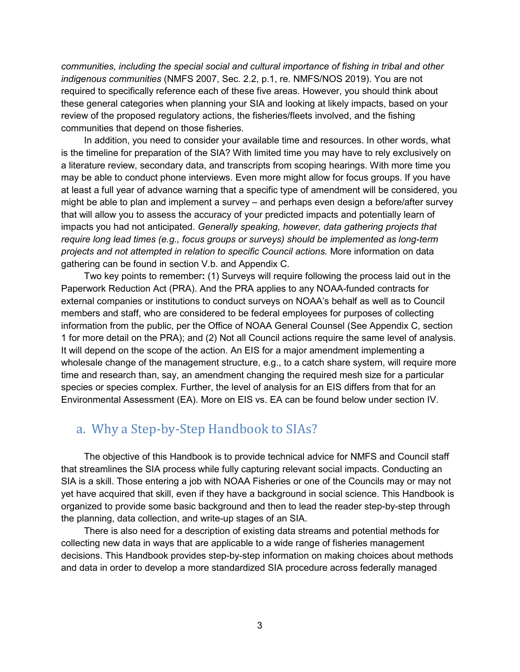*communities, including the special social and cultural importance of fishing in tribal and other indigenous communities* (NMFS 2007, Sec. 2.2, p.1, re. NMFS/NOS 2019). You are not required to specifically reference each of these five areas. However, you should think about these general categories when planning your SIA and looking at likely impacts, based on your review of the proposed regulatory actions, the fisheries/fleets involved, and the fishing communities that depend on those fisheries.

In addition, you need to consider your available time and resources. In other words, what is the timeline for preparation of the SIA? With limited time you may have to rely exclusively on a literature review, secondary data, and transcripts from scoping hearings. With more time you may be able to conduct phone interviews. Even more might allow for focus groups. If you have at least a full year of advance warning that a specific type of amendment will be considered, you might be able to plan and implement a survey – and perhaps even design a before/after survey that will allow you to assess the accuracy of your predicted impacts and potentially learn of impacts you had not anticipated. *Generally speaking, however, data gathering projects that require long lead times (e.g., focus groups or surveys) should be implemented as long-term projects and not attempted in relation to specific Council actions.* More information on data gathering can be found in section V.b. and Appendix C.

Two key points to remember**:** (1) Surveys will require following the process laid out in the Paperwork Reduction Act (PRA). And the PRA applies to any NOAA-funded contracts for external companies or institutions to conduct surveys on NOAA's behalf as well as to Council members and staff, who are considered to be federal employees for purposes of collecting information from the public, per the Office of NOAA General Counsel (See Appendix C, section 1 for more detail on the PRA); and (2) Not all Council actions require the same level of analysis. It will depend on the scope of the action. An EIS for a major amendment implementing a wholesale change of the management structure, e.g., to a catch share system, will require more time and research than, say, an amendment changing the required mesh size for a particular species or species complex. Further, the level of analysis for an EIS differs from that for an Environmental Assessment (EA). More on EIS vs. EA can be found below under section IV.

### <span id="page-12-0"></span>a. Why a Step-by-Step Handbook to SIAs?

The objective of this Handbook is to provide technical advice for NMFS and Council staff that streamlines the SIA process while fully capturing relevant social impacts. Conducting an SIA is a skill. Those entering a job with NOAA Fisheries or one of the Councils may or may not yet have acquired that skill, even if they have a background in social science. This Handbook is organized to provide some basic background and then to lead the reader step-by-step through the planning, data collection, and write-up stages of an SIA.

There is also need for a description of existing data streams and potential methods for collecting new data in ways that are applicable to a wide range of fisheries management decisions. This Handbook provides step-by-step information on making choices about methods and data in order to develop a more standardized SIA procedure across federally managed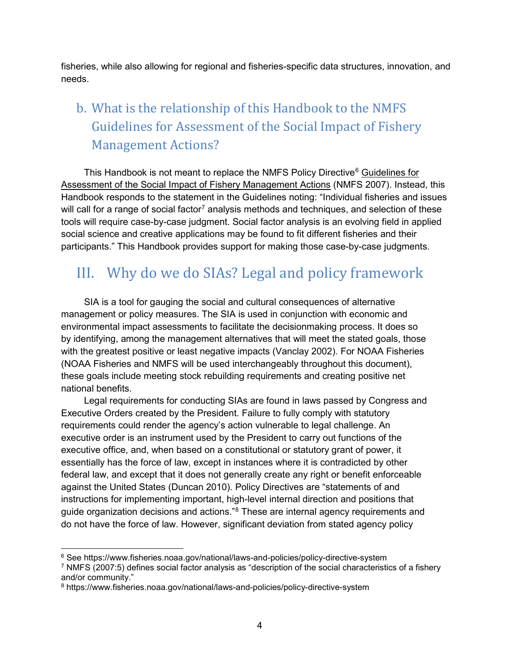fisheries, while also allowing for regional and fisheries-specific data structures, innovation, and needs.

## <span id="page-13-0"></span>b. What is the relationship of this Handbook to the NMFS Guidelines for Assessment of the Social Impact of Fishery Management Actions?

This Handbook is not meant to replace the NMFS Policy Directive<sup>[6](#page-13-2)</sup> Guidelines for [Assessment of the Social Impact of Fishery Management Actions](https://media.fisheries.noaa.gov/dam-migration/01-111-02.pdf) (NMFS 2007). Instead, this Handbook responds to the statement in the Guidelines noting: "Individual fisheries and issues will call for a range of social factor<sup>[7](#page-13-3)</sup> analysis methods and techniques, and selection of these tools will require case-by-case judgment. Social factor analysis is an evolving field in applied social science and creative applications may be found to fit different fisheries and their participants." This Handbook provides support for making those case-by-case judgments.

## <span id="page-13-1"></span>III. Why do we do SIAs? Legal and policy framework

SIA is a tool for gauging the social and cultural consequences of alternative management or policy measures. The SIA is used in conjunction with economic and environmental impact assessments to facilitate the decisionmaking process. It does so by identifying, among the management alternatives that will meet the stated goals, those with the greatest positive or least negative impacts (Vanclay 2002). For NOAA Fisheries (NOAA Fisheries and NMFS will be used interchangeably throughout this document), these goals include meeting stock rebuilding requirements and creating positive net national benefits.

Legal requirements for conducting SIAs are found in laws passed by Congress and Executive Orders created by the President. Failure to fully comply with statutory requirements could render the agency's action vulnerable to legal challenge. An executive order is an instrument used by the President to carry out functions of the executive office, and, when based on a constitutional or statutory grant of power, it essentially has the force of law, except in instances where it is contradicted by other federal law, and except that it does not generally create any right or benefit enforceable against the United States (Duncan 2010). Policy Directives are "statements of and instructions for implementing important, high-level internal direction and positions that guide organization decisions and actions."<sup>[8](#page-13-4)</sup> These are internal agency requirements and do not have the force of law. However, significant deviation from stated agency policy

<span id="page-13-2"></span> <sup>6</sup> See https://www.fisheries.noaa.gov/national/laws-and-policies/policy-directive-system

<span id="page-13-3"></span><sup>7</sup> NMFS (2007:5) defines social factor analysis as "description of the social characteristics of a fishery and/or community."

<span id="page-13-4"></span><sup>8</sup> https://www.fisheries.noaa.gov/national/laws-and-policies/policy-directive-system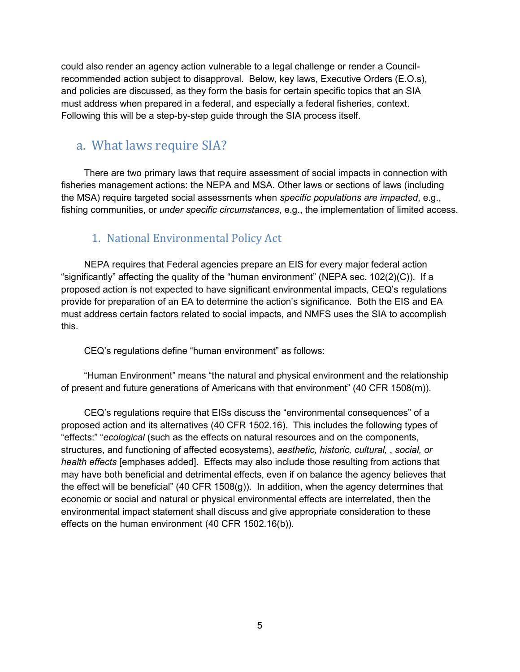could also render an agency action vulnerable to a legal challenge or render a Councilrecommended action subject to disapproval. Below, key laws, Executive Orders (E.O.s), and policies are discussed, as they form the basis for certain specific topics that an SIA must address when prepared in a federal, and especially a federal fisheries, context. Following this will be a step-by-step guide through the SIA process itself.

## <span id="page-14-0"></span>a. What laws require SIA?

There are two primary laws that require assessment of social impacts in connection with fisheries management actions: the NEPA and MSA. Other laws or sections of laws (including the MSA) require targeted social assessments when *specific populations are impacted*, e.g., fishing communities, or *under specific circumstances*, e.g., the implementation of limited access.

### 1. National Environmental Policy Act

<span id="page-14-1"></span>NEPA requires that Federal agencies prepare an EIS for every major federal action "significantly" affecting the quality of the "human environment" (NEPA sec. 102(2)(C)). If a proposed action is not expected to have significant environmental impacts, CEQ's regulations provide for preparation of an EA to determine the action's significance. Both the EIS and EA must address certain factors related to social impacts, and NMFS uses the SIA to accomplish this.

CEQ's regulations define "human environment" as follows:

"Human Environment" means "the natural and physical environment and the relationship of present and future generations of Americans with that environment" (40 CFR 1508(m)).

CEQ's regulations require that EISs discuss the "environmental consequences" of a proposed action and its alternatives (40 CFR 1502.16). This includes the following types of "effects:" "*ecological* (such as the effects on natural resources and on the components, structures, and functioning of affected ecosystems), *aesthetic, historic, cultural,* , *social, or health effects* [emphases added]. Effects may also include those resulting from actions that may have both beneficial and detrimental effects, even if on balance the agency believes that the effect will be beneficial" (40 CFR 1508(g)). In addition, when the agency determines that economic or social and natural or physical environmental effects are interrelated, then the environmental impact statement shall discuss and give appropriate consideration to these effects on the human environment (40 CFR 1502.16(b)).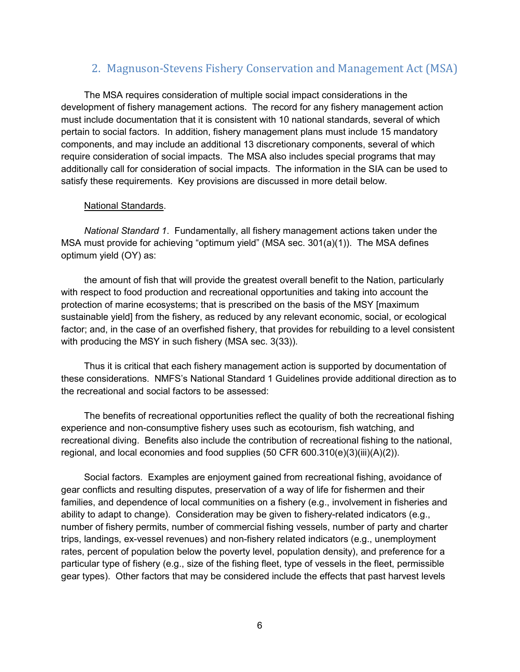#### 2. Magnuson-Stevens Fishery Conservation and Management Act (MSA)

<span id="page-15-0"></span>The MSA requires consideration of multiple social impact considerations in the development of fishery management actions. The record for any fishery management action must include documentation that it is consistent with 10 national standards, several of which pertain to social factors. In addition, fishery management plans must include 15 mandatory components, and may include an additional 13 discretionary components, several of which require consideration of social impacts. The MSA also includes special programs that may additionally call for consideration of social impacts. The information in the SIA can be used to satisfy these requirements. Key provisions are discussed in more detail below.

#### National Standards.

*National Standard 1*. Fundamentally, all fishery management actions taken under the MSA must provide for achieving "optimum yield" (MSA sec.  $301(a)(1)$ ). The MSA defines optimum yield (OY) as:

the amount of fish that will provide the greatest overall benefit to the Nation, particularly with respect to food production and recreational opportunities and taking into account the protection of marine ecosystems; that is prescribed on the basis of the MSY [maximum sustainable yield] from the fishery, as reduced by any relevant economic, social, or ecological factor; and, in the case of an overfished fishery, that provides for rebuilding to a level consistent with producing the MSY in such fishery (MSA sec. 3(33)).

Thus it is critical that each fishery management action is supported by documentation of these considerations. NMFS's National Standard 1 Guidelines provide additional direction as to the recreational and social factors to be assessed:

The benefits of recreational opportunities reflect the quality of both the recreational fishing experience and non-consumptive fishery uses such as ecotourism, fish watching, and recreational diving. Benefits also include the contribution of recreational fishing to the national, regional, and local economies and food supplies  $(50$  CFR  $600.310(e)(3)(iii)(A)(2))$ .

Social factors. Examples are enjoyment gained from recreational fishing, avoidance of gear conflicts and resulting disputes, preservation of a way of life for fishermen and their families, and dependence of local communities on a fishery (e.g., involvement in fisheries and ability to adapt to change). Consideration may be given to fishery-related indicators (e.g., number of fishery permits, number of commercial fishing vessels, number of party and charter trips, landings, ex-vessel revenues) and non-fishery related indicators (e.g., unemployment rates, percent of population below the poverty level, population density), and preference for a particular type of fishery (e.g., size of the fishing fleet, type of vessels in the fleet, permissible gear types). Other factors that may be considered include the effects that past harvest levels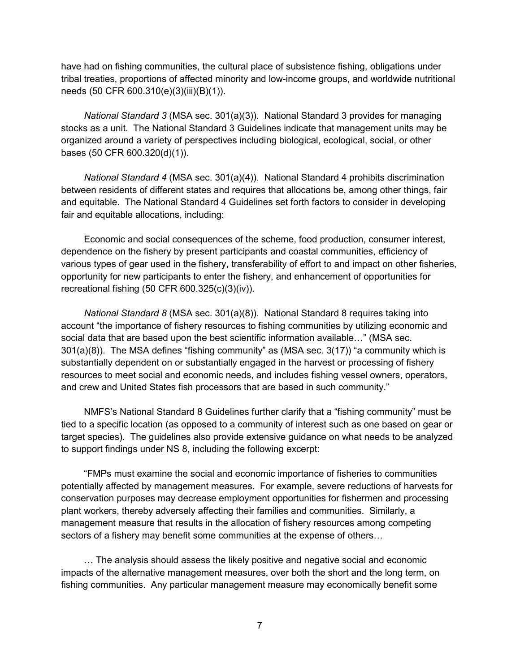have had on fishing communities, the cultural place of subsistence fishing, obligations under tribal treaties, proportions of affected minority and low-income groups, and worldwide nutritional needs (50 CFR 600.310(e)(3)(iii)(B)(1)).

*National Standard 3* (MSA sec. 301(a)(3)). National Standard 3 provides for managing stocks as a unit. The National Standard 3 Guidelines indicate that management units may be organized around a variety of perspectives including biological, ecological, social, or other bases (50 CFR 600.320(d)(1)).

*National Standard 4* (MSA sec. 301(a)(4)). National Standard 4 prohibits discrimination between residents of different states and requires that allocations be, among other things, fair and equitable. The National Standard 4 Guidelines set forth factors to consider in developing fair and equitable allocations, including:

Economic and social consequences of the scheme, food production, consumer interest, dependence on the fishery by present participants and coastal communities, efficiency of various types of gear used in the fishery, transferability of effort to and impact on other fisheries, opportunity for new participants to enter the fishery, and enhancement of opportunities for recreational fishing (50 CFR 600.325(c)(3)(iv)).

*National Standard 8* (MSA sec. 301(a)(8)). National Standard 8 requires taking into account "the importance of fishery resources to fishing communities by utilizing economic and social data that are based upon the best scientific information available…" (MSA sec. 301(a)(8)). The MSA defines "fishing community" as (MSA sec. 3(17)) "a community which is substantially dependent on or substantially engaged in the harvest or processing of fishery resources to meet social and economic needs, and includes fishing vessel owners, operators, and crew and United States fish processors that are based in such community."

NMFS's National Standard 8 Guidelines further clarify that a "fishing community" must be tied to a specific location (as opposed to a community of interest such as one based on gear or target species). The guidelines also provide extensive guidance on what needs to be analyzed to support findings under NS 8, including the following excerpt:

"FMPs must examine the social and economic importance of fisheries to communities potentially affected by management measures. For example, severe reductions of harvests for conservation purposes may decrease employment opportunities for fishermen and processing plant workers, thereby adversely affecting their families and communities. Similarly, a management measure that results in the allocation of fishery resources among competing sectors of a fishery may benefit some communities at the expense of others…

… The analysis should assess the likely positive and negative social and economic impacts of the alternative management measures, over both the short and the long term, on fishing communities. Any particular management measure may economically benefit some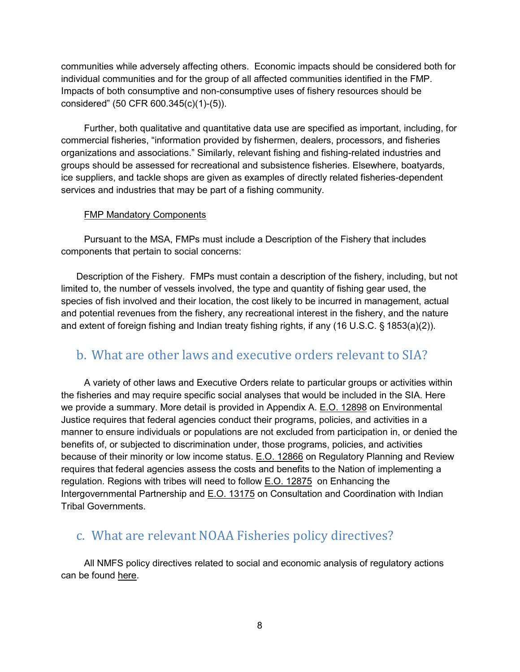communities while adversely affecting others. Economic impacts should be considered both for individual communities and for the group of all affected communities identified in the FMP. Impacts of both consumptive and non-consumptive uses of fishery resources should be considered" (50 CFR 600.345(c)(1)-(5)).

Further, both qualitative and quantitative data use are specified as important, including, for commercial fisheries, "information provided by fishermen, dealers, processors, and fisheries organizations and associations." Similarly, relevant fishing and fishing-related industries and groups should be assessed for recreational and subsistence fisheries. Elsewhere, boatyards, ice suppliers, and tackle shops are given as examples of directly related fisheries-dependent services and industries that may be part of a fishing community.

#### FMP Mandatory Components

Pursuant to the MSA, FMPs must include a Description of the Fishery that includes components that pertain to social concerns:

Description of the Fishery. FMPs must contain a description of the fishery, including, but not limited to, the number of vessels involved, the type and quantity of fishing gear used, the species of fish involved and their location, the cost likely to be incurred in management, actual and potential revenues from the fishery, any recreational interest in the fishery, and the nature and extent of foreign fishing and Indian treaty fishing rights, if any (16 U.S.C. § 1853(a)(2)).

### <span id="page-17-0"></span>b. What are other laws and executive orders relevant to SIA?

A variety of other laws and Executive Orders relate to particular groups or activities within the fisheries and may require specific social analyses that would be included in the SIA. Here we provide a summary. More detail is provided in Appendix A. [E.O. 12898](https://www.archives.gov/files/federal-register/executive-orders/pdf/12898.pdf) on Environmental Justice requires that federal agencies conduct their programs, policies, and activities in a manner to ensure individuals or populations are not excluded from participation in, or denied the benefits of, or subjected to discrimination under, those programs, policies, and activities because of their minority or low income status. **E.O. 12866** on Regulatory Planning and Review requires that federal agencies assess the costs and benefits to the Nation of implementing a regulation. Regions with tribes will need to follow [E.O. 12875](https://www.archives.gov/files/federal-register/executive-orders/pdf/12875.pdf) on Enhancing the Intergovernmental Partnership and [E.O. 13175](https://www.govinfo.gov/content/pkg/CFR-2001-title3-vol1/pdf/CFR-2001-title3-vol1-eo13175.pdf) on Consultation and Coordination with Indian Tribal Governments.

### <span id="page-17-1"></span>c. What are relevant NOAA Fisheries policy directives?

All NMFS policy directives related to social and economic analysis of regulatory actions can be found [here.](https://www.fisheries.noaa.gov/national/laws-and-policies/guidance-conducting-economic-and-social-analyses-regulatory-actions)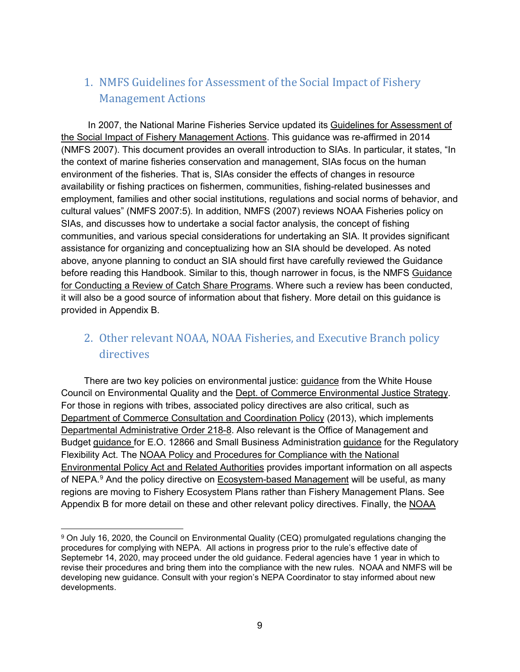## <span id="page-18-0"></span>1. NMFS Guidelines for Assessment of the Social Impact of Fishery Management Actions

In 2007, the National Marine Fisheries Service updated its [Guidelines for Assessment of](https://media.fisheries.noaa.gov/dam-migration/01-111-02.pdf)  [the Social Impact of Fishery Management Actions.](https://media.fisheries.noaa.gov/dam-migration/01-111-02.pdf) This guidance was re-affirmed in 2014 (NMFS 2007). This document provides an overall introduction to SIAs. In particular, it states, "In the context of marine fisheries conservation and management, SIAs focus on the human environment of the fisheries. That is, SIAs consider the effects of changes in resource availability or fishing practices on fishermen, communities, fishing-related businesses and employment, families and other social institutions, regulations and social norms of behavior, and cultural values" (NMFS 2007:5). In addition, NMFS (2007) reviews NOAA Fisheries policy on SIAs, and discusses how to undertake a social factor analysis, the concept of fishing communities, and various special considerations for undertaking an SIA. It provides significant assistance for organizing and conceptualizing how an SIA should be developed. As noted above, anyone planning to conduct an SIA should first have carefully reviewed the Guidance before reading this Handbook. Similar to this, though narrower in focus, is the NMFS [Guidance](https://media.fisheries.noaa.gov/dam-migration/01-121-01.pdf)  [for Conducting a Review of Catch Share Programs.](https://media.fisheries.noaa.gov/dam-migration/01-121-01.pdf) Where such a review has been conducted, it will also be a good source of information about that fishery. More detail on this guidance is provided in Appendix B.

## <span id="page-18-1"></span>2. Other relevant NOAA, NOAA Fisheries, and Executive Branch policy directives

There are two key policies on environmental justice: [guidance](https://ceq.doe.gov/docs/ceq-regulations-and-guidance/regs/ej/justice.pdf) from the White House Council on Environmental Quality and the [Dept. of Commerce Environmental Justice Strategy.](http://www.osec.doc.gov/opog/OG/Archive/news/2013/02/21/department-commerce-environmental-justice-strategy.html) For those in regions with tribes, associated policy directives are also critical, such as [Department of Commerce Consultation and Coordination Policy](https://www.govinfo.gov/content/pkg/FR-2013-06-04/pdf/2013-13052.pdf) (2013), which implements [Departmental Administrative Order 218-8.](http://www.osec.doc.gov/opog/dmp/daos/dao218_8.html) Also relevant is the Office of Management and Budget [guidance](https://www.whitehouse.gov/sites/whitehouse.gov/files/omb/assets/inforeg/eo12866_implementation_guidance.pdf) for E.O. 12866 and Small Business Administration [guidance](https://www.sba.gov/advocacy/guide-government-agencies-how-comply-regulatory-flexibility-act) for the Regulatory Flexibility Act. The [NOAA Policy and Procedures for Compliance with the National](https://www.nepa.noaa.gov/docs/NOAA-NAO-216-6A-Companion-Manual-01132017.pdf)  [Environmental Policy Act and Related Authorities](https://www.nepa.noaa.gov/docs/NOAA-NAO-216-6A-Companion-Manual-01132017.pdf) provides important information on all aspects of NEPA.<sup>[9](#page-18-2)</sup> And the policy directive on <u>Ecosystem-based Management</u> will be useful, as many regions are moving to Fishery Ecosystem Plans rather than Fishery Management Plans. See Appendix B for more detail on these and other relevant policy directives. Finally, the [NOAA](https://www.legislative.noaa.gov/docs/19-065933-Traditional-Knowledge-in-Decision-Making-Document-Signed.pdf) 

<span id="page-18-2"></span> <sup>9</sup> On July 16, 2020, the Council on Environmental Quality (CEQ) promulgated regulations changing the procedures for complying with NEPA. All actions in progress prior to the rule's effective date of Septemebr 14, 2020, may proceed under the old guidance. Federal agencies have 1 year in which to revise their procedures and bring them into the compliance with the new rules. NOAA and NMFS will be developing new guidance. Consult with your region's NEPA Coordinator to stay informed about new developments.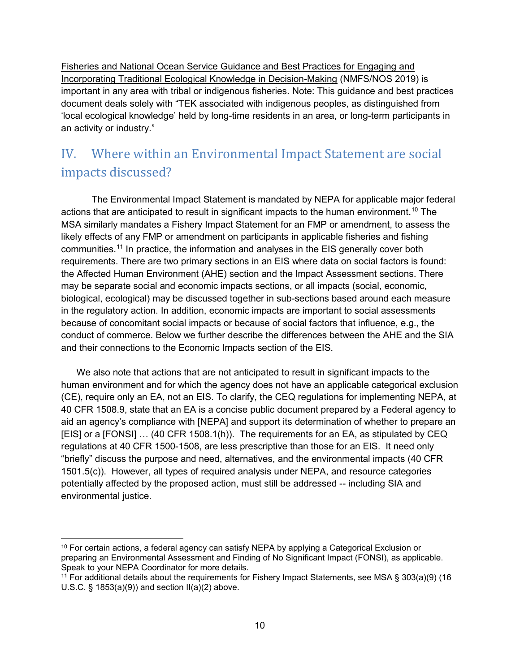[Fisheries and National Ocean Service Guidance and Best Practices for Engaging and](https://www.legislative.noaa.gov/docs/19-065933-Traditional-Knowledge-in-Decision-Making-Document-Signed.pdf)  [Incorporating Traditional Ecological Knowledge in Decision-Making](https://www.legislative.noaa.gov/docs/19-065933-Traditional-Knowledge-in-Decision-Making-Document-Signed.pdf) (NMFS/NOS 2019) is important in any area with tribal or indigenous fisheries. Note: This guidance and best practices document deals solely with "TEK associated with indigenous peoples, as distinguished from 'local ecological knowledge' held by long-time residents in an area, or long-term participants in an activity or industry."

## <span id="page-19-0"></span>IV. Where within an Environmental Impact Statement are social impacts discussed?

The Environmental Impact Statement is mandated by NEPA for applicable major federal actions that are anticipated to result in significant impacts to the human environment. [10](#page-19-1) The MSA similarly mandates a Fishery Impact Statement for an FMP or amendment, to assess the likely effects of any FMP or amendment on participants in applicable fisheries and fishing communities.[11](#page-19-2) In practice, the information and analyses in the EIS generally cover both requirements. There are two primary sections in an EIS where data on social factors is found: the Affected Human Environment (AHE) section and the Impact Assessment sections. There may be separate social and economic impacts sections, or all impacts (social, economic, biological, ecological) may be discussed together in sub-sections based around each measure in the regulatory action. In addition, economic impacts are important to social assessments because of concomitant social impacts or because of social factors that influence, e.g., the conduct of commerce. Below we further describe the differences between the AHE and the SIA and their connections to the Economic Impacts section of the EIS.

We also note that actions that are not anticipated to result in significant impacts to the human environment and for which the agency does not have an applicable categorical exclusion (CE), require only an EA, not an EIS. To clarify, the CEQ regulations for implementing NEPA, at 40 CFR 1508.9, state that an EA is a concise public document prepared by a Federal agency to aid an agency's compliance with [NEPA] and support its determination of whether to prepare an [EIS] or a [FONSI] … (40 CFR 1508.1(h)). The requirements for an EA, as stipulated by CEQ regulations at 40 CFR 1500-1508, are less prescriptive than those for an EIS. It need only "briefly" discuss the purpose and need, alternatives, and the environmental impacts (40 CFR 1501.5(c)). However, all types of required analysis under NEPA, and resource categories potentially affected by the proposed action, must still be addressed -- including SIA and environmental justice.

<span id="page-19-1"></span> $10$  For certain actions, a federal agency can satisfy NEPA by applying a Categorical Exclusion or preparing an Environmental Assessment and Finding of No Significant Impact (FONSI), as applicable. Speak to your NEPA Coordinator for more details.

<span id="page-19-2"></span><sup>11</sup> For additional details about the requirements for Fishery Impact Statements, see MSA § 303(a)(9) (16 U.S.C. § 1853(a)(9)) and section II(a)(2) above.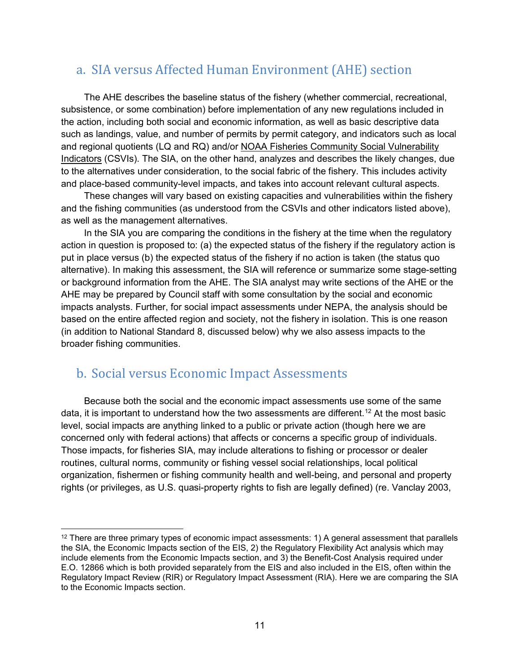## <span id="page-20-0"></span>a. SIA versus Affected Human Environment (AHE) section

The AHE describes the baseline status of the fishery (whether commercial, recreational, subsistence, or some combination) before implementation of any new regulations included in the action, including both social and economic information, as well as basic descriptive data such as landings, value, and number of permits by permit category, and indicators such as local and regional quotients (LQ and RQ) and/or [NOAA Fisheries Community Social Vulnerability](https://www.fisheries.noaa.gov/national/socioeconomics/social-indicators-fishing-communities-0)  [Indicators](https://www.fisheries.noaa.gov/national/socioeconomics/social-indicators-fishing-communities-0) (CSVIs). The SIA, on the other hand, analyzes and describes the likely changes, due to the alternatives under consideration, to the social fabric of the fishery. This includes activity and place-based community-level impacts, and takes into account relevant cultural aspects.

These changes will vary based on existing capacities and vulnerabilities within the fishery and the fishing communities (as understood from the CSVIs and other indicators listed above), as well as the management alternatives.

In the SIA you are comparing the conditions in the fishery at the time when the regulatory action in question is proposed to: (a) the expected status of the fishery if the regulatory action is put in place versus (b) the expected status of the fishery if no action is taken (the status quo alternative). In making this assessment, the SIA will reference or summarize some stage-setting or background information from the AHE. The SIA analyst may write sections of the AHE or the AHE may be prepared by Council staff with some consultation by the social and economic impacts analysts. Further, for social impact assessments under NEPA, the analysis should be based on the entire affected region and society, not the fishery in isolation. This is one reason (in addition to National Standard 8, discussed below) why we also assess impacts to the broader fishing communities.

## <span id="page-20-1"></span>b. Social versus Economic Impact Assessments

Because both the social and the economic impact assessments use some of the same data, it is important to understand how the two assessments are different. [12](#page-20-2) At the most basic level, social impacts are anything linked to a public or private action (though here we are concerned only with federal actions) that affects or concerns a specific group of individuals. Those impacts, for fisheries SIA, may include alterations to fishing or processor or dealer routines, cultural norms, community or fishing vessel social relationships, local political organization, fishermen or fishing community health and well-being, and personal and property rights (or privileges, as U.S. quasi-property rights to fish are legally defined) (re. Vanclay 2003,

<span id="page-20-2"></span> $12$  There are three primary types of economic impact assessments: 1) A general assessment that parallels the SIA, the Economic Impacts section of the EIS, 2) the Regulatory Flexibility Act analysis which may include elements from the Economic Impacts section, and 3) the Benefit-Cost Analysis required under E.O. 12866 which is both provided separately from the EIS and also included in the EIS, often within the Regulatory Impact Review (RIR) or Regulatory Impact Assessment (RIA). Here we are comparing the SIA to the Economic Impacts section.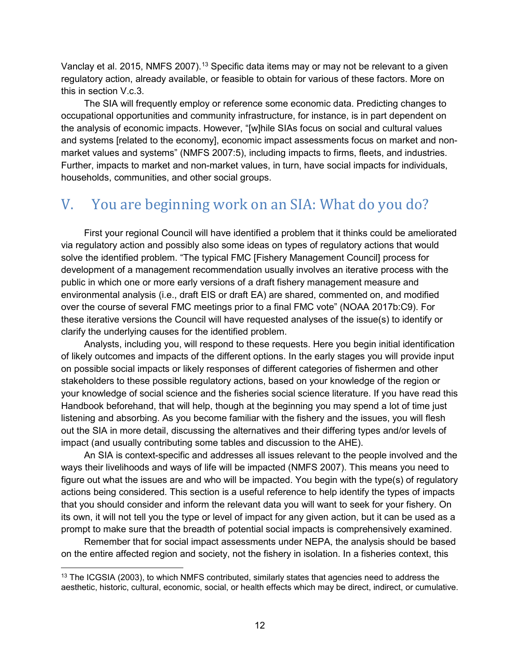Vanclay et al. 2015, NMFS 2007).<sup>[13](#page-21-1)</sup> Specific data items may or may not be relevant to a given regulatory action, already available, or feasible to obtain for various of these factors. More on this in section V.c.3.

The SIA will frequently employ or reference some economic data. Predicting changes to occupational opportunities and community infrastructure, for instance, is in part dependent on the analysis of economic impacts. However, "[w]hile SIAs focus on social and cultural values and systems [related to the economy], economic impact assessments focus on market and nonmarket values and systems" (NMFS 2007:5), including impacts to firms, fleets, and industries. Further, impacts to market and non-market values, in turn, have social impacts for individuals, households, communities, and other social groups.

## <span id="page-21-0"></span>V. You are beginning work on an SIA: What do you do?

First your regional Council will have identified a problem that it thinks could be ameliorated via regulatory action and possibly also some ideas on types of regulatory actions that would solve the identified problem. "The typical FMC [Fishery Management Council] process for development of a management recommendation usually involves an iterative process with the public in which one or more early versions of a draft fishery management measure and environmental analysis (i.e., draft EIS or draft EA) are shared, commented on, and modified over the course of several FMC meetings prior to a final FMC vote" (NOAA 2017b:C9). For these iterative versions the Council will have requested analyses of the issue(s) to identify or clarify the underlying causes for the identified problem.

Analysts, including you, will respond to these requests. Here you begin initial identification of likely outcomes and impacts of the different options. In the early stages you will provide input on possible social impacts or likely responses of different categories of fishermen and other stakeholders to these possible regulatory actions, based on your knowledge of the region or your knowledge of social science and the fisheries social science literature. If you have read this Handbook beforehand, that will help, though at the beginning you may spend a lot of time just listening and absorbing. As you become familiar with the fishery and the issues, you will flesh out the SIA in more detail, discussing the alternatives and their differing types and/or levels of impact (and usually contributing some tables and discussion to the AHE).

An SIA is context-specific and addresses all issues relevant to the people involved and the ways their livelihoods and ways of life will be impacted (NMFS 2007). This means you need to figure out what the issues are and who will be impacted. You begin with the type(s) of regulatory actions being considered. This section is a useful reference to help identify the types of impacts that you should consider and inform the relevant data you will want to seek for your fishery. On its own, it will not tell you the type or level of impact for any given action, but it can be used as a prompt to make sure that the breadth of potential social impacts is comprehensively examined.

Remember that for social impact assessments under NEPA, the analysis should be based on the entire affected region and society, not the fishery in isolation. In a fisheries context, this

<span id="page-21-1"></span><sup>&</sup>lt;sup>13</sup> The ICGSIA (2003), to which NMFS contributed, similarly states that agencies need to address the aesthetic, historic, cultural, economic, social, or health effects which may be direct, indirect, or cumulative.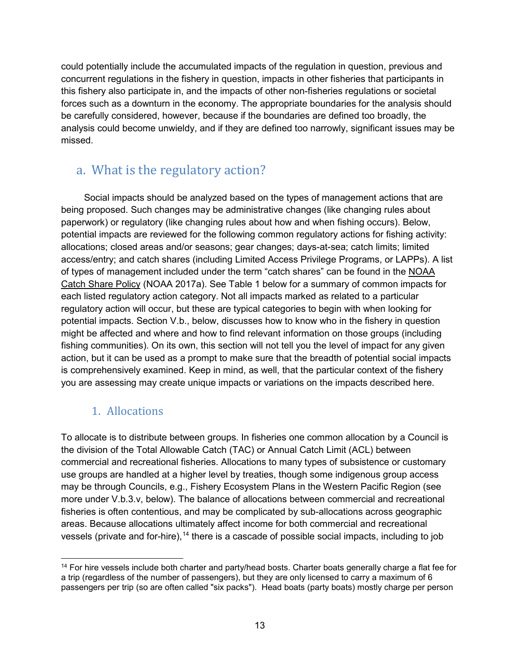could potentially include the accumulated impacts of the regulation in question, previous and concurrent regulations in the fishery in question, impacts in other fisheries that participants in this fishery also participate in, and the impacts of other non-fisheries regulations or societal forces such as a downturn in the economy. The appropriate boundaries for the analysis should be carefully considered, however, because if the boundaries are defined too broadly, the analysis could become unwieldy, and if they are defined too narrowly, significant issues may be missed.

## <span id="page-22-0"></span>a. What is the regulatory action?

Social impacts should be analyzed based on the types of management actions that are being proposed. Such changes may be administrative changes (like changing rules about paperwork) or regulatory (like changing rules about how and when fishing occurs). Below, potential impacts are reviewed for the following common regulatory actions for fishing activity: allocations; closed areas and/or seasons; gear changes; days-at-sea; catch limits; limited access/entry; and catch shares (including Limited Access Privilege Programs, or LAPPs). A list of types of management included under the term "catch shares" can be found in the [NOAA](https://media.fisheries.noaa.gov/dam-migration/01-121.pdf)  [Catch Share Policy](https://media.fisheries.noaa.gov/dam-migration/01-121.pdf) (NOAA 2017a). See Table 1 below for a summary of common impacts for each listed regulatory action category. Not all impacts marked as related to a particular regulatory action will occur, but these are typical categories to begin with when looking for potential impacts. Section V.b., below, discusses how to know who in the fishery in question might be affected and where and how to find relevant information on those groups (including fishing communities). On its own, this section will not tell you the level of impact for any given action, but it can be used as a prompt to make sure that the breadth of potential social impacts is comprehensively examined. Keep in mind, as well, that the particular context of the fishery you are assessing may create unique impacts or variations on the impacts described here.

### 1. Allocations

<span id="page-22-1"></span>To allocate is to distribute between groups. In fisheries one common allocation by a Council is the division of the Total Allowable Catch (TAC) or Annual Catch Limit (ACL) between commercial and recreational fisheries. Allocations to many types of subsistence or customary use groups are handled at a higher level by treaties, though some indigenous group access may be through Councils, e.g., Fishery Ecosystem Plans in the Western Pacific Region (see more under V.b.3.v, below). The balance of allocations between commercial and recreational fisheries is often contentious, and may be complicated by sub-allocations across geographic areas. Because allocations ultimately affect income for both commercial and recreational vessels (private and for-hire),<sup>[14](#page-22-2)</sup> there is a cascade of possible social impacts, including to job

<span id="page-22-2"></span> <sup>14</sup> For hire vessels include both charter and party/head bosts. Charter boats generally charge a flat fee for a trip (regardless of the number of passengers), but they are only licensed to carry a maximum of 6 passengers per trip (so are often called "six packs"). Head boats (party boats) mostly charge per person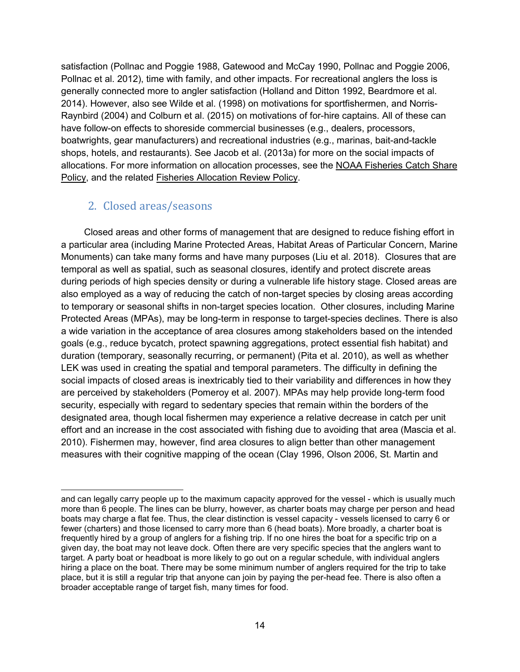satisfaction (Pollnac and Poggie 1988, Gatewood and McCay 1990, Pollnac and Poggie 2006, Pollnac et al. 2012), time with family, and other impacts. For recreational anglers the loss is generally connected more to angler satisfaction (Holland and Ditton 1992, Beardmore et al. 2014). However, also see Wilde et al. (1998) on motivations for sportfishermen, and Norris-Raynbird (2004) and Colburn et al. (2015) on motivations of for-hire captains. All of these can have follow-on effects to shoreside commercial businesses (e.g., dealers, processors, boatwrights, gear manufacturers) and recreational industries (e.g., marinas, bait-and-tackle shops, hotels, and restaurants). See Jacob et al. (2013a) for more on the social impacts of allocations. For more information on allocation processes, see the [NOAA Fisheries Catch Share](https://media.fisheries.noaa.gov/dam-migration/01-121.pdf)  [Policy,](https://media.fisheries.noaa.gov/dam-migration/01-121.pdf) and the related [Fisheries Allocation Review Policy.](https://media.fisheries.noaa.gov/dam-migration/01-119.pdf)

#### <span id="page-23-0"></span>2. Closed areas/seasons

 $\overline{a}$ 

Closed areas and other forms of management that are designed to reduce fishing effort in a particular area (including Marine Protected Areas, Habitat Areas of Particular Concern, Marine Monuments) can take many forms and have many purposes (Liu et al. 2018). Closures that are temporal as well as spatial, such as seasonal closures, identify and protect discrete areas during periods of high species density or during a vulnerable life history stage. Closed areas are also employed as a way of reducing the catch of non-target species by closing areas according to temporary or seasonal shifts in non-target species location. Other closures, including Marine Protected Areas (MPAs), may be long-term in response to target-species declines. There is also a wide variation in the acceptance of area closures among stakeholders based on the intended goals (e.g., reduce bycatch, protect spawning aggregations, protect essential fish habitat) and duration (temporary, seasonally recurring, or permanent) (Pita et al. 2010), as well as whether LEK was used in creating the spatial and temporal parameters. The difficulty in defining the social impacts of closed areas is inextricably tied to their variability and differences in how they are perceived by stakeholders (Pomeroy et al. 2007). MPAs may help provide long-term food security, especially with regard to sedentary species that remain within the borders of the designated area, though local fishermen may experience a relative decrease in catch per unit effort and an increase in the cost associated with fishing due to avoiding that area (Mascia et al. 2010). Fishermen may, however, find area closures to align better than other management measures with their cognitive mapping of the ocean (Clay 1996, Olson 2006, St. Martin and

and can legally carry people up to the maximum capacity approved for the vessel - which is usually much more than 6 people. The lines can be blurry, however, as charter boats may charge per person and head boats may charge a flat fee. Thus, the clear distinction is vessel capacity - vessels licensed to carry 6 or fewer (charters) and those licensed to carry more than 6 (head boats). More broadly, a charter boat is frequently hired by a group of anglers for a fishing trip. If no one hires the boat for a specific trip on a given day, the boat may not leave dock. Often there are very specific species that the anglers want to target. A party boat or headboat is more likely to go out on a regular schedule, with individual anglers hiring a place on the boat. There may be some minimum number of anglers required for the trip to take place, but it is still a regular trip that anyone can join by paying the per-head fee. There is also often a broader acceptable range of target fish, many times for food.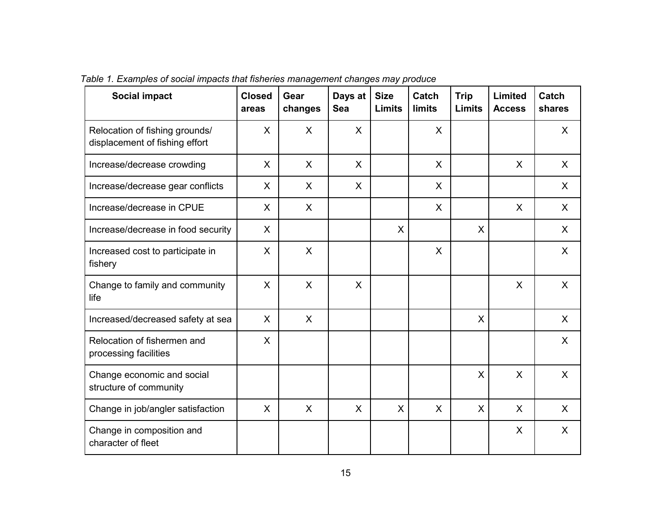| <b>Social impact</b>                                             | <b>Closed</b><br>areas | Gear<br>changes | Days at<br><b>Sea</b> | <b>Size</b><br><b>Limits</b> | Catch<br><b>limits</b> | <b>Trip</b><br><b>Limits</b> | Limited<br><b>Access</b> | Catch<br>shares |
|------------------------------------------------------------------|------------------------|-----------------|-----------------------|------------------------------|------------------------|------------------------------|--------------------------|-----------------|
| Relocation of fishing grounds/<br>displacement of fishing effort | $\mathsf{X}$           | $\sf X$         | $\mathsf{X}$          |                              | $\mathsf{X}$           |                              |                          | $\mathsf{X}$    |
| Increase/decrease crowding                                       | $\sf X$                | $\mathsf{X}$    | $\mathsf{X}$          |                              | X                      |                              | $\mathsf{X}$             | $\sf X$         |
| Increase/decrease gear conflicts                                 | X                      | $\mathsf{X}$    | X                     |                              | X                      |                              |                          | X               |
| Increase/decrease in CPUE                                        | X                      | X               |                       |                              | X                      |                              | $\mathsf{X}$             | $\mathsf{X}$    |
| Increase/decrease in food security                               | X                      |                 |                       | X                            |                        | X                            |                          | $\mathsf{X}$    |
| Increased cost to participate in<br>fishery                      | $\mathsf{X}$           | $\sf X$         |                       |                              | $\sf X$                |                              |                          | $\sf X$         |
| Change to family and community<br>life                           | X                      | X               | X                     |                              |                        |                              | $\mathsf{X}$             | $\mathsf{X}$    |
| Increased/decreased safety at sea                                | $\mathsf{X}$           | $\sf X$         |                       |                              |                        | $\mathsf{X}$                 |                          | $\sf X$         |
| Relocation of fishermen and<br>processing facilities             | $\mathsf{X}$           |                 |                       |                              |                        |                              |                          | $\mathsf{X}$    |
| Change economic and social<br>structure of community             |                        |                 |                       |                              |                        | X                            | $\mathsf{X}$             | $\mathsf{X}$    |
| Change in job/angler satisfaction                                | $\mathsf{X}$           | $\mathsf{X}$    | $\mathsf{X}$          | $\mathsf{X}$                 | $\sf X$                | $\mathsf{X}$                 | $\mathsf{X}$             | $\mathsf{X}$    |
| Change in composition and<br>character of fleet                  |                        |                 |                       |                              |                        |                              | X                        | X               |

*Table 1. Examples of social impacts that fisheries management changes may produce*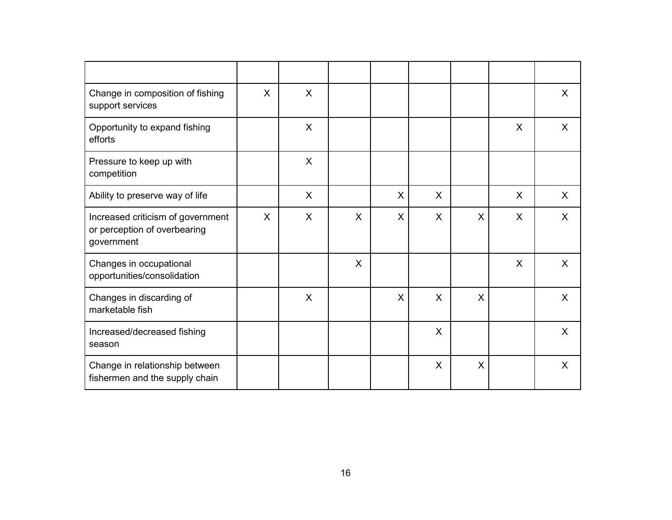| Change in composition of fishing<br>support services                            | $\sf X$      | $\mathsf{X}$ |              |   |              |   |         | $\mathsf{X}$ |
|---------------------------------------------------------------------------------|--------------|--------------|--------------|---|--------------|---|---------|--------------|
| Opportunity to expand fishing<br>efforts                                        |              | X            |              |   |              |   | X       | X            |
| Pressure to keep up with<br>competition                                         |              | X            |              |   |              |   |         |              |
| Ability to preserve way of life                                                 |              | X            |              | X | X            |   | X       | X            |
| Increased criticism of government<br>or perception of overbearing<br>government | $\mathsf{X}$ | X            | $\mathsf{X}$ | X | X            | X | X       | $\sf X$      |
| Changes in occupational<br>opportunities/consolidation                          |              |              | $\mathsf{X}$ |   |              |   | $\sf X$ | $\sf X$      |
| Changes in discarding of<br>marketable fish                                     |              | X            |              | X | X            | X |         | X            |
| Increased/decreased fishing<br>season                                           |              |              |              |   | $\mathsf{X}$ |   |         | $\sf X$      |
| Change in relationship between<br>fishermen and the supply chain                |              |              |              |   | X            | X |         | X            |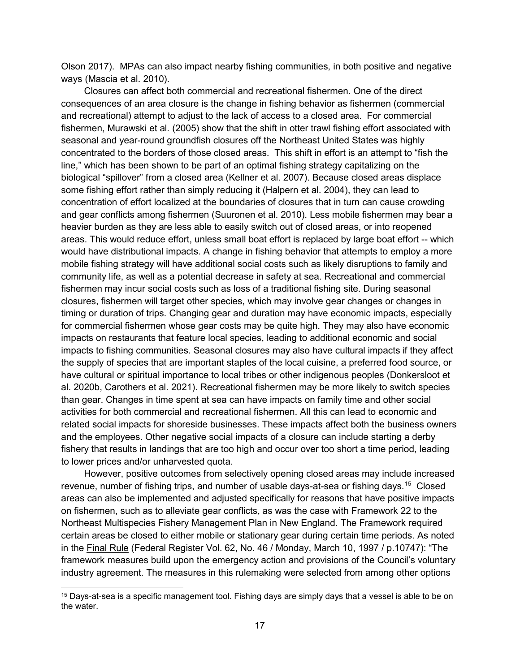Olson 2017). MPAs can also impact nearby fishing communities, in both positive and negative ways (Mascia et al. 2010).

Closures can affect both commercial and recreational fishermen. One of the direct consequences of an area closure is the change in fishing behavior as fishermen (commercial and recreational) attempt to adjust to the lack of access to a closed area. For commercial fishermen, Murawski et al. (2005) show that the shift in otter trawl fishing effort associated with seasonal and year-round groundfish closures off the Northeast United States was highly concentrated to the borders of those closed areas. This shift in effort is an attempt to "fish the line," which has been shown to be part of an optimal fishing strategy capitalizing on the biological "spillover" from a closed area (Kellner et al. 2007). Because closed areas displace some fishing effort rather than simply reducing it (Halpern et al. 2004), they can lead to concentration of effort localized at the boundaries of closures that in turn can cause crowding and gear conflicts among fishermen (Suuronen et al. 2010). Less mobile fishermen may bear a heavier burden as they are less able to easily switch out of closed areas, or into reopened areas. This would reduce effort, unless small boat effort is replaced by large boat effort -- which would have distributional impacts. A change in fishing behavior that attempts to employ a more mobile fishing strategy will have additional social costs such as likely disruptions to family and community life, as well as a potential decrease in safety at sea. Recreational and commercial fishermen may incur social costs such as loss of a traditional fishing site. During seasonal closures, fishermen will target other species, which may involve gear changes or changes in timing or duration of trips. Changing gear and duration may have economic impacts, especially for commercial fishermen whose gear costs may be quite high. They may also have economic impacts on restaurants that feature local species, leading to additional economic and social impacts to fishing communities. Seasonal closures may also have cultural impacts if they affect the supply of species that are important staples of the local cuisine, a preferred food source, or have cultural or spiritual importance to local tribes or other indigenous peoples (Donkersloot et al. 2020b, Carothers et al. 2021). Recreational fishermen may be more likely to switch species than gear. Changes in time spent at sea can have impacts on family time and other social activities for both commercial and recreational fishermen. All this can lead to economic and related social impacts for shoreside businesses. These impacts affect both the business owners and the employees. Other negative social impacts of a closure can include starting a derby fishery that results in landings that are too high and occur over too short a time period, leading to lower prices and/or unharvested quota.

However, positive outcomes from selectively opening closed areas may include increased revenue, number of fishing trips, and number of usable days-at-sea or fishing days.<sup>[15](#page-26-0)</sup> Closed areas can also be implemented and adjusted specifically for reasons that have positive impacts on fishermen, such as to alleviate gear conflicts, as was the case with Framework 22 to the Northeast Multispecies Fishery Management Plan in New England. The Framework required certain areas be closed to either mobile or stationary gear during certain time periods. As noted in the [Final Rule](https://www.nefmc.org/library/framework-22) (Federal Register Vol. 62, No. 46 / Monday, March 10, 1997 / p.10747): "The framework measures build upon the emergency action and provisions of the Council's voluntary industry agreement. The measures in this rulemaking were selected from among other options

<span id="page-26-0"></span><sup>&</sup>lt;sup>15</sup> Days-at-sea is a specific management tool. Fishing days are simply days that a vessel is able to be on the water.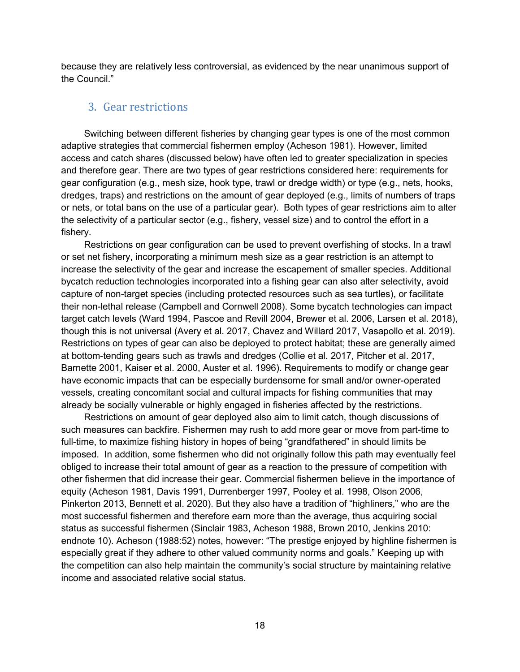because they are relatively less controversial, as evidenced by the near unanimous support of the Council."

#### <span id="page-27-0"></span>3. Gear restrictions

Switching between different fisheries by changing gear types is one of the most common adaptive strategies that commercial fishermen employ (Acheson 1981). However, limited access and catch shares (discussed below) have often led to greater specialization in species and therefore gear. There are two types of gear restrictions considered here: requirements for gear configuration (e.g., mesh size, hook type, trawl or dredge width) or type (e.g., nets, hooks, dredges, traps) and restrictions on the amount of gear deployed (e.g., limits of numbers of traps or nets, or total bans on the use of a particular gear). Both types of gear restrictions aim to alter the selectivity of a particular sector (e.g., fishery, vessel size) and to control the effort in a fishery.

Restrictions on gear configuration can be used to prevent overfishing of stocks. In a trawl or set net fishery, incorporating a minimum mesh size as a gear restriction is an attempt to increase the selectivity of the gear and increase the escapement of smaller species. Additional bycatch reduction technologies incorporated into a fishing gear can also alter selectivity, avoid capture of non-target species (including protected resources such as sea turtles), or facilitate their non-lethal release (Campbell and Cornwell 2008). Some bycatch technologies can impact target catch levels (Ward 1994, Pascoe and Revill 2004, Brewer et al. 2006, Larsen et al. 2018), though this is not universal (Avery et al. 2017, Chavez and Willard 2017, Vasapollo et al. 2019). Restrictions on types of gear can also be deployed to protect habitat; these are generally aimed at bottom-tending gears such as trawls and dredges (Collie et al. 2017, Pitcher et al. 2017, Barnette 2001, Kaiser et al. 2000, Auster et al. 1996). Requirements to modify or change gear have economic impacts that can be especially burdensome for small and/or owner-operated vessels, creating concomitant social and cultural impacts for fishing communities that may already be socially vulnerable or highly engaged in fisheries affected by the restrictions.

Restrictions on amount of gear deployed also aim to limit catch, though discussions of such measures can backfire. Fishermen may rush to add more gear or move from part-time to full-time, to maximize fishing history in hopes of being "grandfathered" in should limits be imposed. In addition, some fishermen who did not originally follow this path may eventually feel obliged to increase their total amount of gear as a reaction to the pressure of competition with other fishermen that did increase their gear. Commercial fishermen believe in the importance of equity (Acheson 1981, Davis 1991, Durrenberger 1997, Pooley et al. 1998, Olson 2006, Pinkerton 2013, Bennett et al. 2020). But they also have a tradition of "highliners," who are the most successful fishermen and therefore earn more than the average, thus acquiring social status as successful fishermen (Sinclair 1983, Acheson 1988, Brown 2010, Jenkins 2010: endnote 10). Acheson (1988:52) notes, however: "The prestige enjoyed by highline fishermen is especially great if they adhere to other valued community norms and goals." Keeping up with the competition can also help maintain the community's social structure by maintaining relative income and associated relative social status.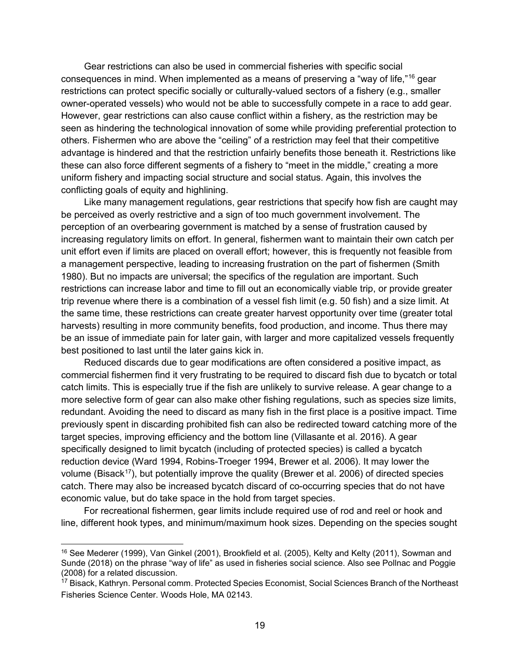Gear restrictions can also be used in commercial fisheries with specific social consequences in mind. When implemented as a means of preserving a "way of life,"[16](#page-28-0) gear restrictions can protect specific socially or culturally-valued sectors of a fishery (e.g., smaller owner-operated vessels) who would not be able to successfully compete in a race to add gear. However, gear restrictions can also cause conflict within a fishery, as the restriction may be seen as hindering the technological innovation of some while providing preferential protection to others. Fishermen who are above the "ceiling" of a restriction may feel that their competitive advantage is hindered and that the restriction unfairly benefits those beneath it. Restrictions like these can also force different segments of a fishery to "meet in the middle," creating a more uniform fishery and impacting social structure and social status. Again, this involves the conflicting goals of equity and highlining.

Like many management regulations, gear restrictions that specify how fish are caught may be perceived as overly restrictive and a sign of too much government involvement. The perception of an overbearing government is matched by a sense of frustration caused by increasing regulatory limits on effort. In general, fishermen want to maintain their own catch per unit effort even if limits are placed on overall effort; however, this is frequently not feasible from a management perspective, leading to increasing frustration on the part of fishermen (Smith 1980). But no impacts are universal; the specifics of the regulation are important. Such restrictions can increase labor and time to fill out an economically viable trip, or provide greater trip revenue where there is a combination of a vessel fish limit (e.g. 50 fish) and a size limit. At the same time, these restrictions can create greater harvest opportunity over time (greater total harvests) resulting in more community benefits, food production, and income. Thus there may be an issue of immediate pain for later gain, with larger and more capitalized vessels frequently best positioned to last until the later gains kick in.

Reduced discards due to gear modifications are often considered a positive impact, as commercial fishermen find it very frustrating to be required to discard fish due to bycatch or total catch limits. This is especially true if the fish are unlikely to survive release. A gear change to a more selective form of gear can also make other fishing regulations, such as species size limits, redundant. Avoiding the need to discard as many fish in the first place is a positive impact. Time previously spent in discarding prohibited fish can also be redirected toward catching more of the target species, improving efficiency and the bottom line (Villasante et al. 2016). A gear specifically designed to limit bycatch (including of protected species) is called a bycatch reduction device (Ward 1994, Robins-Troeger 1994, Brewer et al. 2006). It may lower the volume (Bisack<sup>17</sup>), but potentially improve the quality (Brewer et al. 2006) of directed species catch. There may also be increased bycatch discard of co-occurring species that do not have economic value, but do take space in the hold from target species.

For recreational fishermen, gear limits include required use of rod and reel or hook and line, different hook types, and minimum/maximum hook sizes. Depending on the species sought

<span id="page-28-0"></span> <sup>16</sup> See Mederer (1999), Van Ginkel (2001), Brookfield et al. (2005), Kelty and Kelty (2011), Sowman and Sunde (2018) on the phrase "way of life" as used in fisheries social science. Also see Pollnac and Poggie (2008) for a related discussion.

<span id="page-28-1"></span><sup>&</sup>lt;sup>17</sup> Bisack, Kathryn. Personal comm. Protected Species Economist, Social Sciences Branch of the Northeast Fisheries Science Center. Woods Hole, MA 02143.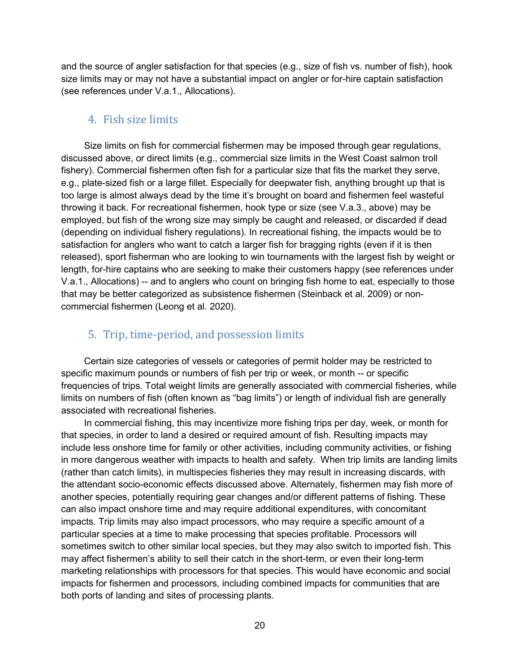and the source of angler satisfaction for that species (e.g., size of fish vs. number of fish), hook size limits may or may not have a substantial impact on angler or for-hire captain satisfaction (see references under V.a.1., Allocations).

#### <span id="page-29-0"></span>4. Fish size limits

Size limits on fish for commercial fishermen may be imposed through gear regulations, discussed above, or direct limits (e.g., commercial size limits in the West Coast salmon troll fishery). Commercial fishermen often fish for a particular size that fits the market they serve, e.g., plate-sized fish or a large fillet. Especially for deepwater fish, anything brought up that is too large is almost always dead by the time it's brought on board and fishermen feel wasteful throwing it back. For recreational fishermen, hook type or size (see V.a.3., above) may be employed, but fish of the wrong size may simply be caught and released, or discarded if dead (depending on individual fishery regulations). In recreational fishing, the impacts would be to satisfaction for anglers who want to catch a larger fish for bragging rights (even if it is then released), sport fisherman who are looking to win tournaments with the largest fish by weight or length, for-hire captains who are seeking to make their customers happy (see references under V.a.1., Allocations) -- and to anglers who count on bringing fish home to eat, especially to those that may be better categorized as subsistence fishermen (Steinback et al. 2009) or noncommercial fishermen (Leong et al. 2020).

### <span id="page-29-1"></span>5. Trip, time-period, and possession limits

Certain size categories of vessels or categories of permit holder may be restricted to specific maximum pounds or numbers of fish per trip or week, or month -- or specific frequencies of trips. Total weight limits are generally associated with commercial fisheries, while limits on numbers of fish (often known as "bag limits") or length of individual fish are generally associated with recreational fisheries.

In commercial fishing, this may incentivize more fishing trips per day, week, or month for that species, in order to land a desired or required amount of fish. Resulting impacts may include less onshore time for family or other activities, including community activities, or fishing in more dangerous weather with impacts to health and safety. When trip limits are landing limits (rather than catch limits), in multispecies fisheries they may result in increasing discards, with the attendant socio-economic effects discussed above. Alternately, fishermen may fish more of another species, potentially requiring gear changes and/or different patterns of fishing. These can also impact onshore time and may require additional expenditures, with concomitant impacts. Trip limits may also impact processors, who may require a specific amount of a particular species at a time to make processing that species profitable. Processors will sometimes switch to other similar local species, but they may also switch to imported fish. This may affect fishermen's ability to sell their catch in the short-term, or even their long-term marketing relationships with processors for that species. This would have economic and social impacts for fishermen and processors, including combined impacts for communities that are both ports of landing and sites of processing plants.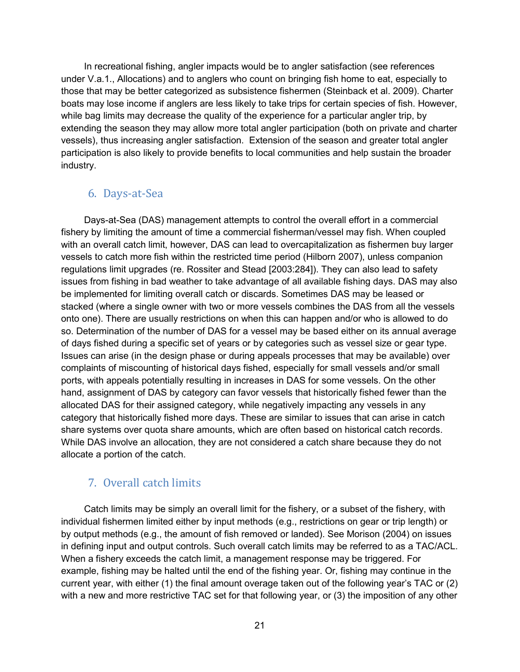In recreational fishing, angler impacts would be to angler satisfaction (see references under V.a.1., Allocations) and to anglers who count on bringing fish home to eat, especially to those that may be better categorized as subsistence fishermen (Steinback et al. 2009). Charter boats may lose income if anglers are less likely to take trips for certain species of fish. However, while bag limits may decrease the quality of the experience for a particular angler trip, by extending the season they may allow more total angler participation (both on private and charter vessels), thus increasing angler satisfaction. Extension of the season and greater total angler participation is also likely to provide benefits to local communities and help sustain the broader industry.

#### <span id="page-30-0"></span>6. Days-at-Sea

Days-at-Sea (DAS) management attempts to control the overall effort in a commercial fishery by limiting the amount of time a commercial fisherman/vessel may fish. When coupled with an overall catch limit, however, DAS can lead to overcapitalization as fishermen buy larger vessels to catch more fish within the restricted time period (Hilborn 2007), unless companion regulations limit upgrades (re. Rossiter and Stead [2003:284]). They can also lead to safety issues from fishing in bad weather to take advantage of all available fishing days. DAS may also be implemented for limiting overall catch or discards. Sometimes DAS may be leased or stacked (where a single owner with two or more vessels combines the DAS from all the vessels onto one). There are usually restrictions on when this can happen and/or who is allowed to do so. Determination of the number of DAS for a vessel may be based either on its annual average of days fished during a specific set of years or by categories such as vessel size or gear type. Issues can arise (in the design phase or during appeals processes that may be available) over complaints of miscounting of historical days fished, especially for small vessels and/or small ports, with appeals potentially resulting in increases in DAS for some vessels. On the other hand, assignment of DAS by category can favor vessels that historically fished fewer than the allocated DAS for their assigned category, while negatively impacting any vessels in any category that historically fished more days. These are similar to issues that can arise in catch share systems over quota share amounts, which are often based on historical catch records. While DAS involve an allocation, they are not considered a catch share because they do not allocate a portion of the catch.

#### <span id="page-30-1"></span>7. Overall catch limits

Catch limits may be simply an overall limit for the fishery, or a subset of the fishery, with individual fishermen limited either by input methods (e.g., restrictions on gear or trip length) or by output methods (e.g., the amount of fish removed or landed). See Morison (2004) on issues in defining input and output controls. Such overall catch limits may be referred to as a TAC/ACL. When a fishery exceeds the catch limit, a management response may be triggered. For example, fishing may be halted until the end of the fishing year. Or, fishing may continue in the current year, with either (1) the final amount overage taken out of the following year's TAC or (2) with a new and more restrictive TAC set for that following year, or (3) the imposition of any other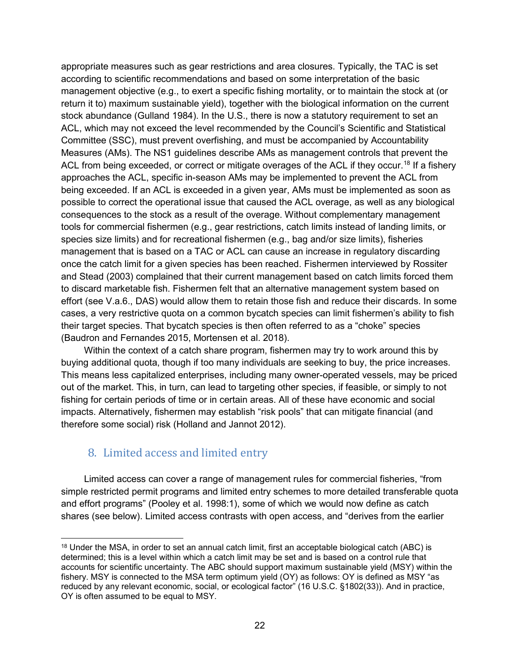appropriate measures such as gear restrictions and area closures. Typically, the TAC is set according to scientific recommendations and based on some interpretation of the basic management objective (e.g., to exert a specific fishing mortality, or to maintain the stock at (or return it to) maximum sustainable yield), together with the biological information on the current stock abundance (Gulland 1984). In the U.S., there is now a statutory requirement to set an ACL, which may not exceed the level recommended by the Council's Scientific and Statistical Committee (SSC), must prevent overfishing, and must be accompanied by Accountability Measures (AMs). The NS1 guidelines describe AMs as management controls that prevent the ACL from being exceeded, or correct or mitigate overages of the ACL if they occur.<sup>18</sup> If a fishery approaches the ACL, specific in-season AMs may be implemented to prevent the ACL from being exceeded. If an ACL is exceeded in a given year, AMs must be implemented as soon as possible to correct the operational issue that caused the ACL overage, as well as any biological consequences to the stock as a result of the overage. Without complementary management tools for commercial fishermen (e.g., gear restrictions, catch limits instead of landing limits, or species size limits) and for recreational fishermen (e.g., bag and/or size limits), fisheries management that is based on a TAC or ACL can cause an increase in regulatory discarding once the catch limit for a given species has been reached. Fishermen interviewed by Rossiter and Stead (2003) complained that their current management based on catch limits forced them to discard marketable fish. Fishermen felt that an alternative management system based on effort (see V.a.6., DAS) would allow them to retain those fish and reduce their discards. In some cases, a very restrictive quota on a common bycatch species can limit fishermen's ability to fish their target species. That bycatch species is then often referred to as a "choke" species (Baudron and Fernandes 2015, Mortensen et al. 2018).

Within the context of a catch share program, fishermen may try to work around this by buying additional quota, though if too many individuals are seeking to buy, the price increases. This means less capitalized enterprises, including many owner-operated vessels, may be priced out of the market. This, in turn, can lead to targeting other species, if feasible, or simply to not fishing for certain periods of time or in certain areas. All of these have economic and social impacts. Alternatively, fishermen may establish "risk pools" that can mitigate financial (and therefore some social) risk (Holland and Jannot 2012).

#### <span id="page-31-0"></span>8. Limited access and limited entry

Limited access can cover a range of management rules for commercial fisheries, "from simple restricted permit programs and limited entry schemes to more detailed transferable quota and effort programs" (Pooley et al. 1998:1), some of which we would now define as catch shares (see below). Limited access contrasts with open access, and "derives from the earlier

<span id="page-31-1"></span><sup>&</sup>lt;sup>18</sup> Under the MSA, in order to set an annual catch limit, first an acceptable biological catch (ABC) is determined; this is a level within which a catch limit may be set and is based on a control rule that accounts for scientific uncertainty. The ABC should support maximum sustainable yield (MSY) within the fishery. MSY is connected to the MSA term optimum yield (OY) as follows: OY is defined as MSY "as reduced by any relevant economic, social, or ecological factor" (16 U.S.C. §1802(33)). And in practice, OY is often assumed to be equal to MSY.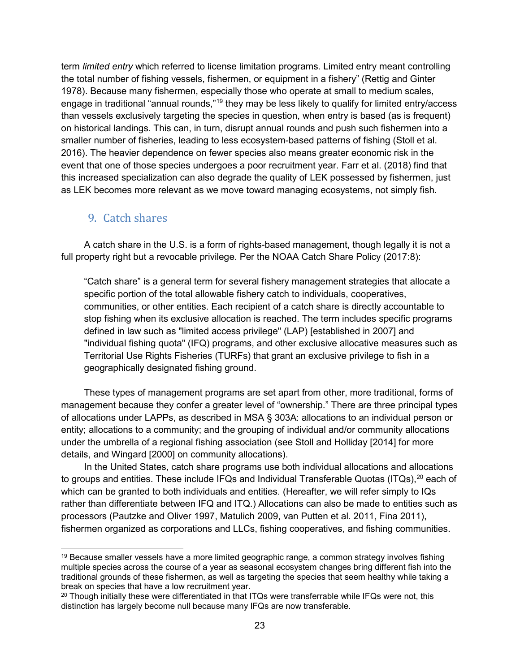term *limited entry* which referred to license limitation programs. Limited entry meant controlling the total number of fishing vessels, fishermen, or equipment in a fishery" (Rettig and Ginter 1978). Because many fishermen, especially those who operate at small to medium scales, engage in traditional "annual rounds,"<sup>[19](#page-32-1)</sup> they may be less likely to qualify for limited entry/access than vessels exclusively targeting the species in question, when entry is based (as is frequent) on historical landings. This can, in turn, disrupt annual rounds and push such fishermen into a smaller number of fisheries, leading to less ecosystem-based patterns of fishing (Stoll et al. 2016). The heavier dependence on fewer species also means greater economic risk in the event that one of those species undergoes a poor recruitment year. Farr et al. (2018) find that this increased specialization can also degrade the quality of LEK possessed by fishermen, just as LEK becomes more relevant as we move toward managing ecosystems, not simply fish.

#### <span id="page-32-0"></span>9. Catch shares

A catch share in the U.S. is a form of rights-based management, though legally it is not a full property right but a revocable privilege. Per the NOAA Catch Share Policy (2017:8):

"Catch share" is a general term for several fishery management strategies that allocate a specific portion of the total allowable fishery catch to individuals, cooperatives, communities, or other entities. Each recipient of a catch share is directly accountable to stop fishing when its exclusive allocation is reached. The term includes specific programs defined in law such as "limited access privilege" (LAP) [established in 2007] and "individual fishing quota" (IFQ) programs, and other exclusive allocative measures such as Territorial Use Rights Fisheries (TURFs) that grant an exclusive privilege to fish in a geographically designated fishing ground.

These types of management programs are set apart from other, more traditional, forms of management because they confer a greater level of "ownership." There are three principal types of allocations under LAPPs, as described in MSA § 303A: allocations to an individual person or entity; allocations to a community; and the grouping of individual and/or community allocations under the umbrella of a regional fishing association (see Stoll and Holliday [2014] for more details, and Wingard [2000] on community allocations).

In the United States, catch share programs use both individual allocations and allocations to groups and entities. These include IFQs and Individual Transferable Quotas (ITQs), $^{\rm 20}$  $^{\rm 20}$  $^{\rm 20}$  each of which can be granted to both individuals and entities. (Hereafter, we will refer simply to IQs rather than differentiate between IFQ and ITQ.) Allocations can also be made to entities such as processors (Pautzke and Oliver 1997, Matulich 2009, van Putten et al. 2011, Fina 2011), fishermen organized as corporations and LLCs, fishing cooperatives, and fishing communities.

<span id="page-32-1"></span> $19$  Because smaller vessels have a more limited geographic range, a common strategy involves fishing multiple species across the course of a year as seasonal ecosystem changes bring different fish into the traditional grounds of these fishermen, as well as targeting the species that seem healthy while taking a break on species that have a low recruitment year.

<span id="page-32-2"></span><sup>&</sup>lt;sup>20</sup> Though initially these were differentiated in that ITQs were transferrable while IFQs were not, this distinction has largely become null because many IFQs are now transferable.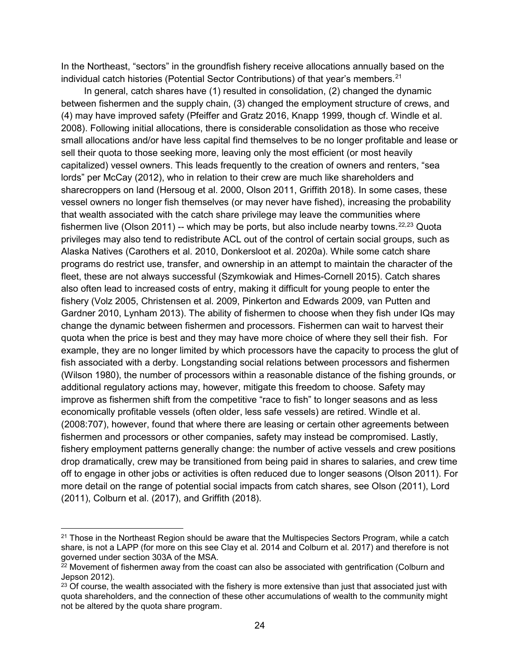In the Northeast, "sectors" in the groundfish fishery receive allocations annually based on the individual catch histories (Potential Sector Contributions) of that year's members. $2<sup>1</sup>$ 

In general, catch shares have (1) resulted in consolidation, (2) changed the dynamic between fishermen and the supply chain, (3) changed the employment structure of crews, and (4) may have improved safety (Pfeiffer and Gratz 2016, Knapp 1999, though cf. Windle et al. 2008). Following initial allocations, there is considerable consolidation as those who receive small allocations and/or have less capital find themselves to be no longer profitable and lease or sell their quota to those seeking more, leaving only the most efficient (or most heavily capitalized) vessel owners. This leads frequently to the creation of owners and renters, "sea lords" per McCay (2012), who in relation to their crew are much like shareholders and sharecroppers on land (Hersoug et al. 2000, Olson 2011, Griffith 2018). In some cases, these vessel owners no longer fish themselves (or may never have fished), increasing the probability that wealth associated with the catch share privilege may leave the communities where fishermen live (Olson 2011) -- which may be ports, but also include nearby towns.  $22,23$  $22,23$  $22,23$  Quota privileges may also tend to redistribute ACL out of the control of certain social groups, such as Alaska Natives (Carothers et al. 2010, Donkersloot et al. 2020a). While some catch share programs do restrict use, transfer, and ownership in an attempt to maintain the character of the fleet, these are not always successful (Szymkowiak and Himes-Cornell 2015). Catch shares also often lead to increased costs of entry, making it difficult for young people to enter the fishery (Volz 2005, Christensen et al. 2009, Pinkerton and Edwards 2009, van Putten and Gardner 2010, Lynham 2013). The ability of fishermen to choose when they fish under IQs may change the dynamic between fishermen and processors. Fishermen can wait to harvest their quota when the price is best and they may have more choice of where they sell their fish. For example, they are no longer limited by which processors have the capacity to process the glut of fish associated with a derby. Longstanding social relations between processors and fishermen (Wilson 1980), the number of processors within a reasonable distance of the fishing grounds, or additional regulatory actions may, however, mitigate this freedom to choose. Safety may improve as fishermen shift from the competitive "race to fish" to longer seasons and as less economically profitable vessels (often older, less safe vessels) are retired. Windle et al. (2008:707), however, found that where there are leasing or certain other agreements between fishermen and processors or other companies, safety may instead be compromised. Lastly, fishery employment patterns generally change: the number of active vessels and crew positions drop dramatically, crew may be transitioned from being paid in shares to salaries, and crew time off to engage in other jobs or activities is often reduced due to longer seasons (Olson 2011). For more detail on the range of potential social impacts from catch shares, see Olson (2011), Lord (2011), Colburn et al. (2017), and Griffith (2018).

<span id="page-33-0"></span> $21$  Those in the Northeast Region should be aware that the Multispecies Sectors Program, while a catch share, is not a LAPP (for more on this see Clay et al. 2014 and Colburn et al. 2017) and therefore is not governed under section 303A of the MSA.

<span id="page-33-1"></span><sup>&</sup>lt;sup>22</sup> Movement of fishermen away from the coast can also be associated with gentrification (Colburn and Jepson 2012).

<span id="page-33-2"></span> $23$  Of course, the wealth associated with the fishery is more extensive than just that associated just with quota shareholders, and the connection of these other accumulations of wealth to the community might not be altered by the quota share program.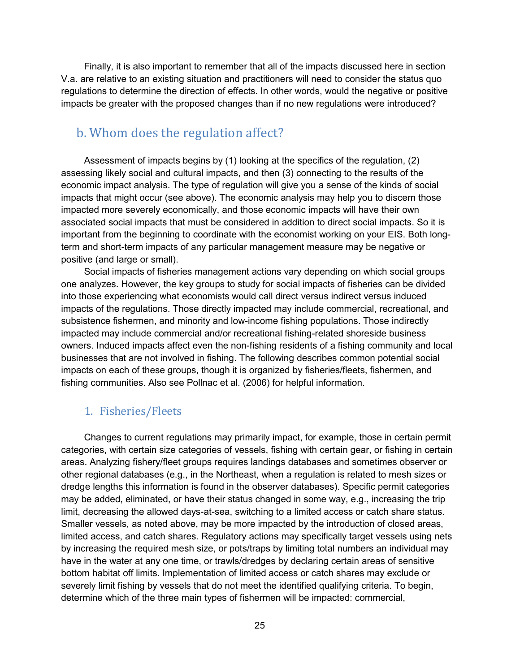Finally, it is also important to remember that all of the impacts discussed here in section V.a. are relative to an existing situation and practitioners will need to consider the status quo regulations to determine the direction of effects. In other words, would the negative or positive impacts be greater with the proposed changes than if no new regulations were introduced?

### <span id="page-34-0"></span>b. Whom does the regulation affect?

Assessment of impacts begins by (1) looking at the specifics of the regulation, (2) assessing likely social and cultural impacts, and then (3) connecting to the results of the economic impact analysis. The type of regulation will give you a sense of the kinds of social impacts that might occur (see above). The economic analysis may help you to discern those impacted more severely economically, and those economic impacts will have their own associated social impacts that must be considered in addition to direct social impacts. So it is important from the beginning to coordinate with the economist working on your EIS. Both longterm and short-term impacts of any particular management measure may be negative or positive (and large or small).

Social impacts of fisheries management actions vary depending on which social groups one analyzes. However, the key groups to study for social impacts of fisheries can be divided into those experiencing what economists would call direct versus indirect versus induced impacts of the regulations. Those directly impacted may include commercial, recreational, and subsistence fishermen, and minority and low-income fishing populations. Those indirectly impacted may include commercial and/or recreational fishing-related shoreside business owners. Induced impacts affect even the non-fishing residents of a fishing community and local businesses that are not involved in fishing. The following describes common potential social impacts on each of these groups, though it is organized by fisheries/fleets, fishermen, and fishing communities. Also see Pollnac et al. (2006) for helpful information.

#### <span id="page-34-1"></span>1. Fisheries/Fleets

Changes to current regulations may primarily impact, for example, those in certain permit categories, with certain size categories of vessels, fishing with certain gear, or fishing in certain areas. Analyzing fishery/fleet groups requires landings databases and sometimes observer or other regional databases (e.g., in the Northeast, when a regulation is related to mesh sizes or dredge lengths this information is found in the observer databases). Specific permit categories may be added, eliminated, or have their status changed in some way, e.g., increasing the trip limit, decreasing the allowed days-at-sea, switching to a limited access or catch share status. Smaller vessels, as noted above, may be more impacted by the introduction of closed areas, limited access, and catch shares. Regulatory actions may specifically target vessels using nets by increasing the required mesh size, or pots/traps by limiting total numbers an individual may have in the water at any one time, or trawls/dredges by declaring certain areas of sensitive bottom habitat off limits. Implementation of limited access or catch shares may exclude or severely limit fishing by vessels that do not meet the identified qualifying criteria. To begin, determine which of the three main types of fishermen will be impacted: commercial,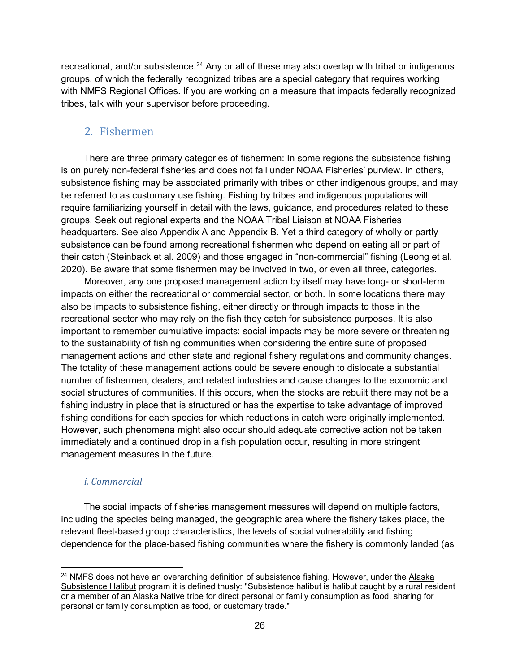recreational, and/or subsistence.<sup>[24](#page-35-1)</sup> Any or all of these may also overlap with tribal or indigenous groups, of which the federally recognized tribes are a special category that requires working with NMFS Regional Offices. If you are working on a measure that impacts federally recognized tribes, talk with your supervisor before proceeding.

### <span id="page-35-0"></span>2. Fishermen

There are three primary categories of fishermen: In some regions the subsistence fishing is on purely non-federal fisheries and does not fall under NOAA Fisheries' purview. In others, subsistence fishing may be associated primarily with tribes or other indigenous groups, and may be referred to as customary use fishing. Fishing by tribes and indigenous populations will require familiarizing yourself in detail with the laws, guidance, and procedures related to these groups. Seek out regional experts and the NOAA Tribal Liaison at NOAA Fisheries headquarters. See also Appendix A and Appendix B. Yet a third category of wholly or partly subsistence can be found among recreational fishermen who depend on eating all or part of their catch (Steinback et al. 2009) and those engaged in "non-commercial" fishing (Leong et al. 2020). Be aware that some fishermen may be involved in two, or even all three, categories.

Moreover, any one proposed management action by itself may have long- or short-term impacts on either the recreational or commercial sector, or both. In some locations there may also be impacts to subsistence fishing, either directly or through impacts to those in the recreational sector who may rely on the fish they catch for subsistence purposes. It is also important to remember cumulative impacts: social impacts may be more severe or threatening to the sustainability of fishing communities when considering the entire suite of proposed management actions and other state and regional fishery regulations and community changes. The totality of these management actions could be severe enough to dislocate a substantial number of fishermen, dealers, and related industries and cause changes to the economic and social structures of communities. If this occurs, when the stocks are rebuilt there may not be a fishing industry in place that is structured or has the expertise to take advantage of improved fishing conditions for each species for which reductions in catch were originally implemented. However, such phenomena might also occur should adequate corrective action not be taken immediately and a continued drop in a fish population occur, resulting in more stringent management measures in the future.

#### *i. Commercial*

The social impacts of fisheries management measures will depend on multiple factors, including the species being managed, the geographic area where the fishery takes place, the relevant fleet-based group characteristics, the levels of social vulnerability and fishing dependence for the place-based fishing communities where the fishery is commonly landed (as

<span id="page-35-1"></span><sup>&</sup>lt;sup>24</sup> NMFS does not have an overarching definition of subsistence fishing. However, under the Alaska [Subsistence Halibut](https://www.fisheries.noaa.gov/alaska/sustainable-fisheries/subsistence-halibut-fishing-alaska) program it is defined thusly: "Subsistence halibut is halibut caught by a rural resident or a member of an Alaska Native tribe for direct personal or family consumption as food, sharing for personal or family consumption as food, or customary trade."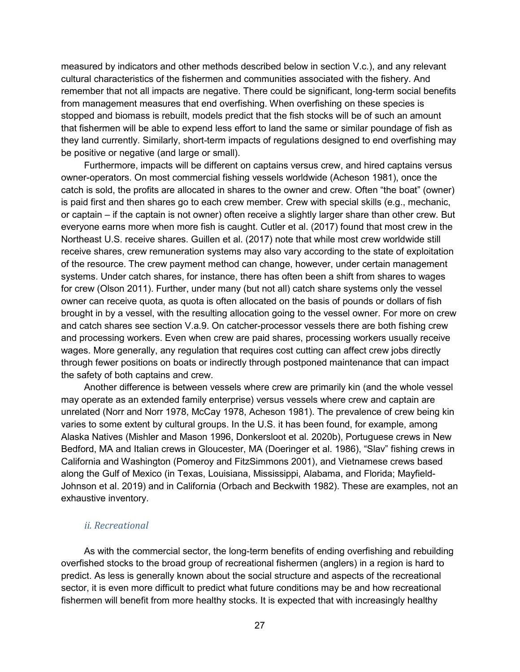measured by indicators and other methods described below in section V.c.), and any relevant cultural characteristics of the fishermen and communities associated with the fishery. And remember that not all impacts are negative. There could be significant, long-term social benefits from management measures that end overfishing. When overfishing on these species is stopped and biomass is rebuilt, models predict that the fish stocks will be of such an amount that fishermen will be able to expend less effort to land the same or similar poundage of fish as they land currently. Similarly, short-term impacts of regulations designed to end overfishing may be positive or negative (and large or small).

Furthermore, impacts will be different on captains versus crew, and hired captains versus owner-operators. On most commercial fishing vessels worldwide (Acheson 1981), once the catch is sold, the profits are allocated in shares to the owner and crew. Often "the boat" (owner) is paid first and then shares go to each crew member. Crew with special skills (e.g., mechanic, or captain – if the captain is not owner) often receive a slightly larger share than other crew. But everyone earns more when more fish is caught. Cutler et al. (2017) found that most crew in the Northeast U.S. receive shares. Guillen et al. (2017) note that while most crew worldwide still receive shares, crew remuneration systems may also vary according to the state of exploitation of the resource. The crew payment method can change, however, under certain management systems. Under catch shares, for instance, there has often been a shift from shares to wages for crew (Olson 2011). Further, under many (but not all) catch share systems only the vessel owner can receive quota, as quota is often allocated on the basis of pounds or dollars of fish brought in by a vessel, with the resulting allocation going to the vessel owner. For more on crew and catch shares see section V.a.9. On catcher-processor vessels there are both fishing crew and processing workers. Even when crew are paid shares, processing workers usually receive wages. More generally, any regulation that requires cost cutting can affect crew jobs directly through fewer positions on boats or indirectly through postponed maintenance that can impact the safety of both captains and crew.

Another difference is between vessels where crew are primarily kin (and the whole vessel may operate as an extended family enterprise) versus vessels where crew and captain are unrelated (Norr and Norr 1978, McCay 1978, Acheson 1981). The prevalence of crew being kin varies to some extent by cultural groups. In the U.S. it has been found, for example, among Alaska Natives (Mishler and Mason 1996, Donkersloot et al. 2020b), Portuguese crews in New Bedford, MA and Italian crews in Gloucester, MA (Doeringer et al. 1986), "Slav" fishing crews in California and Washington (Pomeroy and FitzSimmons 2001), and Vietnamese crews based along the Gulf of Mexico (in Texas, Louisiana, Mississippi, Alabama, and Florida; Mayfield-Johnson et al. 2019) and in California (Orbach and Beckwith 1982). These are examples, not an exhaustive inventory.

#### *ii. Recreational*

As with the commercial sector, the long-term benefits of ending overfishing and rebuilding overfished stocks to the broad group of recreational fishermen (anglers) in a region is hard to predict. As less is generally known about the social structure and aspects of the recreational sector, it is even more difficult to predict what future conditions may be and how recreational fishermen will benefit from more healthy stocks. It is expected that with increasingly healthy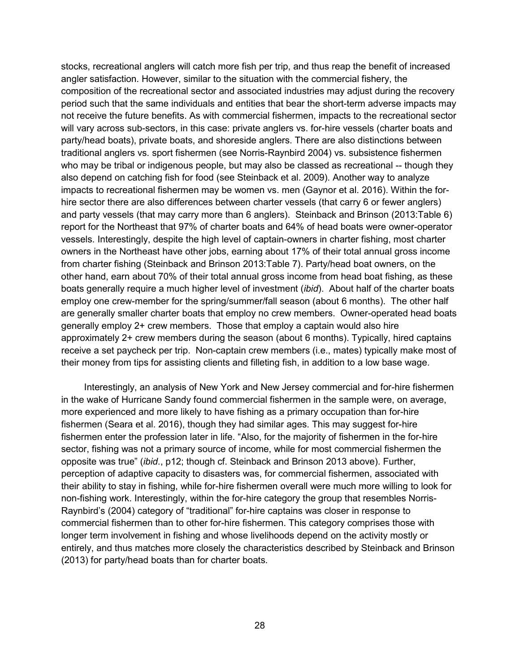stocks, recreational anglers will catch more fish per trip, and thus reap the benefit of increased angler satisfaction. However, similar to the situation with the commercial fishery, the composition of the recreational sector and associated industries may adjust during the recovery period such that the same individuals and entities that bear the short-term adverse impacts may not receive the future benefits. As with commercial fishermen, impacts to the recreational sector will vary across sub-sectors, in this case: private anglers vs. for-hire vessels (charter boats and party/head boats), private boats, and shoreside anglers. There are also distinctions between traditional anglers vs. sport fishermen (see Norris-Raynbird 2004) vs. subsistence fishermen who may be tribal or indigenous people, but may also be classed as recreational -- though they also depend on catching fish for food (see Steinback et al. 2009). Another way to analyze impacts to recreational fishermen may be women vs. men (Gaynor et al. 2016). Within the forhire sector there are also differences between charter vessels (that carry 6 or fewer anglers) and party vessels (that may carry more than 6 anglers). Steinback and Brinson (2013:Table 6) report for the Northeast that 97% of charter boats and 64% of head boats were owner-operator vessels. Interestingly, despite the high level of captain-owners in charter fishing, most charter owners in the Northeast have other jobs, earning about 17% of their total annual gross income from charter fishing (Steinback and Brinson 2013:Table 7). Party/head boat owners, on the other hand, earn about 70% of their total annual gross income from head boat fishing, as these boats generally require a much higher level of investment (*ibid*). About half of the charter boats employ one crew-member for the spring/summer/fall season (about 6 months). The other half are generally smaller charter boats that employ no crew members. Owner-operated head boats generally employ 2+ crew members. Those that employ a captain would also hire approximately 2+ crew members during the season (about 6 months). Typically, hired captains receive a set paycheck per trip. Non-captain crew members (i.e., mates) typically make most of their money from tips for assisting clients and filleting fish, in addition to a low base wage.

Interestingly, an analysis of New York and New Jersey commercial and for-hire fishermen in the wake of Hurricane Sandy found commercial fishermen in the sample were, on average, more experienced and more likely to have fishing as a primary occupation than for-hire fishermen (Seara et al. 2016), though they had similar ages. This may suggest for-hire fishermen enter the profession later in life. "Also, for the majority of fishermen in the for-hire sector, fishing was not a primary source of income, while for most commercial fishermen the opposite was true" (*ibid*., p12; though cf. Steinback and Brinson 2013 above). Further, perception of adaptive capacity to disasters was, for commercial fishermen, associated with their ability to stay in fishing, while for-hire fishermen overall were much more willing to look for non-fishing work. Interestingly, within the for-hire category the group that resembles Norris-Raynbird's (2004) category of "traditional" for-hire captains was closer in response to commercial fishermen than to other for-hire fishermen. This category comprises those with longer term involvement in fishing and whose livelihoods depend on the activity mostly or entirely, and thus matches more closely the characteristics described by Steinback and Brinson (2013) for party/head boats than for charter boats.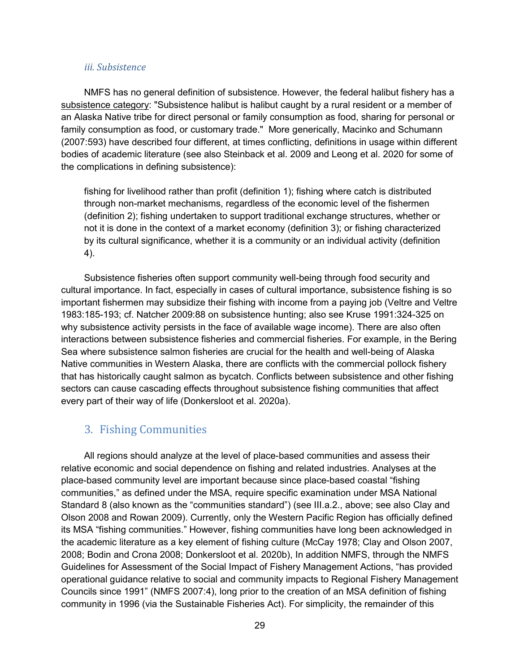#### *iii. Subsistence*

NMFS has no general definition of subsistence. However, the federal halibut fishery has a [subsistence category:](https://www.fisheries.noaa.gov/alaska/subsistence-fishing/frequently-asked-questions-alaska-subsistence-halibut-program) "Subsistence halibut is halibut caught by a rural resident or a member of an Alaska Native tribe for direct personal or family consumption as food, sharing for personal or family consumption as food, or customary trade." More generically, Macinko and Schumann (2007:593) have described four different, at times conflicting, definitions in usage within different bodies of academic literature (see also Steinback et al. 2009 and Leong et al. 2020 for some of the complications in defining subsistence):

fishing for livelihood rather than profit (definition 1); fishing where catch is distributed through non-market mechanisms, regardless of the economic level of the fishermen (definition 2); fishing undertaken to support traditional exchange structures, whether or not it is done in the context of a market economy (definition 3); or fishing characterized by its cultural significance, whether it is a community or an individual activity (definition 4).

Subsistence fisheries often support community well-being through food security and cultural importance. In fact, especially in cases of cultural importance, subsistence fishing is so important fishermen may subsidize their fishing with income from a paying job (Veltre and Veltre 1983:185-193; cf. Natcher 2009:88 on subsistence hunting; also see Kruse 1991:324-325 on why subsistence activity persists in the face of available wage income). There are also often interactions between subsistence fisheries and commercial fisheries. For example, in the Bering Sea where subsistence salmon fisheries are crucial for the health and well-being of Alaska Native communities in Western Alaska, there are conflicts with the commercial pollock fishery that has historically caught salmon as bycatch. Conflicts between subsistence and other fishing sectors can cause cascading effects throughout subsistence fishing communities that affect every part of their way of life (Donkersloot et al. 2020a).

#### 3. Fishing Communities

All regions should analyze at the level of place-based communities and assess their relative economic and social dependence on fishing and related industries. Analyses at the place-based community level are important because since place-based coastal "fishing communities," as defined under the MSA, require specific examination under MSA National Standard 8 (also known as the "communities standard") (see III.a.2., above; see also Clay and Olson 2008 and Rowan 2009). Currently, only the Western Pacific Region has officially defined its MSA "fishing communities." However, fishing communities have long been acknowledged in the academic literature as a key element of fishing culture (McCay 1978; Clay and Olson 2007, 2008; Bodin and Crona 2008; Donkersloot et al. 2020b), In addition NMFS, through the NMFS Guidelines for Assessment of the Social Impact of Fishery Management Actions, "has provided operational guidance relative to social and community impacts to Regional Fishery Management Councils since 1991" (NMFS 2007:4), long prior to the creation of an MSA definition of fishing community in 1996 (via the Sustainable Fisheries Act). For simplicity, the remainder of this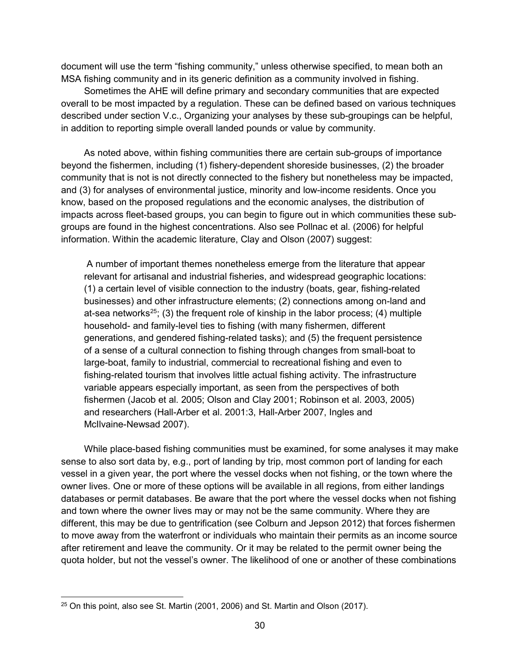document will use the term "fishing community," unless otherwise specified, to mean both an MSA fishing community and in its generic definition as a community involved in fishing.

Sometimes the AHE will define primary and secondary communities that are expected overall to be most impacted by a regulation. These can be defined based on various techniques described under section V.c., Organizing your analyses by these sub-groupings can be helpful, in addition to reporting simple overall landed pounds or value by community.

As noted above, within fishing communities there are certain sub-groups of importance beyond the fishermen, including (1) fishery-dependent shoreside businesses, (2) the broader community that is not is not directly connected to the fishery but nonetheless may be impacted, and (3) for analyses of environmental justice, minority and low-income residents. Once you know, based on the proposed regulations and the economic analyses, the distribution of impacts across fleet-based groups, you can begin to figure out in which communities these subgroups are found in the highest concentrations. Also see Pollnac et al. (2006) for helpful information. Within the academic literature, Clay and Olson (2007) suggest:

A number of important themes nonetheless emerge from the literature that appear relevant for artisanal and industrial fisheries, and widespread geographic locations: (1) a certain level of visible connection to the industry (boats, gear, fishing-related businesses) and other infrastructure elements; (2) connections among on-land and at-sea networks<sup>25</sup>; (3) the frequent role of kinship in the labor process; (4) multiple household- and family-level ties to fishing (with many fishermen, different generations, and gendered fishing-related tasks); and (5) the frequent persistence of a sense of a cultural connection to fishing through changes from small-boat to large-boat, family to industrial, commercial to recreational fishing and even to fishing-related tourism that involves little actual fishing activity. The infrastructure variable appears especially important, as seen from the perspectives of both fishermen (Jacob et al. 2005; Olson and Clay 2001; Robinson et al. 2003, 2005) and researchers (Hall-Arber et al. 2001:3, Hall-Arber 2007, Ingles and McIlvaine-Newsad 2007).

While place-based fishing communities must be examined, for some analyses it may make sense to also sort data by, e.g., port of landing by trip, most common port of landing for each vessel in a given year, the port where the vessel docks when not fishing, or the town where the owner lives. One or more of these options will be available in all regions, from either landings databases or permit databases. Be aware that the port where the vessel docks when not fishing and town where the owner lives may or may not be the same community. Where they are different, this may be due to gentrification (see Colburn and Jepson 2012) that forces fishermen to move away from the waterfront or individuals who maintain their permits as an income source after retirement and leave the community. Or it may be related to the permit owner being the quota holder, but not the vessel's owner. The likelihood of one or another of these combinations

<span id="page-39-0"></span> <sup>25</sup> On this point, also see St. Martin (2001, 2006) and St. Martin and Olson (2017).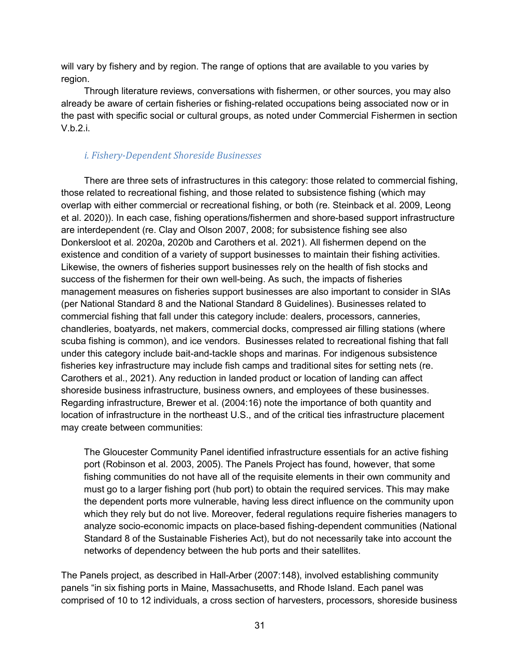will vary by fishery and by region. The range of options that are available to you varies by region.

Through literature reviews, conversations with fishermen, or other sources, you may also already be aware of certain fisheries or fishing-related occupations being associated now or in the past with specific social or cultural groups, as noted under Commercial Fishermen in section V.b.2.i.

#### *i. Fishery-Dependent Shoreside Businesses*

There are three sets of infrastructures in this category: those related to commercial fishing, those related to recreational fishing, and those related to subsistence fishing (which may overlap with either commercial or recreational fishing, or both (re. Steinback et al. 2009, Leong et al. 2020)). In each case, fishing operations/fishermen and shore-based support infrastructure are interdependent (re. Clay and Olson 2007, 2008; for subsistence fishing see also Donkersloot et al. 2020a, 2020b and Carothers et al. 2021). All fishermen depend on the existence and condition of a variety of support businesses to maintain their fishing activities. Likewise, the owners of fisheries support businesses rely on the health of fish stocks and success of the fishermen for their own well-being. As such, the impacts of fisheries management measures on fisheries support businesses are also important to consider in SIAs (per National Standard 8 and the National Standard 8 Guidelines). Businesses related to commercial fishing that fall under this category include: dealers, processors, canneries, chandleries, boatyards, net makers, commercial docks, compressed air filling stations (where scuba fishing is common), and ice vendors. Businesses related to recreational fishing that fall under this category include bait-and-tackle shops and marinas. For indigenous subsistence fisheries key infrastructure may include fish camps and traditional sites for setting nets (re. Carothers et al., 2021). Any reduction in landed product or location of landing can affect shoreside business infrastructure, business owners, and employees of these businesses. Regarding infrastructure, Brewer et al. (2004:16) note the importance of both quantity and location of infrastructure in the northeast U.S., and of the critical ties infrastructure placement may create between communities:

The Gloucester Community Panel identified infrastructure essentials for an active fishing port (Robinson et al. 2003, 2005). The Panels Project has found, however, that some fishing communities do not have all of the requisite elements in their own community and must go to a larger fishing port (hub port) to obtain the required services. This may make the dependent ports more vulnerable, having less direct influence on the community upon which they rely but do not live. Moreover, federal regulations require fisheries managers to analyze socio-economic impacts on place-based fishing-dependent communities (National Standard 8 of the Sustainable Fisheries Act), but do not necessarily take into account the networks of dependency between the hub ports and their satellites.

The Panels project, as described in Hall-Arber (2007:148), involved establishing community panels "in six fishing ports in Maine, Massachusetts, and Rhode Island. Each panel was comprised of 10 to 12 individuals, a cross section of harvesters, processors, shoreside business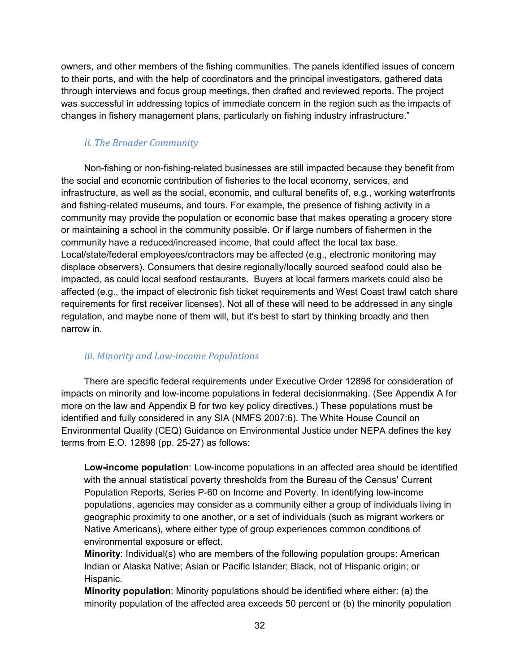owners, and other members of the fishing communities. The panels identified issues of concern to their ports, and with the help of coordinators and the principal investigators, gathered data through interviews and focus group meetings, then drafted and reviewed reports. The project was successful in addressing topics of immediate concern in the region such as the impacts of changes in fishery management plans, particularly on fishing industry infrastructure."

#### *ii. The Broader Community*

Non-fishing or non-fishing-related businesses are still impacted because they benefit from the social and economic contribution of fisheries to the local economy, services, and infrastructure, as well as the social, economic, and cultural benefits of, e.g., working waterfronts and fishing-related museums, and tours. For example, the presence of fishing activity in a community may provide the population or economic base that makes operating a grocery store or maintaining a school in the community possible. Or if large numbers of fishermen in the community have a reduced/increased income, that could affect the local tax base. Local/state/federal employees/contractors may be affected (e.g., electronic monitoring may displace observers). Consumers that desire regionally/locally sourced seafood could also be impacted, as could local seafood restaurants. Buyers at local farmers markets could also be affected (e.g., the impact of electronic fish ticket requirements and West Coast trawl catch share requirements for first receiver licenses). Not all of these will need to be addressed in any single regulation, and maybe none of them will, but it's best to start by thinking broadly and then narrow in.

#### *iii. Minority and Low-income Populations*

There are specific federal requirements under Executive Order 12898 for consideration of impacts on minority and low-income populations in federal decisionmaking. (See Appendix A for more on the law and Appendix B for two key policy directives.) These populations must be identified and fully considered in any SIA (NMFS 2007:6). The White House Council on Environmental Quality (CEQ) Guidance on Environmental Justice under NEPA defines the key terms from E.O. 12898 (pp. 25-27) as follows:

**Low-income population**: Low-income populations in an affected area should be identified with the annual statistical poverty thresholds from the Bureau of the Census' Current Population Reports, Series P-60 on Income and Poverty. In identifying low-income populations, agencies may consider as a community either a group of individuals living in geographic proximity to one another, or a set of individuals (such as migrant workers or Native Americans), where either type of group experiences common conditions of environmental exposure or effect.

**Minority**: Individual(s) who are members of the following population groups: American Indian or Alaska Native; Asian or Pacific Islander; Black, not of Hispanic origin; or Hispanic.

**Minority population**: Minority populations should be identified where either: (a) the minority population of the affected area exceeds 50 percent or (b) the minority population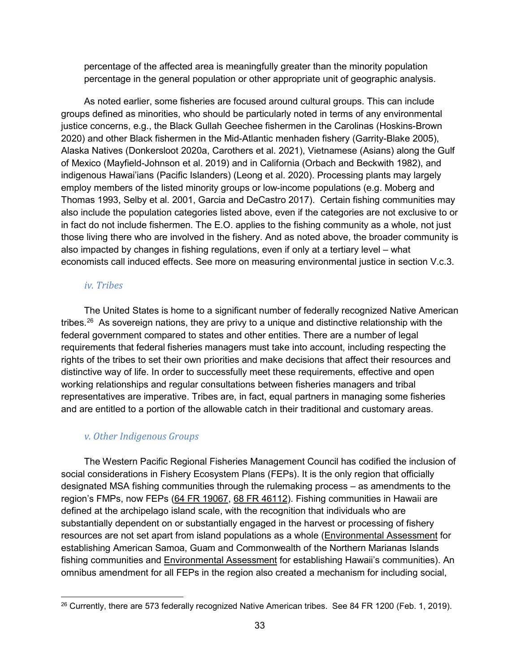percentage of the affected area is meaningfully greater than the minority population percentage in the general population or other appropriate unit of geographic analysis.

As noted earlier, some fisheries are focused around cultural groups. This can include groups defined as minorities, who should be particularly noted in terms of any environmental justice concerns, e.g., the Black Gullah Geechee fishermen in the Carolinas (Hoskins-Brown 2020) and other Black fishermen in the Mid-Atlantic menhaden fishery (Garrity-Blake 2005), Alaska Natives (Donkersloot 2020a, Carothers et al. 2021), Vietnamese (Asians) along the Gulf of Mexico (Mayfield-Johnson et al. 2019) and in California (Orbach and Beckwith 1982), and indigenous Hawai'ians (Pacific Islanders) (Leong et al. 2020). Processing plants may largely employ members of the listed minority groups or low-income populations (e.g. Moberg and Thomas 1993, Selby et al. 2001, Garcia and DeCastro 2017). Certain fishing communities may also include the population categories listed above, even if the categories are not exclusive to or in fact do not include fishermen. The E.O. applies to the fishing community as a whole, not just those living there who are involved in the fishery. And as noted above, the broader community is also impacted by changes in fishing regulations, even if only at a tertiary level – what economists call induced effects. See more on measuring environmental justice in section V.c.3.

#### *iv. Tribes*

The United States is home to a significant number of federally recognized Native American tribes.<sup>26</sup> As sovereign nations, they are privy to a unique and distinctive relationship with the federal government compared to states and other entities. There are a number of legal requirements that federal fisheries managers must take into account, including respecting the rights of the tribes to set their own priorities and make decisions that affect their resources and distinctive way of life. In order to successfully meet these requirements, effective and open working relationships and regular consultations between fisheries managers and tribal representatives are imperative. Tribes are, in fact, equal partners in managing some fisheries and are entitled to a portion of the allowable catch in their traditional and customary areas.

#### *v. Other Indigenous Groups*

The Western Pacific Regional Fisheries Management Council has codified the inclusion of social considerations in Fishery Ecosystem Plans (FEPs). It is the only region that officially designated MSA fishing communities through the rulemaking process – as amendments to the region's FMPs, now FEPs [\(64 FR 19067,](https://www.gpo.gov/fdsys/pkg/FR-1999-04-19/pdf/99-9728.pdf) [68 FR 46112\)](https://www.gpo.gov/fdsys/pkg/FR-2003-08-05/pdf/03-19932.pdf). Fishing communities in Hawaii are defined at the archipelago island scale, with the recognition that individuals who are substantially dependent on or substantially engaged in the harvest or processing of fishery resources are not set apart from island populations as a whole [\(Environmental Assessment](http://www.wpcouncil.org/wp-content/uploads/2013/07/SFA-Amendment-s.pdf) for establishing American Samoa, Guam and Commonwealth of the Northern Marianas Islands fishing communities and [Environmental Assessment](http://www.wpcouncil.org/pelagic/Documents/FMP/Amendment8-FishingCommunities.pdf) for establishing Hawaii's communities). An omnibus amendment for all FEPs in the region also created a mechanism for including social,

<span id="page-42-0"></span><sup>&</sup>lt;sup>26</sup> Currently, there are 573 federally recognized Native American tribes. See 84 FR 1200 (Feb. 1, 2019).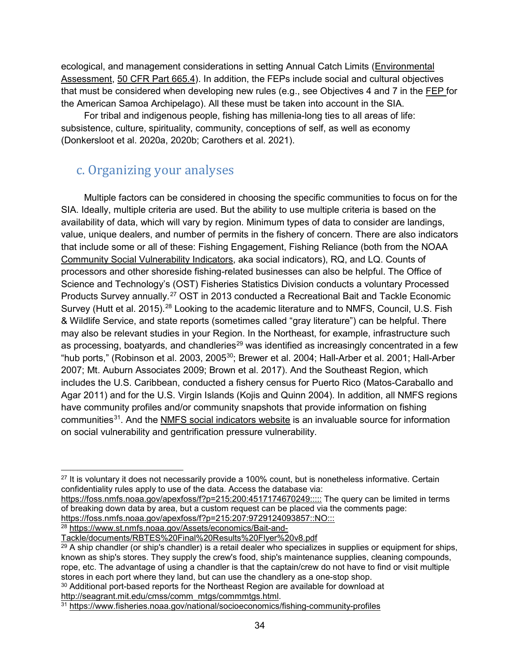ecological, and management considerations in setting Annual Catch Limits [\(Environmental](http://www.wpcouncil.org/documents/FEPs/ACL%20Specification%20Amendment.pdf)  [Assessment, 50 CFR Part 665.4\)](http://www.wpcouncil.org/documents/FEPs/ACL%20Specification%20Amendment.pdf). In addition, the FEPs include social and cultural objectives that must be considered when developing new rules (e.g., see Objectives 4 and 7 in the [FEP](http://www.wpcouncil.org/fep/WPRFMC%20American%20Samoa%20FEP%20(2009-09-22).pdf) for the American Samoa Archipelago). All these must be taken into account in the SIA.

For tribal and indigenous people, fishing has millenia-long ties to all areas of life: subsistence, culture, spirituality, community, conceptions of self, as well as economy (Donkersloot et al. 2020a, 2020b; Carothers et al. 2021).

### c. Organizing your analyses

Multiple factors can be considered in choosing the specific communities to focus on for the SIA. Ideally, multiple criteria are used. But the ability to use multiple criteria is based on the availability of data, which will vary by region. Minimum types of data to consider are landings, value, unique dealers, and number of permits in the fishery of concern. There are also indicators that include some or all of these: Fishing Engagement, Fishing Reliance (both from the NOAA [Community Social Vulnerability Indicators,](https://www.fisheries.noaa.gov/national/socioeconomics/social-indicators-fishing-communities-0) aka social indicators), RQ, and LQ. Counts of processors and other shoreside fishing-related businesses can also be helpful. The Office of Science and Technology's (OST) Fisheries Statistics Division conducts a voluntary Processed Products Survey annually.<sup>[27](#page-43-0)</sup> OST in 2013 conducted a Recreational Bait and Tackle Economic Survey (Hutt et al. 2015).<sup>[28](#page-43-1)</sup> Looking to the academic literature and to NMFS, Council, U.S. Fish & Wildlife Service, and state reports (sometimes called "gray literature") can be helpful. There may also be relevant studies in your Region. In the Northeast, for example, infrastructure such as processing, boatyards, and chandleries<sup>[29](#page-43-2)</sup> was identified as increasingly concentrated in a few "hub ports," (Robinson et al. 2003, 2005<sup>30</sup>; Brewer et al. 2004; Hall-Arber et al. 2001; Hall-Arber 2007; Mt. Auburn Associates 2009; Brown et al. 2017). And the Southeast Region, which includes the U.S. Caribbean, conducted a fishery census for Puerto Rico (Matos-Caraballo and Agar 2011) and for the U.S. Virgin Islands (Kojis and Quinn 2004). In addition, all NMFS regions have community profiles and/or community snapshots that provide information on fishing communities<sup>31</sup>. And the [NMFS social indicators website](https://www.fisheries.noaa.gov/national/socioeconomics/social-indicators-fishing-communities-0) is an invaluable source for information on social vulnerability and gentrification pressure vulnerability.

<https://foss.nmfs.noaa.gov/apexfoss/f?p=215:200:4517174670249:::::> The query can be limited in terms of breaking down data by area, but a custom request can be placed via the comments page: <https://foss.nmfs.noaa.gov/apexfoss/f?p=215:207:9729124093857::NO:::>

<span id="page-43-1"></span><sup>28</sup> [https://www.st.nmfs.noaa.gov/Assets/economics/Bait-and-](https://www.st.nmfs.noaa.gov/Assets/economics/Bait-and-Tackle/documents/RBTES%20Final%20Results%20Flyer%20v8.pdf)

[Tackle/documents/RBTES%20Final%20Results%20Flyer%20v8.pdf](https://www.st.nmfs.noaa.gov/Assets/economics/Bait-and-Tackle/documents/RBTES%20Final%20Results%20Flyer%20v8.pdf)

<span id="page-43-3"></span><sup>30</sup> Additional port-based reports for the Northeast Region are available for download at [http://seagrant.mit.edu/cmss/comm\\_mtgs/commmtgs.html.](http://seagrant.mit.edu/cmss/comm_mtgs/commmtgs.html)

<span id="page-43-0"></span> $27$  It is voluntary it does not necessarily provide a 100% count, but is nonetheless informative. Certain confidentiality rules apply to use of the data. Access the database via:

<span id="page-43-2"></span> $29$  A ship chandler (or ship's chandler) is a retail dealer who specializes in supplies or equipment for ships, known as ship's stores. They supply the crew's food, ship's maintenance supplies, cleaning compounds, rope, etc. The advantage of using a chandler is that the captain/crew do not have to find or visit multiple stores in each port where they land, but can use the chandlery as a one-stop shop.

<span id="page-43-4"></span><sup>31</sup> <https://www.fisheries.noaa.gov/national/socioeconomics/fishing-community-profiles>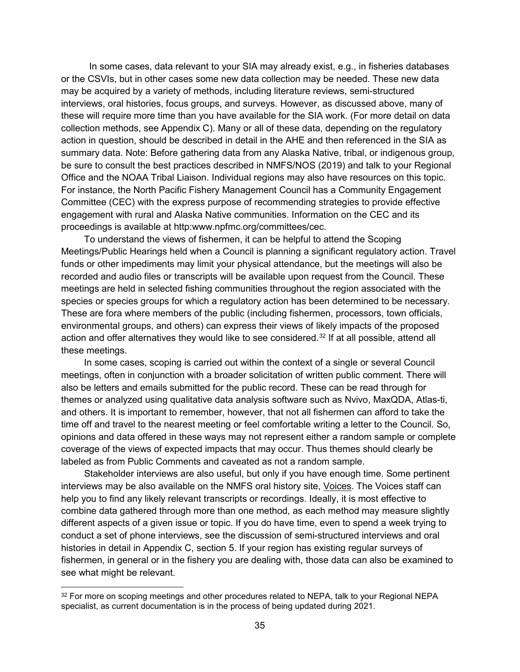In some cases, data relevant to your SIA may already exist, e.g., in fisheries databases or the CSVIs, but in other cases some new data collection may be needed. These new data may be acquired by a variety of methods, including literature reviews, semi-structured interviews, oral histories, focus groups, and surveys. However, as discussed above, many of these will require more time than you have available for the SIA work. (For more detail on data collection methods, see Appendix C). Many or all of these data, depending on the regulatory action in question, should be described in detail in the AHE and then referenced in the SIA as summary data. Note: Before gathering data from any Alaska Native, tribal, or indigenous group, be sure to consult the best practices described in NMFS/NOS (2019) and talk to your Regional Office and the NOAA Tribal Liaison. Individual regions may also have resources on this topic. For instance, the North Pacific Fishery Management Council has a Community Engagement Committee (CEC) with the express purpose of recommending strategies to provide effective engagement with rural and Alaska Native communities. Information on the CEC and its proceedings is available at http:www.npfmc.org/committees/cec.

To understand the views of fishermen, it can be helpful to attend the Scoping Meetings/Public Hearings held when a Council is planning a significant regulatory action. Travel funds or other impediments may limit your physical attendance, but the meetings will also be recorded and audio files or transcripts will be available upon request from the Council. These meetings are held in selected fishing communities throughout the region associated with the species or species groups for which a regulatory action has been determined to be necessary. These are fora where members of the public (including fishermen, processors, town officials, environmental groups, and others) can express their views of likely impacts of the proposed action and offer alternatives they would like to see considered. [32](#page-44-0) If at all possible, attend all these meetings.

In some cases, scoping is carried out within the context of a single or several Council meetings, often in conjunction with a broader solicitation of written public comment. There will also be letters and emails submitted for the public record. These can be read through for themes or analyzed using qualitative data analysis software such as Nvivo, MaxQDA, Atlas-ti, and others. It is important to remember, however, that not all fishermen can afford to take the time off and travel to the nearest meeting or feel comfortable writing a letter to the Council. So, opinions and data offered in these ways may not represent either a random sample or complete coverage of the views of expected impacts that may occur. Thus themes should clearly be labeled as from Public Comments and caveated as not a random sample.

Stakeholder interviews are also useful, but only if you have enough time. Some pertinent interviews may be also available on the NMFS oral history site, [Voices.](https://voices.nmfs.noaa.gov/) The Voices staff can help you to find any likely relevant transcripts or recordings. Ideally, it is most effective to combine data gathered through more than one method, as each method may measure slightly different aspects of a given issue or topic. If you do have time, even to spend a week trying to conduct a set of phone interviews, see the discussion of semi-structured interviews and oral histories in detail in Appendix C, section 5. If your region has existing regular surveys of fishermen, in general or in the fishery you are dealing with, those data can also be examined to see what might be relevant.

<span id="page-44-0"></span><sup>&</sup>lt;sup>32</sup> For more on scoping meetings and other procedures related to NEPA, talk to your Regional NEPA specialist, as current documentation is in the process of being updated during 2021.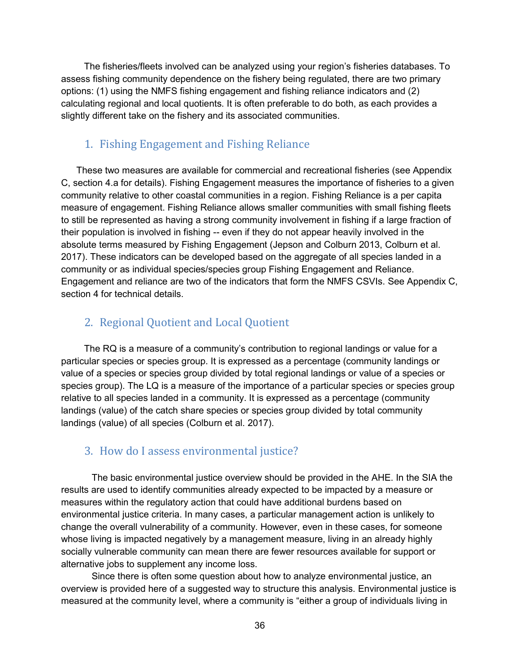The fisheries/fleets involved can be analyzed using your region's fisheries databases. To assess fishing community dependence on the fishery being regulated, there are two primary options: (1) using the NMFS fishing engagement and fishing reliance indicators and (2) calculating regional and local quotients. It is often preferable to do both, as each provides a slightly different take on the fishery and its associated communities.

#### 1. Fishing Engagement and Fishing Reliance

These two measures are available for commercial and recreational fisheries (see Appendix C, section 4.a for details). Fishing Engagement measures the importance of fisheries to a given community relative to other coastal communities in a region. Fishing Reliance is a per capita measure of engagement. Fishing Reliance allows smaller communities with small fishing fleets to still be represented as having a strong community involvement in fishing if a large fraction of their population is involved in fishing -- even if they do not appear heavily involved in the absolute terms measured by Fishing Engagement (Jepson and Colburn 2013, Colburn et al. 2017). These indicators can be developed based on the aggregate of all species landed in a community or as individual species/species group Fishing Engagement and Reliance. Engagement and reliance are two of the indicators that form the NMFS CSVIs. See Appendix C, section 4 for technical details.

#### 2. Regional Quotient and Local Quotient

The RQ is a measure of a community's contribution to regional landings or value for a particular species or species group. It is expressed as a percentage (community landings or value of a species or species group divided by total regional landings or value of a species or species group). The LQ is a measure of the importance of a particular species or species group relative to all species landed in a community. It is expressed as a percentage (community landings (value) of the catch share species or species group divided by total community landings (value) of all species (Colburn et al. 2017).

#### 3. How do I assess environmental justice?

The basic environmental justice overview should be provided in the AHE. In the SIA the results are used to identify communities already expected to be impacted by a measure or measures within the regulatory action that could have additional burdens based on environmental justice criteria. In many cases, a particular management action is unlikely to change the overall vulnerability of a community. However, even in these cases, for someone whose living is impacted negatively by a management measure, living in an already highly socially vulnerable community can mean there are fewer resources available for support or alternative jobs to supplement any income loss.

Since there is often some question about how to analyze environmental justice, an overview is provided here of a suggested way to structure this analysis. Environmental justice is measured at the community level, where a community is "either a group of individuals living in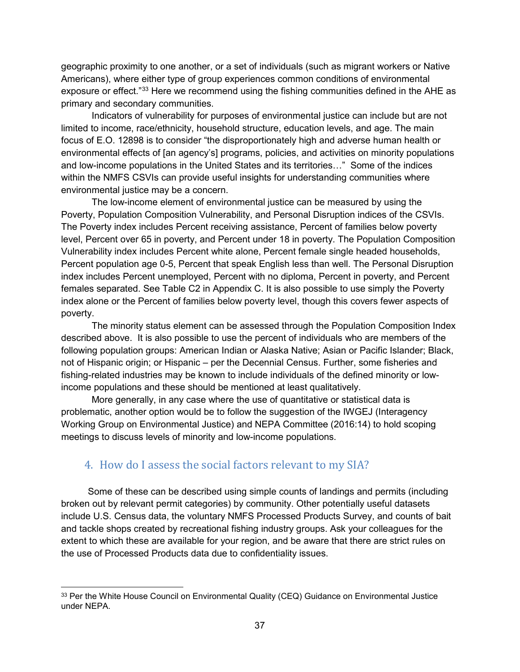geographic proximity to one another, or a set of individuals (such as migrant workers or Native Americans), where either type of group experiences common conditions of environmental exposure or effect."<sup>[33](#page-46-0)</sup> Here we recommend using the fishing communities defined in the AHE as primary and secondary communities.

Indicators of vulnerability for purposes of environmental justice can include but are not limited to income, race/ethnicity, household structure, education levels, and age. The main focus of E.O. 12898 is to consider "the disproportionately high and adverse human health or environmental effects of [an agency's] programs, policies, and activities on minority populations and low-income populations in the United States and its territories…" Some of the indices within the NMFS CSVIs can provide useful insights for understanding communities where environmental justice may be a concern.

The low-income element of environmental justice can be measured by using the Poverty, Population Composition Vulnerability, and Personal Disruption indices of the CSVIs. The Poverty index includes Percent receiving assistance, Percent of families below poverty level, Percent over 65 in poverty, and Percent under 18 in poverty. The Population Composition Vulnerability index includes Percent white alone, Percent female single headed households, Percent population age 0-5, Percent that speak English less than well. The Personal Disruption index includes Percent unemployed, Percent with no diploma, Percent in poverty, and Percent females separated. See Table C2 in Appendix C. It is also possible to use simply the Poverty index alone or the Percent of families below poverty level, though this covers fewer aspects of poverty.

The minority status element can be assessed through the Population Composition Index described above. It is also possible to use the percent of individuals who are members of the following population groups: American Indian or Alaska Native; Asian or Pacific Islander; Black, not of Hispanic origin; or Hispanic – per the Decennial Census. Further, some fisheries and fishing-related industries may be known to include individuals of the defined minority or lowincome populations and these should be mentioned at least qualitatively.

More generally, in any case where the use of quantitative or statistical data is problematic, another option would be to follow the suggestion of the IWGEJ (Interagency Working Group on Environmental Justice) and NEPA Committee (2016:14) to hold scoping meetings to discuss levels of minority and low-income populations.

### 4. How do I assess the social factors relevant to my SIA?

Some of these can be described using simple counts of landings and permits (including broken out by relevant permit categories) by community. Other potentially useful datasets include U.S. Census data, the voluntary NMFS Processed Products Survey, and counts of bait and tackle shops created by recreational fishing industry groups. Ask your colleagues for the extent to which these are available for your region, and be aware that there are strict rules on the use of Processed Products data due to confidentiality issues.

<span id="page-46-0"></span><sup>&</sup>lt;sup>33</sup> Per the White House Council on Environmental Quality (CEQ) Guidance on Environmental Justice under NEPA.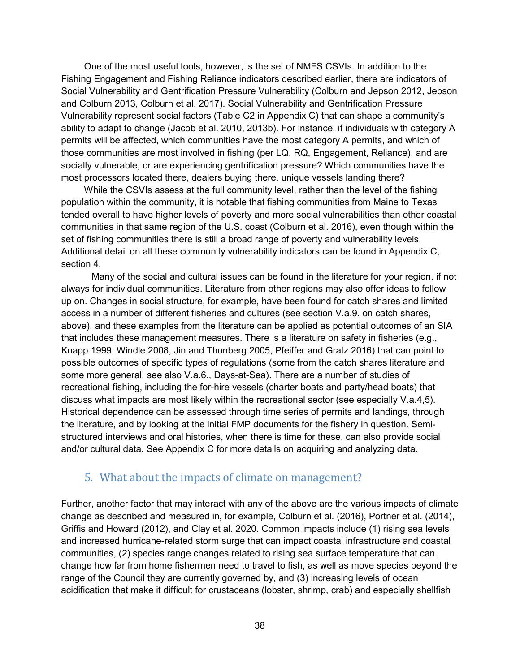One of the most useful tools, however, is the set of NMFS CSVIs. In addition to the Fishing Engagement and Fishing Reliance indicators described earlier, there are indicators of Social Vulnerability and Gentrification Pressure Vulnerability (Colburn and Jepson 2012, Jepson and Colburn 2013, Colburn et al. 2017). Social Vulnerability and Gentrification Pressure Vulnerability represent social factors (Table C2 in Appendix C) that can shape a community's ability to adapt to change (Jacob et al. 2010, 2013b). For instance, if individuals with category A permits will be affected, which communities have the most category A permits, and which of those communities are most involved in fishing (per LQ, RQ, Engagement, Reliance), and are socially vulnerable, or are experiencing gentrification pressure? Which communities have the most processors located there, dealers buying there, unique vessels landing there?

While the CSVIs assess at the full community level, rather than the level of the fishing population within the community, it is notable that fishing communities from Maine to Texas tended overall to have higher levels of poverty and more social vulnerabilities than other coastal communities in that same region of the U.S. coast (Colburn et al. 2016), even though within the set of fishing communities there is still a broad range of poverty and vulnerability levels. Additional detail on all these community vulnerability indicators can be found in Appendix C, section 4.

Many of the social and cultural issues can be found in the literature for your region, if not always for individual communities. Literature from other regions may also offer ideas to follow up on. Changes in social structure, for example, have been found for catch shares and limited access in a number of different fisheries and cultures (see section V.a.9. on catch shares, above), and these examples from the literature can be applied as potential outcomes of an SIA that includes these management measures. There is a literature on safety in fisheries (e.g., Knapp 1999, Windle 2008, Jin and Thunberg 2005, Pfeiffer and Gratz 2016) that can point to possible outcomes of specific types of regulations (some from the catch shares literature and some more general, see also V.a.6., Days-at-Sea). There are a number of studies of recreational fishing, including the for-hire vessels (charter boats and party/head boats) that discuss what impacts are most likely within the recreational sector (see especially V.a.4,5). Historical dependence can be assessed through time series of permits and landings, through the literature, and by looking at the initial FMP documents for the fishery in question. Semistructured interviews and oral histories, when there is time for these, can also provide social and/or cultural data. See Appendix C for more details on acquiring and analyzing data.

#### 5. What about the impacts of climate on management?

Further, another factor that may interact with any of the above are the various impacts of climate change as described and measured in, for example, Colburn et al. (2016), Pörtner et al. (2014), Griffis and Howard (2012), and Clay et al. 2020. Common impacts include (1) rising sea levels and increased hurricane-related storm surge that can impact coastal infrastructure and coastal communities, (2) species range changes related to rising sea surface temperature that can change how far from home fishermen need to travel to fish, as well as move species beyond the range of the Council they are currently governed by, and (3) increasing levels of ocean acidification that make it difficult for crustaceans (lobster, shrimp, crab) and especially shellfish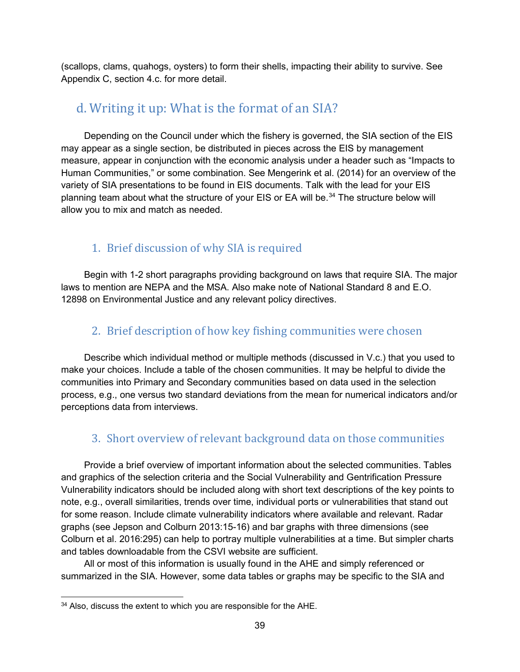(scallops, clams, quahogs, oysters) to form their shells, impacting their ability to survive. See Appendix C, section 4.c. for more detail.

### d. Writing it up: What is the format of an SIA?

Depending on the Council under which the fishery is governed, the SIA section of the EIS may appear as a single section, be distributed in pieces across the EIS by management measure, appear in conjunction with the economic analysis under a header such as "Impacts to Human Communities," or some combination. See Mengerink et al. (2014) for an overview of the variety of SIA presentations to be found in EIS documents. Talk with the lead for your EIS planning team about what the structure of your EIS or EA will be.<sup>[34](#page-48-0)</sup> The structure below will allow you to mix and match as needed.

### 1. Brief discussion of why SIA is required

Begin with 1-2 short paragraphs providing background on laws that require SIA. The major laws to mention are NEPA and the MSA. Also make note of National Standard 8 and E.O. 12898 on Environmental Justice and any relevant policy directives.

### 2. Brief description of how key fishing communities were chosen

Describe which individual method or multiple methods (discussed in V.c.) that you used to make your choices. Include a table of the chosen communities. It may be helpful to divide the communities into Primary and Secondary communities based on data used in the selection process, e.g., one versus two standard deviations from the mean for numerical indicators and/or perceptions data from interviews.

### 3. Short overview of relevant background data on those communities

Provide a brief overview of important information about the selected communities. Tables and graphics of the selection criteria and the Social Vulnerability and Gentrification Pressure Vulnerability indicators should be included along with short text descriptions of the key points to note, e.g., overall similarities, trends over time, individual ports or vulnerabilities that stand out for some reason. Include climate vulnerability indicators where available and relevant. Radar graphs (see Jepson and Colburn 2013:15-16) and bar graphs with three dimensions (see Colburn et al. 2016:295) can help to portray multiple vulnerabilities at a time. But simpler charts and tables downloadable from the CSVI website are sufficient.

All or most of this information is usually found in the AHE and simply referenced or summarized in the SIA. However, some data tables or graphs may be specific to the SIA and

<span id="page-48-0"></span><sup>&</sup>lt;sup>34</sup> Also, discuss the extent to which you are responsible for the AHE.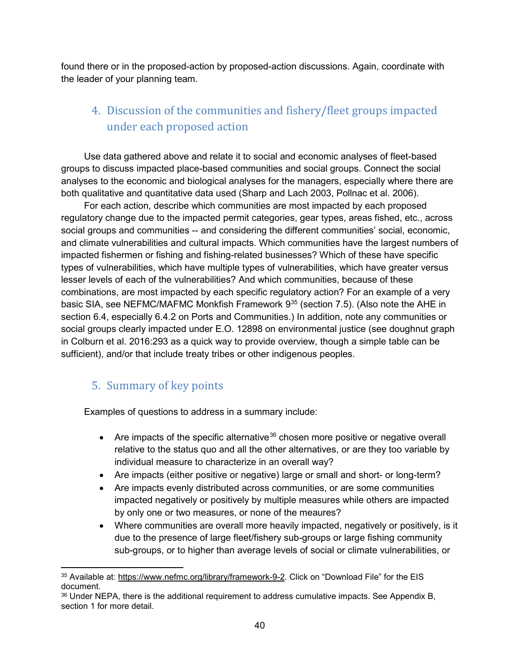found there or in the proposed-action by proposed-action discussions. Again, coordinate with the leader of your planning team.

### 4. Discussion of the communities and fishery/fleet groups impacted under each proposed action

Use data gathered above and relate it to social and economic analyses of fleet-based groups to discuss impacted place-based communities and social groups. Connect the social analyses to the economic and biological analyses for the managers, especially where there are both qualitative and quantitative data used (Sharp and Lach 2003, Pollnac et al. 2006).

For each action, describe which communities are most impacted by each proposed regulatory change due to the impacted permit categories, gear types, areas fished, etc., across social groups and communities -- and considering the different communities' social, economic, and climate vulnerabilities and cultural impacts. Which communities have the largest numbers of impacted fishermen or fishing and fishing-related businesses? Which of these have specific types of vulnerabilities, which have multiple types of vulnerabilities, which have greater versus lesser levels of each of the vulnerabilities? And which communities, because of these combinations, are most impacted by each specific regulatory action? For an example of a very basic SIA, see NEFMC/MAFMC Monkfish Framework  $9^{35}$  $9^{35}$  $9^{35}$  (section 7.5). (Also note the AHE in section 6.4, especially 6.4.2 on Ports and Communities.) In addition, note any communities or social groups clearly impacted under E.O. 12898 on environmental justice (see doughnut graph in Colburn et al. 2016:293 as a quick way to provide overview, though a simple table can be sufficient), and/or that include treaty tribes or other indigenous peoples.

### 5. Summary of key points

Examples of questions to address in a summary include:

- Are impacts of the specific alternative<sup>[36](#page-49-1)</sup> chosen more positive or negative overall relative to the status quo and all the other alternatives, or are they too variable by individual measure to characterize in an overall way?
- Are impacts (either positive or negative) large or small and short- or long-term?
- Are impacts evenly distributed across communities, or are some communities impacted negatively or positively by multiple measures while others are impacted by only one or two measures, or none of the meaures?
- Where communities are overall more heavily impacted, negatively or positively, is it due to the presence of large fleet/fishery sub-groups or large fishing community sub-groups, or to higher than average levels of social or climate vulnerabilities, or

<span id="page-49-0"></span> <sup>35</sup> Available at: [https://www.nefmc.org/library/framework-9-2.](https://www.nefmc.org/library/framework-9-2) Click on "Download File" for the EIS document.

<span id="page-49-1"></span><sup>&</sup>lt;sup>36</sup> Under NEPA, there is the additional requirement to address cumulative impacts. See Appendix B, section 1 for more detail.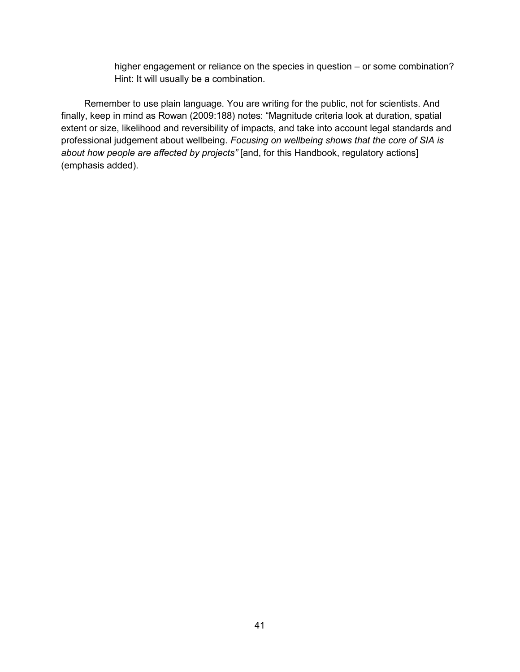higher engagement or reliance on the species in question – or some combination? Hint: It will usually be a combination.

Remember to use plain language. You are writing for the public, not for scientists. And finally, keep in mind as Rowan (2009:188) notes: "Magnitude criteria look at duration, spatial extent or size, likelihood and reversibility of impacts, and take into account legal standards and professional judgement about wellbeing. *Focusing on wellbeing shows that the core of SIA is about how people are affected by projects"* [and, for this Handbook, regulatory actions] (emphasis added).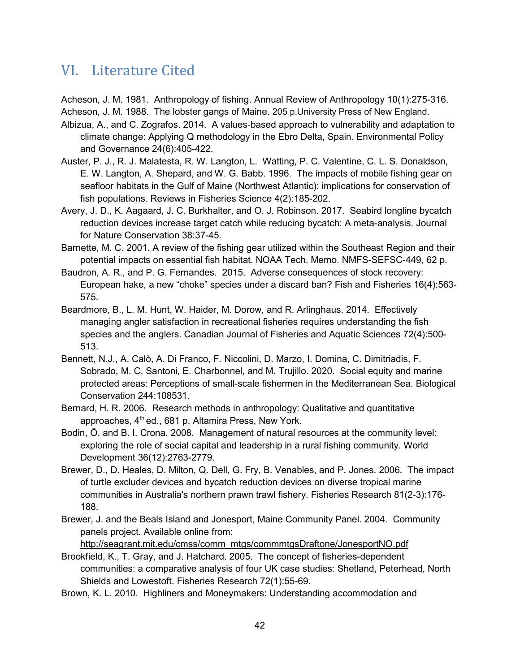## VI. Literature Cited

Acheson, J. M. 1981. Anthropology of fishing. Annual Review of Anthropology 10(1):275-316. Acheson, J. M. 1988. The lobster gangs of Maine. 205 p.University Press of New England.

- Albizua, A., and C. Zografos. 2014. A values‐based approach to vulnerability and adaptation to climate change: Applying Q methodology in the Ebro Delta, Spain. Environmental Policy and Governance 24(6):405-422.
- Auster, P. J., R. J. Malatesta, R. W. Langton, L. Watting, P. C. Valentine, C. L. S. Donaldson, E. W. Langton, A. Shepard, and W. G. Babb. 1996. The impacts of mobile fishing gear on seafloor habitats in the Gulf of Maine (Northwest Atlantic): implications for conservation of fish populations. Reviews in Fisheries Science 4(2):185-202.
- Avery, J. D., K. Aagaard, J. C. Burkhalter, and O. J. Robinson. 2017. Seabird longline bycatch reduction devices increase target catch while reducing bycatch: A meta-analysis. Journal for Nature Conservation 38:37-45.
- Barnette, M. C. 2001. A review of the fishing gear utilized within the Southeast Region and their potential impacts on essential fish habitat. NOAA Tech. Memo. NMFS-SEFSC-449, 62 p.
- Baudron, A. R., and P. G. Fernandes. 2015. Adverse consequences of stock recovery: European hake, a new "choke" species under a discard ban? Fish and Fisheries 16(4):563- 575.
- Beardmore, B., L. M. Hunt, W. Haider, M. Dorow, and R. Arlinghaus. 2014. Effectively managing angler satisfaction in recreational fisheries requires understanding the fish species and the anglers. Canadian Journal of Fisheries and Aquatic Sciences 72(4):500- 513.
- Bennett, N.J., A. Calò, A. Di Franco, F. Niccolini, D. Marzo, I. Domina, C. Dimitriadis, F. Sobrado, M. C. Santoni, E. Charbonnel, and M. Trujillo. 2020. Social equity and marine protected areas: Perceptions of small-scale fishermen in the Mediterranean Sea. Biological Conservation 244:108531.
- Bernard, H. R. 2006. Research methods in anthropology: Qualitative and quantitative approaches, 4<sup>th</sup> ed., 681 p. Altamira Press, New York.
- Bodin, Ö. and B. I. Crona. 2008. Management of natural resources at the community level: exploring the role of social capital and leadership in a rural fishing community. World Development 36(12):2763-2779.
- Brewer, D., D. Heales, D. Milton, Q. Dell, G. Fry, B. Venables, and P. Jones. 2006. The impact of turtle excluder devices and bycatch reduction devices on diverse tropical marine communities in Australia's northern prawn trawl fishery. Fisheries Research 81(2-3):176- 188.
- Brewer, J. and the Beals Island and Jonesport, Maine Community Panel. 2004. Community panels project. Available online from:

[http://seagrant.mit.edu/cmss/comm\\_mtgs/commmtgsDraftone/JonesportNO.pdf](https://seagrant.mit.edu/projects/institutionalizing-social-science-data-collection-community-panels-project/) Brookfield, K., T. Gray, and J. Hatchard. 2005. The concept of fisheries-dependent

- communities: a comparative analysis of four UK case studies: Shetland, Peterhead, North Shields and Lowestoft. Fisheries Research 72(1):55-69.
- Brown, K. L. 2010. Highliners and Moneymakers: Understanding accommodation and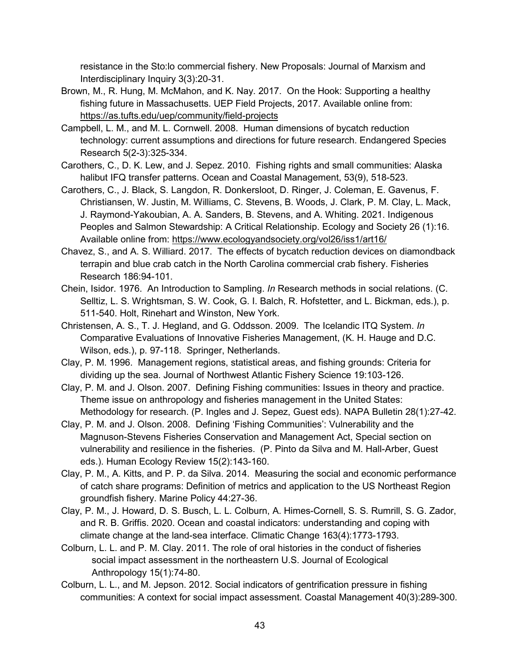resistance in the Sto:lo commercial fishery. New Proposals: Journal of Marxism and Interdisciplinary Inquiry 3(3):20-31.

- Brown, M., R. Hung, M. McMahon, and K. Nay. 2017. On the Hook: Supporting a healthy fishing future in Massachusetts. UEP Field Projects, 2017. Available online from: <https://as.tufts.edu/uep/community/field-projects>
- Campbell, L. M., and M. L. Cornwell. 2008. Human dimensions of bycatch reduction technology: current assumptions and directions for future research. Endangered Species Research 5(2-3):325-334.
- Carothers, C., D. K. Lew, and J. Sepez. 2010. Fishing rights and small communities: Alaska halibut IFQ transfer patterns. Ocean and Coastal Management, 53(9), 518-523.
- Carothers, C., J. Black, S. Langdon, R. Donkersloot, D. Ringer, J. Coleman, E. Gavenus, F. Christiansen, W. Justin, M. Williams, C. Stevens, B. Woods, J. Clark, P. M. Clay, L. Mack, J. Raymond-Yakoubian, A. A. Sanders, B. Stevens, and A. Whiting. 2021. Indigenous Peoples and Salmon Stewardship: A Critical Relationship. Ecology and Society 26 (1):16. Available online from:<https://www.ecologyandsociety.org/vol26/iss1/art16/>
- Chavez, S., and A. S. Williard. 2017. The effects of bycatch reduction devices on diamondback terrapin and blue crab catch in the North Carolina commercial crab fishery. Fisheries Research 186:94-101.
- Chein, Isidor. 1976. An Introduction to Sampling. *In* Research methods in social relations. (C. Selltiz, L. S. Wrightsman, S. W. Cook, G. I. Balch, R. Hofstetter, and L. Bickman, eds.), p. 511-540. Holt, Rinehart and Winston, New York.
- Christensen, A. S., T. J. Hegland, and G. Oddsson. 2009. The Icelandic ITQ System. *In* Comparative Evaluations of Innovative Fisheries Management, (K. H. Hauge and D.C. Wilson, eds.), p. 97-118. Springer, Netherlands.
- Clay, P. M. 1996. Management regions, statistical areas, and fishing grounds: Criteria for dividing up the sea. Journal of Northwest Atlantic Fishery Science 19:103-126.
- Clay, P. M. and J. Olson. 2007. Defining Fishing communities: Issues in theory and practice. Theme issue on anthropology and fisheries management in the United States: Methodology for research. (P. Ingles and J. Sepez, Guest eds). NAPA Bulletin 28(1):27-42.
- Clay, P. M. and J. Olson. 2008. Defining 'Fishing Communities': Vulnerability and the Magnuson-Stevens Fisheries Conservation and Management Act, Special section on vulnerability and resilience in the fisheries. (P. Pinto da Silva and M. Hall-Arber, Guest eds.). Human Ecology Review 15(2):143-160.
- Clay, P. M., A. Kitts, and P. P. da Silva. 2014. Measuring the social and economic performance of catch share programs: Definition of metrics and application to the US Northeast Region groundfish fishery. Marine Policy 44:27-36.
- Clay, P. M., J. Howard, D. S. Busch, L. L. Colburn, A. Himes-Cornell, S. S. Rumrill, S. G. Zador, and R. B. Griffis. 2020. Ocean and coastal indicators: understanding and coping with climate change at the land-sea interface. Climatic Change 163(4):1773-1793.
- Colburn, L. L. and P. M. Clay. 2011. The role of oral histories in the conduct of fisheries social impact assessment in the northeastern U.S. Journal of Ecological Anthropology 15(1):74-80.
- Colburn, L. L., and M. Jepson. 2012. Social indicators of gentrification pressure in fishing communities: A context for social impact assessment. Coastal Management 40(3):289-300.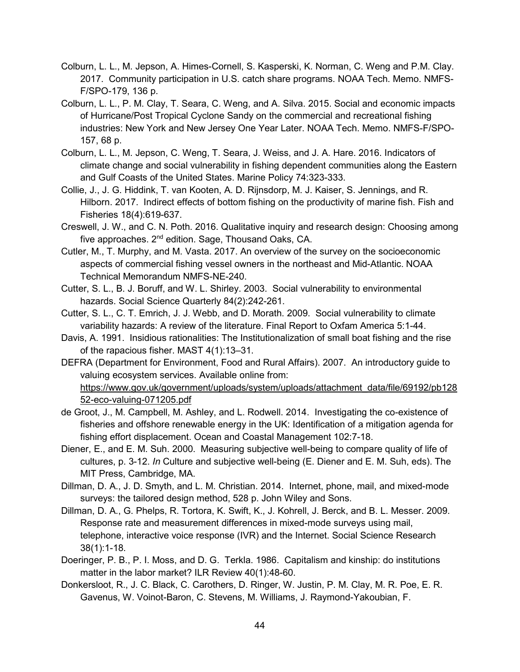- Colburn, L. L., M. Jepson, A. Himes-Cornell, S. Kasperski, K. Norman, C. Weng and P.M. Clay. 2017. Community participation in U.S. catch share programs. NOAA Tech. Memo. NMFS-F/SPO-179, 136 p.
- Colburn, L. L., P. M. Clay, T. Seara, C. Weng, and A. Silva. 2015. Social and economic impacts of Hurricane/Post Tropical Cyclone Sandy on the commercial and recreational fishing industries: New York and New Jersey One Year Later. NOAA Tech. Memo. NMFS-F/SPO-157, 68 p.
- Colburn, L. L., M. Jepson, C. Weng, T. Seara, J. Weiss, and J. A. Hare. 2016. Indicators of climate change and social vulnerability in fishing dependent communities along the Eastern and Gulf Coasts of the United States. Marine Policy 74:323-333.
- Collie, J., J. G. Hiddink, T. van Kooten, A. D. Rijnsdorp, M. J. Kaiser, S. Jennings, and R. Hilborn. 2017. Indirect effects of bottom fishing on the productivity of marine fish. Fish and Fisheries 18(4):619-637.
- Creswell, J. W., and C. N. Poth. 2016. Qualitative inquiry and research design: Choosing among five approaches. 2nd edition. Sage, Thousand Oaks, CA.
- Cutler, M., T. Murphy, and M. Vasta. 2017. An overview of the survey on the socioeconomic aspects of commercial fishing vessel owners in the northeast and Mid-Atlantic. NOAA Technical Memorandum NMFS-NE-240.
- Cutter, S. L., B. J. Boruff, and W. L. Shirley. 2003. Social vulnerability to environmental hazards. Social Science Quarterly 84(2):242-261.
- Cutter, S. L., C. T. Emrich, J. J. Webb, and D. Morath. 2009. Social vulnerability to climate variability hazards: A review of the literature. Final Report to Oxfam America 5:1-44.
- Davis, A. 1991. Insidious rationalities: The Institutionalization of small boat fishing and the rise of the rapacious fisher. MAST 4(1):13–31.
- DEFRA (Department for Environment, Food and Rural Affairs). 2007. An introductory guide to valuing ecosystem services. Available online from: [https://www.gov.uk/government/uploads/system/uploads/attachment\\_data/file/69192/pb128](https://www.gov.uk/government/publications/an-introductory-guide-to-valuing-ecosystem-services) [52-eco-valuing-071205.pdf](https://www.gov.uk/government/publications/an-introductory-guide-to-valuing-ecosystem-services)
- de Groot, J., M. Campbell, M. Ashley, and L. Rodwell. 2014. Investigating the co-existence of fisheries and offshore renewable energy in the UK: Identification of a mitigation agenda for fishing effort displacement. Ocean and Coastal Management 102:7-18.
- Diener, E., and E. M. Suh. 2000. Measuring subjective well-being to compare quality of life of cultures, p. 3-12. *In* Culture and subjective well-being (E. Diener and E. M. Suh, eds). The MIT Press, Cambridge, MA.
- Dillman, D. A., J. D. Smyth, and L. M. Christian. 2014. Internet, phone, mail, and mixed-mode surveys: the tailored design method, 528 p. John Wiley and Sons.
- Dillman, D. A., G. Phelps, R. Tortora, K. Swift, K., J. Kohrell, J. Berck, and B. L. Messer. 2009. Response rate and measurement differences in mixed-mode surveys using mail, telephone, interactive voice response (IVR) and the Internet. Social Science Research 38(1):1-18.
- Doeringer, P. B., P. I. Moss, and D. G. Terkla. 1986. Capitalism and kinship: do institutions matter in the labor market? ILR Review 40(1):48-60.
- Donkersloot, R., J. C. Black, C. Carothers, D. Ringer, W. Justin, P. M. Clay, M. R. Poe, E. R. Gavenus, W. Voinot-Baron, C. Stevens, M. Williams, J. Raymond-Yakoubian, F.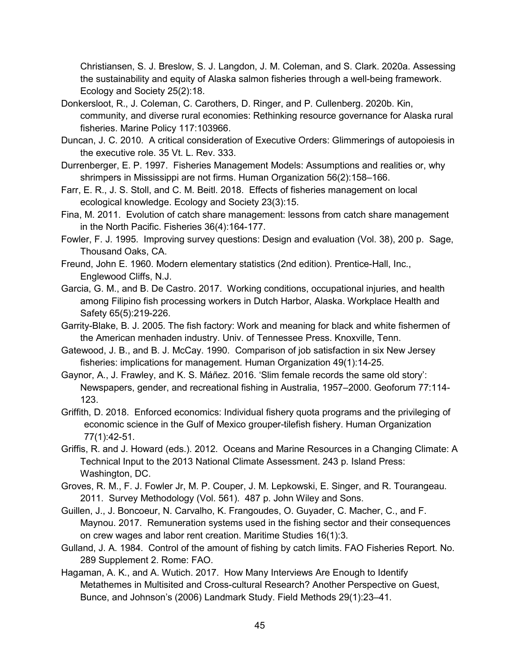Christiansen, S. J. Breslow, S. J. Langdon, J. M. Coleman, and S. Clark. 2020a. Assessing the sustainability and equity of Alaska salmon fisheries through a well-being framework. Ecology and Society 25(2):18.

- Donkersloot, R., J. Coleman, C. Carothers, D. Ringer, and P. Cullenberg. 2020b. Kin, community, and diverse rural economies: Rethinking resource governance for Alaska rural fisheries. Marine Policy 117:103966.
- Duncan, J. C. 2010. A critical consideration of Executive Orders: Glimmerings of autopoiesis in the executive role. 35 Vt. L. Rev. 333.
- Durrenberger, E. P. 1997. Fisheries Management Models: Assumptions and realities or, why shrimpers in Mississippi are not firms. Human Organization 56(2):158–166.
- Farr, E. R., J. S. Stoll, and C. M. Beitl. 2018. Effects of fisheries management on local ecological knowledge. Ecology and Society 23(3):15.
- Fina, M. 2011. Evolution of catch share management: lessons from catch share management in the North Pacific. Fisheries 36(4):164-177.
- Fowler, F. J. 1995. Improving survey questions: Design and evaluation (Vol. 38), 200 p. Sage, Thousand Oaks, CA.
- Freund, John E. 1960. Modern elementary statistics (2nd edition). Prentice-Hall, Inc., Englewood Cliffs, N.J.
- Garcia, G. M., and B. De Castro. 2017. Working conditions, occupational injuries, and health among Filipino fish processing workers in Dutch Harbor, Alaska. Workplace Health and Safety 65(5):219-226.
- Garrity-Blake, B. J. 2005. The fish factory: Work and meaning for black and white fishermen of the American menhaden industry. Univ. of Tennessee Press. Knoxville, Tenn.
- Gatewood, J. B., and B. J. McCay. 1990. Comparison of job satisfaction in six New Jersey fisheries: implications for management. Human Organization 49(1):14-25.
- Gaynor, A., J. Frawley, and K. S. Máñez. 2016. 'Slim female records the same old story': Newspapers, gender, and recreational fishing in Australia, 1957–2000. Geoforum 77:114- 123.
- Griffith, D. 2018. Enforced economics: Individual fishery quota programs and the privileging of economic science in the Gulf of Mexico grouper-tilefish fishery. Human Organization 77(1):42-51.
- Griffis, R. and J. Howard (eds.). 2012. Oceans and Marine Resources in a Changing Climate: A Technical Input to the 2013 National Climate Assessment. 243 p. Island Press: Washington, DC.
- Groves, R. M., F. J. Fowler Jr, M. P. Couper, J. M. Lepkowski, E. Singer, and R. Tourangeau. 2011. Survey Methodology (Vol. 561). 487 p. John Wiley and Sons.
- Guillen, J., J. Boncoeur, N. Carvalho, K. Frangoudes, O. Guyader, C. Macher, C., and F. Maynou. 2017. Remuneration systems used in the fishing sector and their consequences on crew wages and labor rent creation. Maritime Studies 16(1):3.
- Gulland, J. A. 1984. Control of the amount of fishing by catch limits. FAO Fisheries Report. No. 289 Supplement 2. Rome: FAO.
- Hagaman, A. K., and A. Wutich. 2017. How Many Interviews Are Enough to Identify Metathemes in Multisited and Cross-cultural Research? Another Perspective on Guest, Bunce, and Johnson's (2006) Landmark Study. Field Methods 29(1):23–41.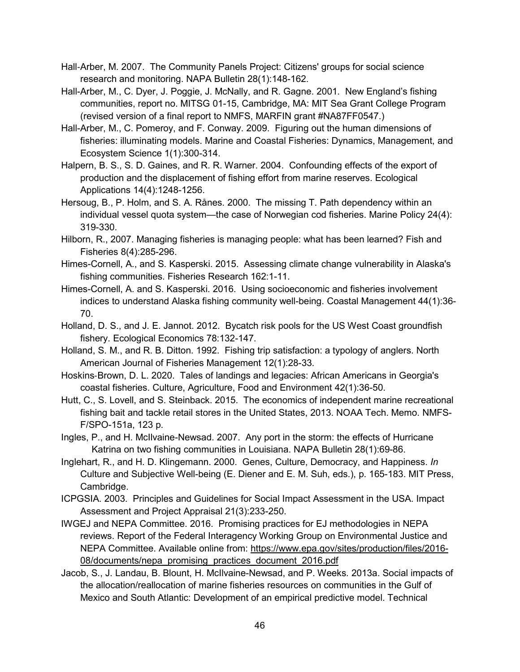- Hall-Arber, M. 2007. The Community Panels Project: Citizens' groups for social science research and monitoring. NAPA Bulletin 28(1):148-162.
- Hall-Arber, M., C. Dyer, J. Poggie, J. McNally, and R. Gagne. 2001. New England's fishing communities, report no. MITSG 01-15, Cambridge, MA: MIT Sea Grant College Program (revised version of a final report to NMFS, MARFIN grant #NA87FF0547.)
- Hall-Arber, M., C. Pomeroy, and F. Conway. 2009. Figuring out the human dimensions of fisheries: illuminating models. Marine and Coastal Fisheries: Dynamics, Management, and Ecosystem Science 1(1):300-314.
- Halpern, B. S., S. D. Gaines, and R. R. Warner. 2004. Confounding effects of the export of production and the displacement of fishing effort from marine reserves. Ecological Applications 14(4):1248-1256.
- Hersoug, B., P. Holm, and S. A. Rånes. 2000. The missing T. Path dependency within an individual vessel quota system—the case of Norwegian cod fisheries. Marine Policy 24(4): 319-330.
- Hilborn, R., 2007. Managing fisheries is managing people: what has been learned? Fish and Fisheries 8(4):285-296.
- Himes-Cornell, A., and S. Kasperski. 2015. Assessing climate change vulnerability in Alaska's fishing communities. Fisheries Research 162:1-11.
- Himes-Cornell, A. and S. Kasperski. 2016. Using socioeconomic and fisheries involvement indices to understand Alaska fishing community well-being. Coastal Management 44(1):36- 70.
- Holland, D. S., and J. E. Jannot. 2012. Bycatch risk pools for the US West Coast groundfish fishery. Ecological Economics 78:132-147.
- Holland, S. M., and R. B. Ditton. 1992. Fishing trip satisfaction: a typology of anglers. North American Journal of Fisheries Management 12(1):28-33.
- Hoskins‐Brown, D. L. 2020. Tales of landings and legacies: African Americans in Georgia's coastal fisheries. Culture, Agriculture, Food and Environment 42(1):36-50.
- Hutt, C., S. Lovell, and S. Steinback. 2015. The economics of independent marine recreational fishing bait and tackle retail stores in the United States, 2013. NOAA Tech. Memo. NMFS-F/SPO-151a, 123 p.
- Ingles, P., and H. McIlvaine-Newsad. 2007. Any port in the storm: the effects of Hurricane Katrina on two fishing communities in Louisiana. NAPA Bulletin 28(1):69-86.
- Inglehart, R., and H. D. Klingemann. 2000. Genes, Culture, Democracy, and Happiness. *In* Culture and Subjective Well-being (E. Diener and E. M. Suh, eds.), p. 165-183. MIT Press, Cambridge.
- ICPGSIA. 2003. Principles and Guidelines for Social Impact Assessment in the USA. Impact Assessment and Project Appraisal 21(3):233-250.
- IWGEJ and NEPA Committee. 2016. Promising practices for EJ methodologies in NEPA reviews. Report of the Federal Interagency Working Group on Environmental Justice and NEPA Committee. Available online from: [https://www.epa.gov/sites/production/files/2016-](https://www.epa.gov/sites/production/files/2016-08/documents/nepa_promising_practices_document_2016.pdf) [08/documents/nepa\\_promising\\_practices\\_document\\_2016.pdf](https://www.epa.gov/sites/production/files/2016-08/documents/nepa_promising_practices_document_2016.pdf)
- Jacob, S., J. Landau, B. Blount, H. McIlvaine-Newsad, and P. Weeks. 2013a. Social impacts of the allocation/reallocation of marine fisheries resources on communities in the Gulf of Mexico and South Atlantic: Development of an empirical predictive model. Technical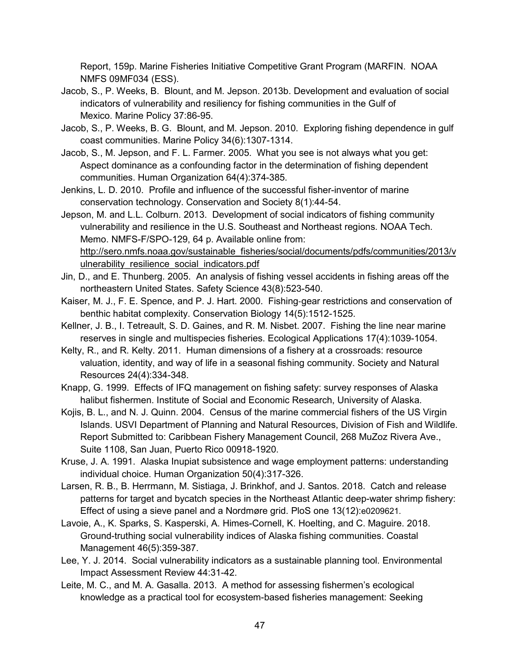Report, 159p. Marine Fisheries Initiative Competitive Grant Program (MARFIN. NOAA NMFS 09MF034 (ESS).

- Jacob, S., P. Weeks, B. Blount, and M. Jepson. 2013b. Development and evaluation of social indicators of vulnerability and resiliency for fishing communities in the Gulf of Mexico. Marine Policy 37:86-95.
- Jacob, S., P. Weeks, B. G. Blount, and M. Jepson. 2010. Exploring fishing dependence in gulf coast communities. Marine Policy 34(6):1307-1314.
- Jacob, S., M. Jepson, and F. L. Farmer. 2005. What you see is not always what you get: Aspect dominance as a confounding factor in the determination of fishing dependent communities. Human Organization 64(4):374-385.
- Jenkins, L. D. 2010. Profile and influence of the successful fisher-inventor of marine conservation technology. Conservation and Society 8(1):44-54.

Jepson, M. and L.L. Colburn. 2013. Development of social indicators of fishing community vulnerability and resilience in the U.S. Southeast and Northeast regions. NOAA Tech. Memo. NMFS-F/SPO-129, 64 p. Available online from: [http://sero.nmfs.noaa.gov/sustainable\\_fisheries/social/documents/pdfs/communities/2013/v](http://sero.nmfs.noaa.gov/sustainable_fisheries/social/documents/pdfs/communities/2013/vulnerability_resilience_social_indicators.pdf) ulnerability resilience social indicators.pdf

- Jin, D., and E. Thunberg. 2005. An analysis of fishing vessel accidents in fishing areas off the northeastern United States. Safety Science 43(8):523-540.
- Kaiser, M. J., F. E. Spence, and P. J. Hart. 2000. Fishing‐gear restrictions and conservation of benthic habitat complexity. Conservation Biology 14(5):1512-1525.
- Kellner, J. B., I. Tetreault, S. D. Gaines, and R. M. Nisbet. 2007. Fishing the line near marine reserves in single and multispecies fisheries. Ecological Applications 17(4):1039-1054.
- Kelty, R., and R. Kelty. 2011. Human dimensions of a fishery at a crossroads: resource valuation, identity, and way of life in a seasonal fishing community. Society and Natural Resources 24(4):334-348.
- Knapp, G. 1999. Effects of IFQ management on fishing safety: survey responses of Alaska halibut fishermen. Institute of Social and Economic Research, University of Alaska.
- Kojis, B. L., and N. J. Quinn. 2004. Census of the marine commercial fishers of the US Virgin Islands. USVI Department of Planning and Natural Resources, Division of Fish and Wildlife. Report Submitted to: Caribbean Fishery Management Council, 268 MuΖoz Rivera Ave., Suite 1108, San Juan, Puerto Rico 00918-1920.
- Kruse, J. A. 1991. Alaska Inupiat subsistence and wage employment patterns: understanding individual choice. Human Organization 50(4):317-326.
- Larsen, R. B., B. Herrmann, M. Sistiaga, J. Brinkhof, and J. Santos. 2018. Catch and release patterns for target and bycatch species in the Northeast Atlantic deep-water shrimp fishery: Effect of using a sieve panel and a Nordmøre grid. PloS one 13(12):e0209621.
- Lavoie, A., K. Sparks, S. Kasperski, A. Himes-Cornell, K. Hoelting, and C. Maguire. 2018. Ground-truthing social vulnerability indices of Alaska fishing communities. Coastal Management 46(5):359-387.
- Lee, Y. J. 2014. Social vulnerability indicators as a sustainable planning tool. Environmental Impact Assessment Review 44:31-42.
- Leite, M. C., and M. A. Gasalla. 2013. A method for assessing fishermen's ecological knowledge as a practical tool for ecosystem-based fisheries management: Seeking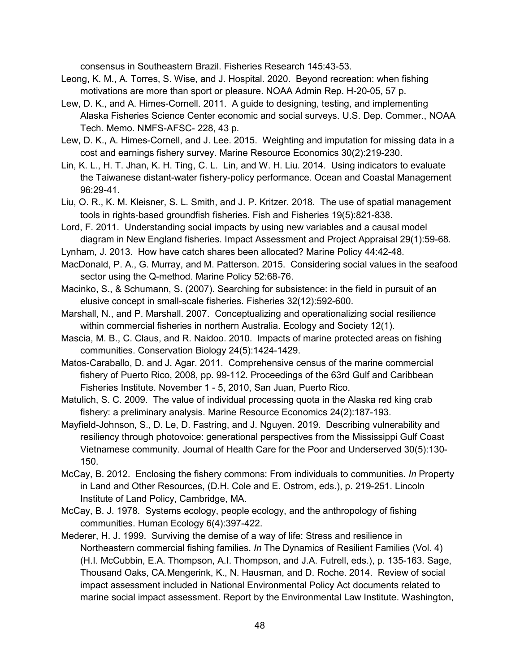consensus in Southeastern Brazil. Fisheries Research 145:43-53.

- Leong, K. M., A. Torres, S. Wise, and J. Hospital. 2020. Beyond recreation: when fishing motivations are more than sport or pleasure. NOAA Admin Rep. H-20-05, 57 p.
- Lew, D. K., and A. Himes-Cornell. 2011. A guide to designing, testing, and implementing Alaska Fisheries Science Center economic and social surveys. U.S. Dep. Commer., NOAA Tech. Memo. NMFS-AFSC- 228, 43 p.
- Lew, D. K., A. Himes-Cornell, and J. Lee. 2015. Weighting and imputation for missing data in a cost and earnings fishery survey. Marine Resource Economics 30(2):219-230.
- Lin, K. L., H. T. Jhan, K. H. Ting, C. L. Lin, and W. H. Liu. 2014. Using indicators to evaluate the Taiwanese distant-water fishery-policy performance. Ocean and Coastal Management 96:29-41.
- Liu, O. R., K. M. Kleisner, S. L. Smith, and J. P. Kritzer. 2018. The use of spatial management tools in rights‐based groundfish fisheries. Fish and Fisheries 19(5):821-838.
- Lord, F. 2011. Understanding social impacts by using new variables and a causal model diagram in New England fisheries. Impact Assessment and Project Appraisal 29(1):59-68.
- Lynham, J. 2013. How have catch shares been allocated? Marine Policy 44:42-48.
- MacDonald, P. A., G. Murray, and M. Patterson. 2015. Considering social values in the seafood sector using the Q-method. Marine Policy 52:68-76.
- Macinko, S., & Schumann, S. (2007). Searching for subsistence: in the field in pursuit of an elusive concept in small-scale fisheries. Fisheries 32(12):592-600.
- Marshall, N., and P. Marshall. 2007. Conceptualizing and operationalizing social resilience within commercial fisheries in northern Australia. Ecology and Society 12(1).
- Mascia, M. B., C. Claus, and R. Naidoo. 2010. Impacts of marine protected areas on fishing communities. Conservation Biology 24(5):1424-1429.
- Matos-Caraballo, D. and J. Agar. 2011. Comprehensive census of the marine commercial fishery of Puerto Rico, 2008, pp. 99-112. Proceedings of the 63rd Gulf and Caribbean Fisheries Institute. November 1 - 5, 2010, San Juan, Puerto Rico.
- Matulich, S. C. 2009. The value of individual processing quota in the Alaska red king crab fishery: a preliminary analysis. Marine Resource Economics 24(2):187-193.
- Mayfield-Johnson, S., D. Le, D. Fastring, and J. Nguyen. 2019. Describing vulnerability and resiliency through photovoice: generational perspectives from the Mississippi Gulf Coast Vietnamese community. Journal of Health Care for the Poor and Underserved 30(5):130- 150.
- McCay, B. 2012. Enclosing the fishery commons: From individuals to communities. *In* Property in Land and Other Resources, (D.H. Cole and E. Ostrom, eds.), p. 219-251. Lincoln Institute of Land Policy, Cambridge, MA.
- McCay, B. J. 1978. Systems ecology, people ecology, and the anthropology of fishing communities. Human Ecology 6(4):397-422.
- Mederer, H. J. 1999. Surviving the demise of a way of life: Stress and resilience in Northeastern commercial fishing families. *In* The Dynamics of Resilient Families (Vol. 4) (H.I. McCubbin, E.A. Thompson, A.I. Thompson, and J.A. Futrell, eds.), p. 135-163. Sage, Thousand Oaks, CA.Mengerink, K., N. Hausman, and D. Roche. 2014. Review of social impact assessment included in National Environmental Policy Act documents related to marine social impact assessment. Report by the Environmental Law Institute. Washington,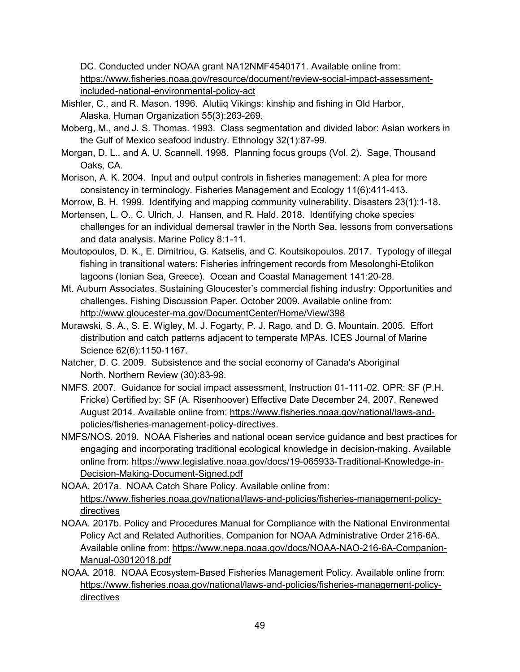DC. Conducted under NOAA grant NA12NMF4540171. Available online from: [https://www.fisheries.noaa.gov/resource/document/review-social-impact-assessment](https://www.fisheries.noaa.gov/resource/document/review-social-impact-assessment-included-national-environmental-policy-act)[included-national-environmental-policy-act](https://www.fisheries.noaa.gov/resource/document/review-social-impact-assessment-included-national-environmental-policy-act)

- Mishler, C., and R. Mason. 1996. Alutiiq Vikings: kinship and fishing in Old Harbor, Alaska. Human Organization 55(3):263-269.
- Moberg, M., and J. S. Thomas. 1993. Class segmentation and divided labor: Asian workers in the Gulf of Mexico seafood industry. Ethnology 32(1):87-99.
- Morgan, D. L., and A. U. Scannell. 1998. Planning focus groups (Vol. 2). Sage, Thousand Oaks, CA.
- Morison, A. K. 2004. Input and output controls in fisheries management: A plea for more consistency in terminology. Fisheries Management and Ecology 11(6):411-413.
- Morrow, B. H. 1999. Identifying and mapping community vulnerability. Disasters 23(1):1-18.
- Mortensen, L. O., C. Ulrich, J. Hansen, and R. Hald. 2018. Identifying choke species challenges for an individual demersal trawler in the North Sea, lessons from conversations and data analysis. Marine Policy 8:1-11.
- Moutopoulos, D. K., E. Dimitriou, G. Katselis, and C. Koutsikopoulos. 2017. Typology of illegal fishing in transitional waters: Fisheries infringement records from Mesolonghi-Etolikon lagoons (Ionian Sea, Greece). Ocean and Coastal Management 141:20-28.
- Mt. Auburn Associates. Sustaining Gloucester's commercial fishing industry: Opportunities and challenges. Fishing Discussion Paper. October 2009. Available online from: <http://www.gloucester-ma.gov/DocumentCenter/Home/View/398>
- Murawski, S. A., S. E. Wigley, M. J. Fogarty, P. J. Rago, and D. G. Mountain. 2005. Effort distribution and catch patterns adjacent to temperate MPAs. ICES Journal of Marine Science 62(6):1150-1167.
- Natcher, D. C. 2009. Subsistence and the social economy of Canada's Aboriginal North. Northern Review (30):83-98.
- NMFS. 2007. Guidance for social impact assessment, Instruction 01-111-02. OPR: SF (P.H. Fricke) Certified by: SF (A. Risenhoover) Effective Date December 24, 2007. Renewed August 2014. Available online from: [https://www.fisheries.noaa.gov/national/laws-and](https://www.fisheries.noaa.gov/national/laws-and-policies/fisheries-management-policy-directives)[policies/fisheries-management-policy-directives.](https://www.fisheries.noaa.gov/national/laws-and-policies/fisheries-management-policy-directives)
- NMFS/NOS. 2019. NOAA Fisheries and national ocean service guidance and best practices for engaging and incorporating traditional ecological knowledge in decision-making. Available online from: [https://www.legislative.noaa.gov/docs/19-065933-Traditional-Knowledge-in-](https://www.legislative.noaa.gov/docs/19-065933-Traditional-Knowledge-in-Decision-Making-Document-Signed.pdf)[Decision-Making-Document-Signed.pdf](https://www.legislative.noaa.gov/docs/19-065933-Traditional-Knowledge-in-Decision-Making-Document-Signed.pdf)
- NOAA. 2017a. NOAA Catch Share Policy. Available online from: [https://www.fisheries.noaa.gov/national/laws-and-policies/fisheries-management-policy](https://www.fisheries.noaa.gov/national/laws-and-policies/fisheries-management-policy-directives)[directives](https://www.fisheries.noaa.gov/national/laws-and-policies/fisheries-management-policy-directives)
- NOAA. 2017b. Policy and Procedures Manual for Compliance with the National Environmental Policy Act and Related Authorities. Companion for NOAA Administrative Order 216-6A. Available online from: [https://www.nepa.noaa.gov/docs/NOAA-NAO-216-6A-Companion-](https://www.nepa.noaa.gov/docs/NOAA-NAO-216-6A-Companion-Manual-03012018.pdf)[Manual-03012018.pdf](https://www.nepa.noaa.gov/docs/NOAA-NAO-216-6A-Companion-Manual-03012018.pdf)
- NOAA. 2018. NOAA Ecosystem-Based Fisheries Management Policy. Available online from: [https://www.fisheries.noaa.gov/national/laws-and-policies/fisheries-management-policy](https://www.fisheries.noaa.gov/national/laws-and-policies/fisheries-management-policy-directives)[directives](https://www.fisheries.noaa.gov/national/laws-and-policies/fisheries-management-policy-directives)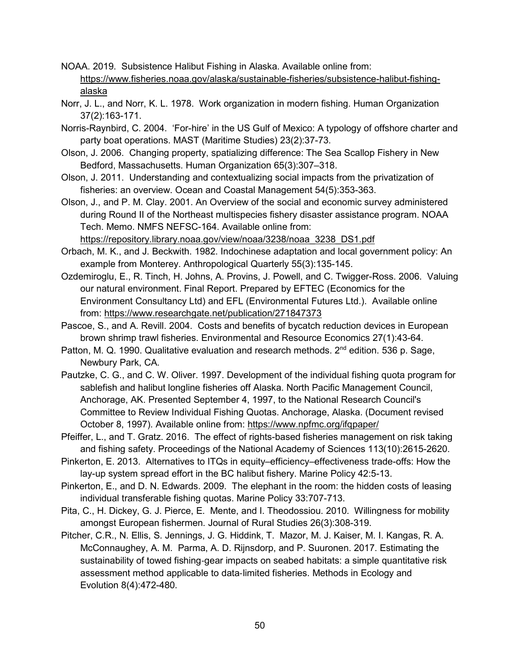- NOAA. 2019. Subsistence Halibut Fishing in Alaska. Available online from: [https://www.fisheries.noaa.gov/alaska/sustainable-fisheries/subsistence-halibut-fishing](https://www.fisheries.noaa.gov/alaska/sustainable-fisheries/subsistence-halibut-fishing-alaska)[alaska](https://www.fisheries.noaa.gov/alaska/sustainable-fisheries/subsistence-halibut-fishing-alaska)
- Norr, J. L., and Norr, K. L. 1978. Work organization in modern fishing. Human Organization 37(2):163-171.
- Norris-Raynbird, C. 2004. 'For-hire' in the US Gulf of Mexico: A typology of offshore charter and party boat operations. MAST (Maritime Studies) 23(2):37-73.
- Olson, J. 2006. Changing property, spatializing difference: The Sea Scallop Fishery in New Bedford, Massachusetts. Human Organization 65(3):307–318.
- Olson, J. 2011. Understanding and contextualizing social impacts from the privatization of fisheries: an overview. Ocean and Coastal Management 54(5):353-363.
- Olson, J., and P. M. Clay. 2001. An Overview of the social and economic survey administered during Round II of the Northeast multispecies fishery disaster assistance program. NOAA Tech. Memo. NMFS NEFSC-164. Available online from:

[https://repository.library.noaa.gov/view/noaa/3238/noaa\\_3238\\_DS1.pdf](https://repository.library.noaa.gov/view/noaa/3238/noaa_3238_DS1.pdf)

- Orbach, M. K., and J. Beckwith. 1982. Indochinese adaptation and local government policy: An example from Monterey. Anthropological Quarterly 55(3):135-145.
- Ozdemiroglu, E., R. Tinch, H. Johns, A. Provins, J. Powell, and C. Twigger-Ross. 2006. Valuing our natural environment. Final Report. Prepared by EFTEC (Economics for the Environment Consultancy Ltd) and EFL (Environmental Futures Ltd.). Available online from:<https://www.researchgate.net/publication/271847373>
- Pascoe, S., and A. Revill. 2004. Costs and benefits of bycatch reduction devices in European brown shrimp trawl fisheries. Environmental and Resource Economics 27(1):43-64.
- Patton, M. Q. 1990. Qualitative evaluation and research methods. 2<sup>nd</sup> edition. 536 p. Sage, Newbury Park, CA.
- Pautzke, C. G., and C. W. Oliver. 1997. Development of the individual fishing quota program for sablefish and halibut longline fisheries off Alaska. North Pacific Management Council, Anchorage, AK. Presented September 4, 1997, to the National Research Council's Committee to Review Individual Fishing Quotas. Anchorage, Alaska. (Document revised October 8, 1997). Available online from:<https://www.npfmc.org/ifqpaper/>
- Pfeiffer, L., and T. Gratz. 2016. The effect of rights-based fisheries management on risk taking and fishing safety. Proceedings of the National Academy of Sciences 113(10):2615-2620.
- Pinkerton, E. 2013. Alternatives to ITQs in equity–efficiency–effectiveness trade-offs: How the lay-up system spread effort in the BC halibut fishery. Marine Policy 42:5-13.
- Pinkerton, E., and D. N. Edwards. 2009. The elephant in the room: the hidden costs of leasing individual transferable fishing quotas. Marine Policy 33:707-713.
- Pita, C., H. Dickey, G. J. Pierce, E. Mente, and I. Theodossiou. 2010. Willingness for mobility amongst European fishermen. Journal of Rural Studies 26(3):308-319.
- Pitcher, C.R., N. Ellis, S. Jennings, J. G. Hiddink, T. Mazor, M. J. Kaiser, M. I. Kangas, R. A. McConnaughey, A. M. Parma, A. D. Rijnsdorp, and P. Suuronen. 2017. Estimating the sustainability of towed fishing‐gear impacts on seabed habitats: a simple quantitative risk assessment method applicable to data‐limited fisheries. Methods in Ecology and Evolution 8(4):472-480.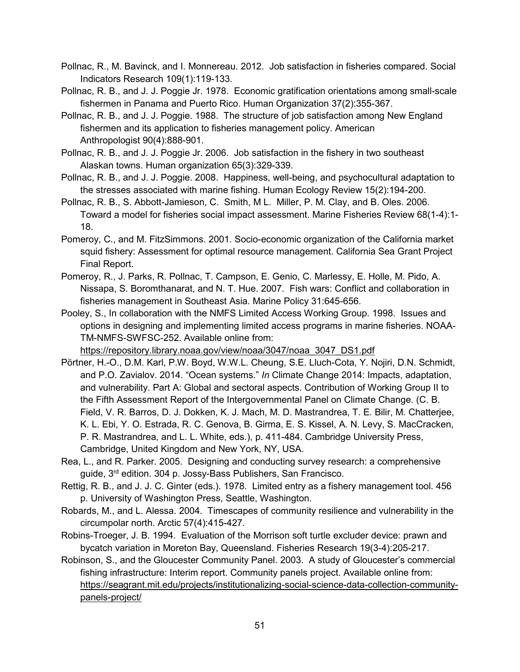- Pollnac, R., M. Bavinck, and I. Monnereau. 2012. Job satisfaction in fisheries compared. Social Indicators Research 109(1):119-133.
- Pollnac, R. B., and J. J. Poggie Jr. 1978. Economic gratification orientations among small-scale fishermen in Panama and Puerto Rico. Human Organization 37(2):355-367.
- Pollnac, R. B., and J. J. Poggie. 1988. The structure of job satisfaction among New England fishermen and its application to fisheries management policy. American Anthropologist 90(4):888-901.
- Pollnac, R. B., and J. J. Poggie Jr. 2006. Job satisfaction in the fishery in two southeast Alaskan towns. Human organization 65(3):329-339.
- Pollnac, R. B., and J. J. Poggie. 2008. Happiness, well-being, and psychocultural adaptation to the stresses associated with marine fishing. Human Ecology Review 15(2):194-200.
- Pollnac, R. B., S. Abbott-Jamieson, C. Smith, M L. Miller, P. M. Clay, and B. Oles. 2006. Toward a model for fisheries social impact assessment. Marine Fisheries Review 68(1-4):1- 18.
- Pomeroy, C., and M. FitzSimmons. 2001. Socio-economic organization of the California market squid fishery: Assessment for optimal resource management. California Sea Grant Project Final Report.
- Pomeroy, R., J. Parks, R. Pollnac, T. Campson, E. Genio, C. Marlessy, E. Holle, M. Pido, A. Nissapa, S. Boromthanarat, and N. T. Hue. 2007. Fish wars: Conflict and collaboration in fisheries management in Southeast Asia. Marine Policy 31:645-656.
- Pooley, S., In collaboration with the NMFS Limited Access Working Group. 1998. Issues and options in designing and implementing limited access programs in marine fisheries. NOAA-TM-NMFS-SWFSC-252. Available online from:

[https://repository.library.noaa.gov/view/noaa/3047/noaa\\_3047\\_DS1.pdf](https://repository.library.noaa.gov/view/noaa/3047/noaa_3047_DS1.pdf)

- Pörtner, H.-O., D.M. Karl, P.W. Boyd, W.W.L. Cheung, S.E. Lluch-Cota, Y. Nojiri, D.N. Schmidt, and P.O. Zavialov. 2014. "Ocean systems." *In* Climate Change 2014: Impacts, adaptation, and vulnerability. Part A: Global and sectoral aspects. Contribution of Working Group II to the Fifth Assessment Report of the Intergovernmental Panel on Climate Change. (C. B. Field, V. R. Barros, D. J. Dokken, K. J. Mach, M. D. Mastrandrea, T. E. Bilir, M. Chatterjee, K. L. Ebi, Y. O. Estrada, R. C. Genova, B. Girma, E. S. Kissel, A. N. Levy, S. MacCracken, P. R. Mastrandrea, and L. L. White, eds.), p. 411-484. Cambridge University Press, Cambridge, United Kingdom and New York, NY, USA.
- Rea, L., and R. Parker. 2005. Designing and conducting survey research: a comprehensive guide, 3rd edition. 304 p. Jossy-Bass Publishers, San Francisco.
- Rettig, R. B., and J. J. C. Ginter (eds.). 1978. Limited entry as a fishery management tool. 456 p. University of Washington Press, Seattle, Washington.
- Robards, M., and L. Alessa. 2004. Timescapes of community resilience and vulnerability in the circumpolar north. Arctic 57(4):415-427.
- Robins-Troeger, J. B. 1994. Evaluation of the Morrison soft turtle excluder device: prawn and bycatch variation in Moreton Bay, Queensland. Fisheries Research 19(3-4):205-217.
- Robinson, S., and the Gloucester Community Panel. 2003. A study of Gloucester's commercial fishing infrastructure: Interim report. Community panels project. Available online from: [https://seagrant.mit.edu/projects/institutionalizing-social-science-data-collection-community](https://seagrant.mit.edu/projects/institutionalizing-social-science-data-collection-community-panels-project/)[panels-project/](https://seagrant.mit.edu/projects/institutionalizing-social-science-data-collection-community-panels-project/)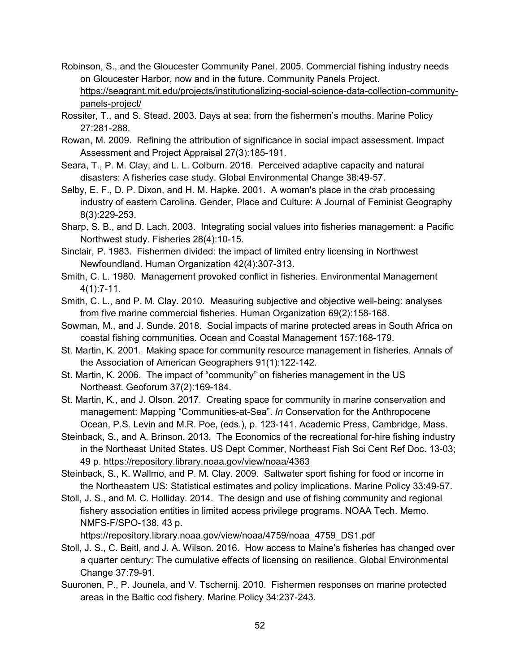- Robinson, S., and the Gloucester Community Panel. 2005. Commercial fishing industry needs on Gloucester Harbor, now and in the future. Community Panels Project. [https://seagrant.mit.edu/projects/institutionalizing-social-science-data-collection-community](https://seagrant.mit.edu/projects/institutionalizing-social-science-data-collection-community-panels-project/)[panels-project/](https://seagrant.mit.edu/projects/institutionalizing-social-science-data-collection-community-panels-project/)
- Rossiter, T., and S. Stead. 2003. Days at sea: from the fishermen's mouths. Marine Policy 27:281-288.
- Rowan, M. 2009. Refining the attribution of significance in social impact assessment. Impact Assessment and Project Appraisal 27(3):185-191.
- Seara, T., P. M. Clay, and L. L. Colburn. 2016. Perceived adaptive capacity and natural disasters: A fisheries case study. Global Environmental Change 38:49-57.
- Selby, E. F., D. P. Dixon, and H. M. Hapke. 2001. A woman's place in the crab processing industry of eastern Carolina. Gender, Place and Culture: A Journal of Feminist Geography 8(3):229-253.
- Sharp, S. B., and D. Lach. 2003. Integrating social values into fisheries management: a Pacific Northwest study. Fisheries 28(4):10-15.
- Sinclair, P. 1983. Fishermen divided: the impact of limited entry licensing in Northwest Newfoundland. Human Organization 42(4):307-313.
- Smith, C. L. 1980. Management provoked conflict in fisheries. Environmental Management 4(1):7-11.
- Smith, C. L., and P. M. Clay. 2010. Measuring subjective and objective well-being: analyses from five marine commercial fisheries. Human Organization 69(2):158-168.
- Sowman, M., and J. Sunde. 2018. Social impacts of marine protected areas in South Africa on coastal fishing communities. Ocean and Coastal Management 157:168-179.
- St. Martin, K. 2001. Making space for community resource management in fisheries. Annals of the Association of American Geographers 91(1):122-142.
- St. Martin, K. 2006. The impact of "community" on fisheries management in the US Northeast. Geoforum 37(2):169-184.
- St. Martin, K., and J. Olson. 2017. Creating space for community in marine conservation and management: Mapping "Communities-at-Sea". *In* Conservation for the Anthropocene Ocean, P.S. Levin and M.R. Poe, (eds.), p. 123-141. Academic Press, Cambridge, Mass.
- Steinback, S., and A. Brinson. 2013. The Economics of the recreational for-hire fishing industry in the Northeast United States. US Dept Commer, Northeast Fish Sci Cent Ref Doc. 13-03; 49 p.<https://repository.library.noaa.gov/view/noaa/4363>
- Steinback, S., K. Wallmo, and P. M. Clay. 2009. Saltwater sport fishing for food or income in the Northeastern US: Statistical estimates and policy implications. Marine Policy 33:49-57.
- Stoll, J. S., and M. C. Holliday. 2014. The design and use of fishing community and regional fishery association entities in limited access privilege programs. NOAA Tech. Memo. NMFS-F/SPO-138, 43 p.

[https://repository.library.noaa.gov/view/noaa/4759/noaa\\_4759\\_DS1.pdf](https://repository.library.noaa.gov/view/noaa/4759/noaa_4759_DS1.pdf)

- Stoll, J. S., C. Beitl, and J. A. Wilson. 2016. How access to Maine's fisheries has changed over a quarter century: The cumulative effects of licensing on resilience. Global Environmental Change 37:79-91.
- Suuronen, P., P. Jounela, and V. Tschernij. 2010. Fishermen responses on marine protected areas in the Baltic cod fishery. Marine Policy 34:237-243.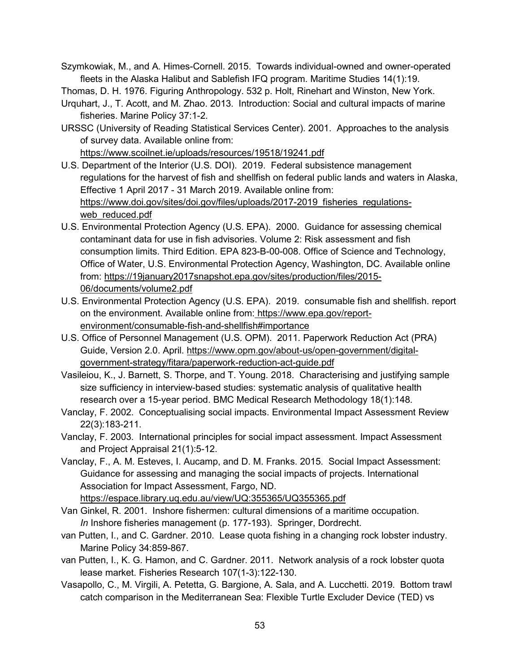Szymkowiak, M., and A. Himes-Cornell. 2015. Towards individual-owned and owner-operated fleets in the Alaska Halibut and Sablefish IFQ program. Maritime Studies 14(1):19.

Thomas, D. H. 1976. Figuring Anthropology. 532 p. Holt, Rinehart and Winston, New York.

- Urquhart, J., T. Acott, and M. Zhao. 2013. Introduction: Social and cultural impacts of marine fisheries. Marine Policy 37:1-2.
- URSSC (University of Reading Statistical Services Center). 2001. Approaches to the analysis of survey data. Available online from: <https://www.scoilnet.ie/uploads/resources/19518/19241.pdf>
- U.S. Department of the Interior (U.S. DOI). 2019. Federal subsistence management regulations for the harvest of fish and shellfish on federal public lands and waters in Alaska, Effective 1 April 2017 - 31 March 2019. Available online from: [https://www.doi.gov/sites/doi.gov/files/uploads/2017-2019\\_fisheries\\_regulations](https://www.doi.gov/sites/doi.gov/files/uploads/2017-2019_fisheries_regulations-web_reduced.pdf)[web\\_reduced.pdf](https://www.doi.gov/sites/doi.gov/files/uploads/2017-2019_fisheries_regulations-web_reduced.pdf)
- U.S. Environmental Protection Agency (U.S. EPA). 2000. Guidance for assessing chemical contaminant data for use in fish advisories. Volume 2: Risk assessment and fish consumption limits. Third Edition. EPA 823-B-00-008. Office of Science and Technology, Office of Water, U.S. Environmental Protection Agency, Washington, DC. Available online from: [https://19january2017snapshot.epa.gov/sites/production/files/2015-](https://19january2017snapshot.epa.gov/sites/production/files/2015-06/documents/volume2.pdf) [06/documents/volume2.pdf](https://19january2017snapshot.epa.gov/sites/production/files/2015-06/documents/volume2.pdf)
- U.S. Environmental Protection Agency (U.S. EPA). 2019. consumable fish and shellfish. report on the environment. Available online from: [https://www.epa.gov/report](https://www.epa.gov/report-environment/consumable-fish-and-shellfish#importance)[environment/consumable-fish-and-shellfish#importance](https://www.epa.gov/report-environment/consumable-fish-and-shellfish#importance)
- U.S. Office of Personnel Management (U.S. OPM). 2011. Paperwork Reduction Act (PRA) Guide, Version 2.0. April. [https://www.opm.gov/about-us/open-government/digital](https://www.opm.gov/about-us/open-government/digital-government-strategy/fitara/paperwork-reduction-act-guide.pdf)[government-strategy/fitara/paperwork-reduction-act-guide.pdf](https://www.opm.gov/about-us/open-government/digital-government-strategy/fitara/paperwork-reduction-act-guide.pdf)
- Vasileiou, K., J. Barnett, S. Thorpe, and T. Young. 2018. Characterising and justifying sample size sufficiency in interview-based studies: systematic analysis of qualitative health research over a 15-year period. BMC Medical Research Methodology 18(1):148.
- Vanclay, F. 2002. Conceptualising social impacts. Environmental Impact Assessment Review 22(3):183-211.
- Vanclay, F. 2003. International principles for social impact assessment. Impact Assessment and Project Appraisal 21(1):5-12.
- Vanclay, F., A. M. Esteves, I. Aucamp, and D. M. Franks. 2015. Social Impact Assessment: Guidance for assessing and managing the social impacts of projects. International Association for Impact Assessment, Fargo, ND. <https://espace.library.uq.edu.au/view/UQ:355365/UQ355365.pdf>
- Van Ginkel, R. 2001. Inshore fishermen: cultural dimensions of a maritime occupation. *In* Inshore fisheries management (p. 177-193). Springer, Dordrecht.
- van Putten, I., and C. Gardner. 2010. Lease quota fishing in a changing rock lobster industry. Marine Policy 34:859-867.
- van Putten, I., K. G. Hamon, and C. Gardner. 2011. Network analysis of a rock lobster quota lease market. Fisheries Research 107(1-3):122-130.
- Vasapollo, C., M. Virgili, A. Petetta, G. Bargione, A. Sala, and A. Lucchetti. 2019. Bottom trawl catch comparison in the Mediterranean Sea: Flexible Turtle Excluder Device (TED) vs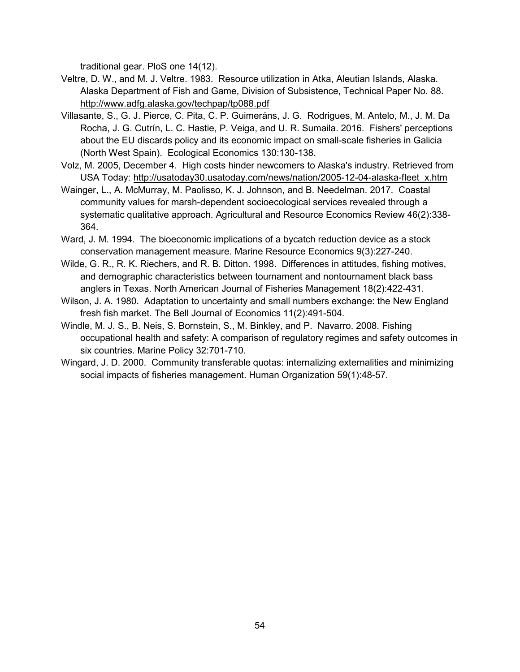traditional gear. PloS one 14(12).

- Veltre, D. W., and M. J. Veltre. 1983. Resource utilization in Atka, Aleutian Islands, Alaska. Alaska Department of Fish and Game, Division of Subsistence, Technical Paper No. 88. <http://www.adfg.alaska.gov/techpap/tp088.pdf>
- Villasante, S., G. J. Pierce, C. Pita, C. P. Guimeráns, J. G. Rodrigues, M. Antelo, M., J. M. Da Rocha, J. G. Cutrín, L. C. Hastie, P. Veiga, and U. R. Sumaila. 2016. Fishers' perceptions about the EU discards policy and its economic impact on small-scale fisheries in Galicia (North West Spain). Ecological Economics 130:130-138.
- Volz, M. 2005, December 4. High costs hinder newcomers to Alaska's industry. Retrieved from USA Today: [http://usatoday30.usatoday.com/news/nation/2005-12-04-alaska-fleet\\_x.htm](http://usatoday30.usatoday.com/news/nation/2005-12-04-alaska-fleet_x.htm)
- Wainger, L., A. McMurray, M. Paolisso, K. J. Johnson, and B. Needelman. 2017. Coastal community values for marsh-dependent socioecological services revealed through a systematic qualitative approach. Agricultural and Resource Economics Review 46(2):338- 364.
- Ward, J. M. 1994. The bioeconomic implications of a bycatch reduction device as a stock conservation management measure. Marine Resource Economics 9(3):227-240.
- Wilde, G. R., R. K. Riechers, and R. B. Ditton. 1998. Differences in attitudes, fishing motives, and demographic characteristics between tournament and nontournament black bass anglers in Texas. North American Journal of Fisheries Management 18(2):422-431.
- Wilson, J. A. 1980. Adaptation to uncertainty and small numbers exchange: the New England fresh fish market. The Bell Journal of Economics 11(2):491-504.
- Windle, M. J. S., B. Neis, S. Bornstein, S., M. Binkley, and P. Navarro. 2008. [Fishing](https://ideas.repec.org/a/eee/marpol/v32y2008i4p701-710.html)  [occupational health and safety: A comparison of regulatory regimes and safety outcomes in](https://ideas.repec.org/a/eee/marpol/v32y2008i4p701-710.html)  [six countries.](https://ideas.repec.org/a/eee/marpol/v32y2008i4p701-710.html) [Marine Policy](https://ideas.repec.org/s/eee/marpol.html) 32:701-710.
- Wingard, J. D. 2000. Community transferable quotas: internalizing externalities and minimizing social impacts of fisheries management. Human Organization 59(1):48-57.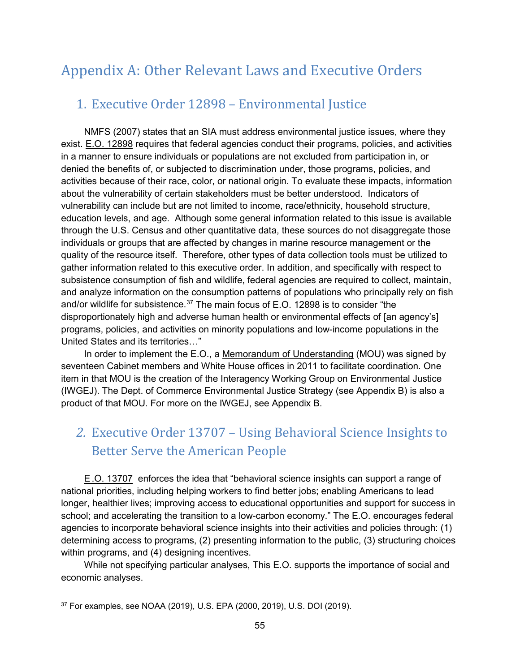# Appendix A: Other Relevant Laws and Executive Orders

### 1. Executive Order 12898 – Environmental Justice

NMFS (2007) states that an SIA must address environmental justice issues, where they exist. [E.O. 12898](https://www.archives.gov/files/federal-register/executive-orders/pdf/12898.pdf) requires that federal agencies conduct their programs, policies, and activities in a manner to ensure individuals or populations are not excluded from participation in, or denied the benefits of, or subjected to discrimination under, those programs, policies, and activities because of their race, color, or national origin. To evaluate these impacts, information about the vulnerability of certain stakeholders must be better understood. Indicators of vulnerability can include but are not limited to income, race/ethnicity, household structure, education levels, and age. Although some general information related to this issue is available through the U.S. Census and other quantitative data, these sources do not disaggregate those individuals or groups that are affected by changes in marine resource management or the quality of the resource itself. Therefore, other types of data collection tools must be utilized to gather information related to this executive order. In addition, and specifically with respect to subsistence consumption of fish and wildlife, federal agencies are required to collect, maintain, and analyze information on the consumption patterns of populations who principally rely on fish and/or wildlife for subsistence.<sup>[37](#page-64-0)</sup> The main focus of E.O. 12898 is to consider "the disproportionately high and adverse human health or environmental effects of [an agency's] programs, policies, and activities on minority populations and low-income populations in the United States and its territories…"

In order to implement the E.O., a [Memorandum of Understanding](https://www.epa.gov/sites/production/files/2015-02/documents/ej-mou-2011-08.pdf) (MOU) was signed by seventeen Cabinet members and White House offices in 2011 to facilitate coordination. One item in that MOU is the creation of the Interagency Working Group on Environmental Justice (IWGEJ). The Dept. of Commerce Environmental Justice Strategy (see Appendix B) is also a product of that MOU. For more on the IWGEJ, see Appendix B.

# *2.* Executive Order 13707 – Using Behavioral Science Insights to Better Serve the American People

[E.O. 13707](https://obamawhitehouse.archives.gov/the-press-office/2015/09/15/executive-order-using-behavioral-science-insights-better-serve-american) enforces the idea that "behavioral science insights can support a range of national priorities, including helping workers to find better jobs; enabling Americans to lead longer, healthier lives; improving access to educational opportunities and support for success in school; and accelerating the transition to a low-carbon economy." The E.O. encourages federal agencies to incorporate behavioral science insights into their activities and policies through: (1) determining access to programs, (2) presenting information to the public, (3) structuring choices within programs, and (4) designing incentives.

While not specifying particular analyses, This E.O. supports the importance of social and economic analyses.

<span id="page-64-0"></span> <sup>37</sup> For examples, see NOAA (2019), U.S. EPA (2000, 2019), U.S. DOI (2019).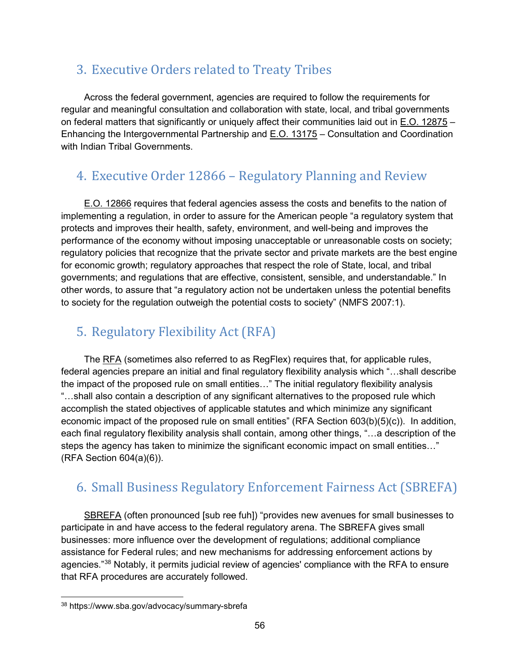## 3. Executive Orders related to Treaty Tribes

Across the federal government, agencies are required to follow the requirements for regular and meaningful consultation and collaboration with state, local, and tribal governments on federal matters that significantly or uniquely affect their communities laid out in [E.O. 12875](https://www.archives.gov/files/federal-register/executive-orders/pdf/12875.pdf) – Enhancing the Intergovernmental Partnership and [E.O. 13175](https://www.govinfo.gov/content/pkg/CFR-2001-title3-vol1/pdf/CFR-2001-title3-vol1-eo13175.pdf) – Consultation and Coordination with Indian Tribal Governments

# 4. Executive Order 12866 – Regulatory Planning and Review

[E.O. 12866](https://www.reginfo.gov/public/jsp/Utilities/EO_12866.pdf) requires that federal agencies assess the costs and benefits to the nation of implementing a regulation, in order to assure for the American people "a regulatory system that protects and improves their health, safety, environment, and well-being and improves the performance of the economy without imposing unacceptable or unreasonable costs on society; regulatory policies that recognize that the private sector and private markets are the best engine for economic growth; regulatory approaches that respect the role of State, local, and tribal governments; and regulations that are effective, consistent, sensible, and understandable." In other words, to assure that "a regulatory action not be undertaken unless the potential benefits to society for the regulation outweigh the potential costs to society" (NMFS 2007:1).

# 5. [Regulatory Flexibility Act \(RFA\)](http://www.gpo.gov/fdsys/pkg/STATUTE-94/pdf/STATUTE-94-Pg1164.pdf)

The [RFA](https://www.sba.gov/category/advocacy-navigation-structure/regulatory-flexibility-act) (sometimes also referred to as RegFlex) requires that, for applicable rules, federal agencies prepare an initial and final regulatory flexibility analysis which "…shall describe the impact of the proposed rule on small entities…" The initial regulatory flexibility analysis "…shall also contain a description of any significant alternatives to the proposed rule which accomplish the stated objectives of applicable statutes and which minimize any significant economic impact of the proposed rule on small entities" (RFA Section 603(b)(5)(c)). In addition, each final regulatory flexibility analysis shall contain, among other things, "…a description of the steps the agency has taken to minimize the significant economic impact on small entities…" (RFA Section 604(a)(6)).

# 6. Small Business Regulatory Enforcement Fairness Act (SBREFA)

[SBREFA](https://www.sba.gov/category/advocacy-navigation-structure/regulatory-policy/regulatory-flexibility-act/sbrefa) (often pronounced [sub ree fuh]) "provides new avenues for small businesses to participate in and have access to the federal regulatory arena. The SBREFA gives small businesses: more influence over the development of regulations; additional compliance assistance for Federal rules; and new mechanisms for addressing enforcement actions by agencies."[38](#page-65-0) Notably, it permits judicial review of agencies' compliance with the RFA to ensure that RFA procedures are accurately followed.

<span id="page-65-0"></span> <sup>38</sup> https://www.sba.gov/advocacy/summary-sbrefa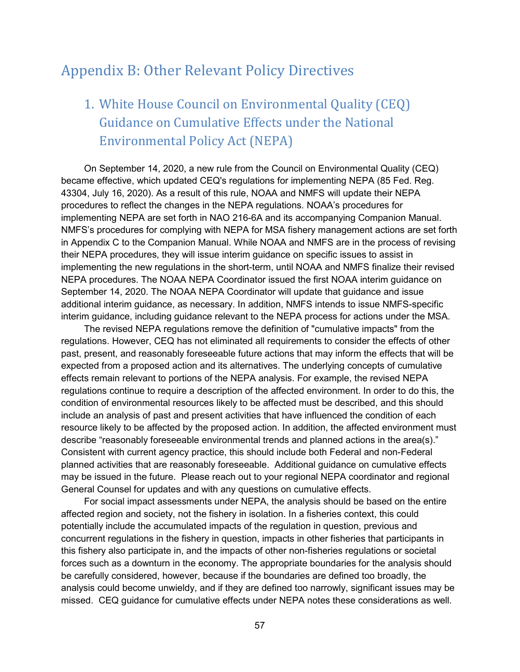## Appendix B: Other Relevant Policy Directives

# 1. White House Council on Environmental Quality (CEQ) Guidance on Cumulative Effects under the National Environmental Policy Act (NEPA)

On September 14, 2020, a new rule from the Council on Environmental Quality (CEQ) became effective, which updated CEQ's regulations for implementing NEPA (85 Fed. Reg. 43304, July 16, 2020). As a result of this rule, NOAA and NMFS will update their NEPA procedures to reflect the changes in the NEPA regulations. NOAA's procedures for implementing NEPA are set forth in NAO 216-6A and its accompanying Companion Manual. NMFS's procedures for complying with NEPA for MSA fishery management actions are set forth in Appendix C to the Companion Manual. While NOAA and NMFS are in the process of revising their NEPA procedures, they will issue interim guidance on specific issues to assist in implementing the new regulations in the short-term, until NOAA and NMFS finalize their revised NEPA procedures. The NOAA NEPA Coordinator issued the first NOAA interim guidance on September 14, 2020. The NOAA NEPA Coordinator will update that guidance and issue additional interim guidance, as necessary. In addition, NMFS intends to issue NMFS-specific interim guidance, including guidance relevant to the NEPA process for actions under the MSA.

The revised NEPA regulations remove the definition of "cumulative impacts" from the regulations. However, CEQ has not eliminated all requirements to consider the effects of other past, present, and reasonably foreseeable future actions that may inform the effects that will be expected from a proposed action and its alternatives. The underlying concepts of cumulative effects remain relevant to portions of the NEPA analysis. For example, the revised NEPA regulations continue to require a description of the affected environment. In order to do this, the condition of environmental resources likely to be affected must be described, and this should include an analysis of past and present activities that have influenced the condition of each resource likely to be affected by the proposed action. In addition, the affected environment must describe "reasonably foreseeable environmental trends and planned actions in the area(s)." Consistent with current agency practice, this should include both Federal and non-Federal planned activities that are reasonably foreseeable. Additional guidance on cumulative effects may be issued in the future. Please reach out to your regional NEPA coordinator and regional General Counsel for updates and with any questions on cumulative effects.

For social impact assessments under NEPA, the analysis should be based on the entire affected region and society, not the fishery in isolation. In a fisheries context, this could potentially include the accumulated impacts of the regulation in question, previous and concurrent regulations in the fishery in question, impacts in other fisheries that participants in this fishery also participate in, and the impacts of other non-fisheries regulations or societal forces such as a downturn in the economy. The appropriate boundaries for the analysis should be carefully considered, however, because if the boundaries are defined too broadly, the analysis could become unwieldy, and if they are defined too narrowly, significant issues may be missed. CEQ guidance for cumulative effects under NEPA notes these considerations as well.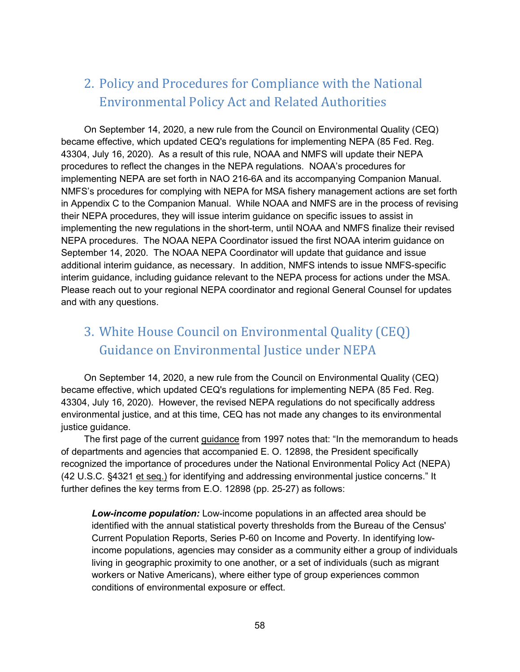# 2. Policy and Procedures for Compliance with the National Environmental Policy Act and Related Authorities

On September 14, 2020, a new rule from the Council on Environmental Quality (CEQ) became effective, which updated CEQ's regulations for implementing NEPA (85 Fed. Reg. 43304, July 16, 2020). As a result of this rule, NOAA and NMFS will update their NEPA procedures to reflect the changes in the NEPA regulations. NOAA's procedures for implementing NEPA are set forth in NAO 216-6A and its accompanying Companion Manual. NMFS's procedures for complying with NEPA for MSA fishery management actions are set forth in Appendix C to the Companion Manual. While NOAA and NMFS are in the process of revising their NEPA procedures, they will issue interim guidance on specific issues to assist in implementing the new regulations in the short-term, until NOAA and NMFS finalize their revised NEPA procedures. The NOAA NEPA Coordinator issued the first NOAA interim guidance on September 14, 2020. The NOAA NEPA Coordinator will update that guidance and issue additional interim guidance, as necessary. In addition, NMFS intends to issue NMFS-specific interim guidance, including guidance relevant to the NEPA process for actions under the MSA. Please reach out to your regional NEPA coordinator and regional General Counsel for updates and with any questions.

# 3. White House Council on Environmental Quality (CEQ) Guidance on Environmental Justice under NEPA

On September 14, 2020, a new rule from the Council on Environmental Quality (CEQ) became effective, which updated CEQ's regulations for implementing NEPA (85 Fed. Reg. 43304, July 16, 2020). However, the revised NEPA regulations do not specifically address environmental justice, and at this time, CEQ has not made any changes to its environmental justice guidance.

The first page of the current [guidance](https://ceq.doe.gov/docs/ceq-regulations-and-guidance/regs/ej/justice.pdf) from 1997 notes that: "In the memorandum to heads of departments and agencies that accompanied E. O. 12898, the President specifically recognized the importance of procedures under the National Environmental Policy Act (NEPA) (42 U.S.C. §4321 et seq.) for identifying and addressing environmental justice concerns." It further defines the key terms from E.O. 12898 (pp. 25-27) as follows:

*Low-income population:* Low-income populations in an affected area should be identified with the annual statistical poverty thresholds from the Bureau of the Census' Current Population Reports, Series P-60 on Income and Poverty. In identifying lowincome populations, agencies may consider as a community either a group of individuals living in geographic proximity to one another, or a set of individuals (such as migrant workers or Native Americans), where either type of group experiences common conditions of environmental exposure or effect.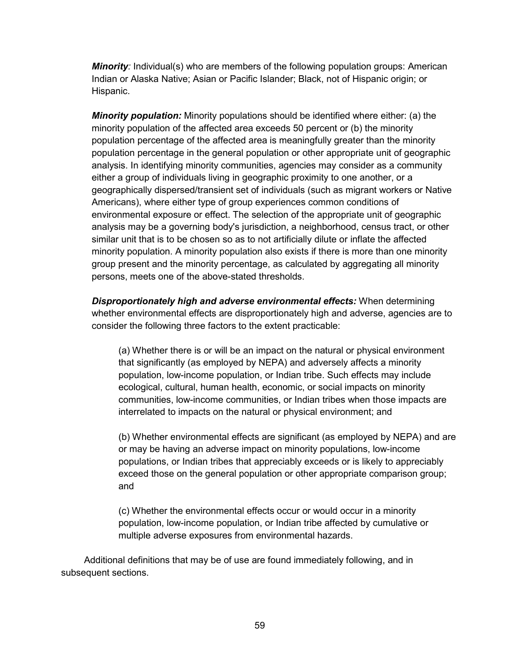*Minority:* Individual(s) who are members of the following population groups: American Indian or Alaska Native; Asian or Pacific Islander; Black, not of Hispanic origin; or Hispanic.

*Minority population:* Minority populations should be identified where either: (a) the minority population of the affected area exceeds 50 percent or (b) the minority population percentage of the affected area is meaningfully greater than the minority population percentage in the general population or other appropriate unit of geographic analysis. In identifying minority communities, agencies may consider as a community either a group of individuals living in geographic proximity to one another, or a geographically dispersed/transient set of individuals (such as migrant workers or Native Americans), where either type of group experiences common conditions of environmental exposure or effect. The selection of the appropriate unit of geographic analysis may be a governing body's jurisdiction, a neighborhood, census tract, or other similar unit that is to be chosen so as to not artificially dilute or inflate the affected minority population. A minority population also exists if there is more than one minority group present and the minority percentage, as calculated by aggregating all minority persons, meets one of the above-stated thresholds.

*Disproportionately high and adverse environmental effects:* When determining whether environmental effects are disproportionately high and adverse, agencies are to consider the following three factors to the extent practicable:

(a) Whether there is or will be an impact on the natural or physical environment that significantly (as employed by NEPA) and adversely affects a minority population, low-income population, or Indian tribe. Such effects may include ecological, cultural, human health, economic, or social impacts on minority communities, low-income communities, or Indian tribes when those impacts are interrelated to impacts on the natural or physical environment; and

(b) Whether environmental effects are significant (as employed by NEPA) and are or may be having an adverse impact on minority populations, low-income populations, or Indian tribes that appreciably exceeds or is likely to appreciably exceed those on the general population or other appropriate comparison group; and

(c) Whether the environmental effects occur or would occur in a minority population, low-income population, or Indian tribe affected by cumulative or multiple adverse exposures from environmental hazards.

Additional definitions that may be of use are found immediately following, and in subsequent sections.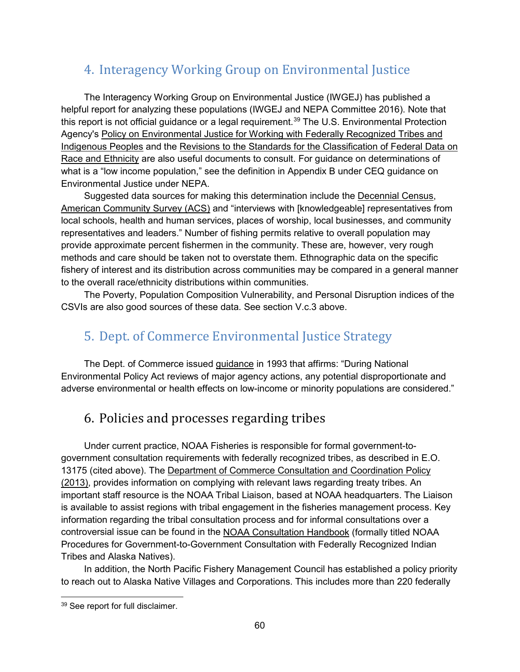### 4. Interagency Working Group on Environmental Justice

The Interagency Working Group on Environmental Justice (IWGEJ) has published a helpful report for analyzing these populations (IWGEJ and NEPA Committee 2016). Note that this report is not official guidance or a legal requirement.<sup>[39](#page-69-0)</sup> The U.S. Environmental Protection Agency's [Policy on Environmental Justice for Working with Federally Recognized Tribes and](https://www.epa.gov/environmentaljustice/epa-policy-environmental-justice-working-federally-recognized-tribes-and)  [Indigenous Peoples](https://www.epa.gov/environmentaljustice/epa-policy-environmental-justice-working-federally-recognized-tribes-and) and the [Revisions to the Standards for the Classification of Federal Data on](https://www.whitehouse.gov/wp-content/uploads/2017/11/Revisions-to-the-Standards-for-the-Classification-of-Federal-Data-on-Race-and-Ethnicity-October30-1997.pdf)  [Race and Ethnicity](https://www.whitehouse.gov/wp-content/uploads/2017/11/Revisions-to-the-Standards-for-the-Classification-of-Federal-Data-on-Race-and-Ethnicity-October30-1997.pdf) are also useful documents to consult. For guidance on determinations of what is a "low income population," see the definition in Appendix B under CEQ guidance on Environmental Justice under NEPA.

Suggested data sources for making this determination include the [Decennial Census,](https://www.census.gov/) [American Community Survey \(ACS\)](https://www.census.gov/programs-surveys/acs) and "interviews with [knowledgeable] representatives from local schools, health and human services, places of worship, local businesses, and community representatives and leaders." Number of fishing permits relative to overall population may provide approximate percent fishermen in the community. These are, however, very rough methods and care should be taken not to overstate them. Ethnographic data on the specific fishery of interest and its distribution across communities may be compared in a general manner to the overall race/ethnicity distributions within communities.

The Poverty, Population Composition Vulnerability, and Personal Disruption indices of the CSVIs are also good sources of these data. See section V.c.3 above.

## 5. Dept. of Commerce Environmental Justice Strategy

The Dept. of Commerce issued [guidance](http://www.osec.doc.gov/opog/OG/Archive/news/2013/02/21/department-commerce-environmental-justice-strategy.html) in 1993 that affirms: "During National Environmental Policy Act reviews of major agency actions, any potential disproportionate and adverse environmental or health effects on low-income or minority populations are considered."

## 6. Policies and processes regarding tribes

Under current practice, NOAA Fisheries is responsible for formal government-togovernment consultation requirements with federally recognized tribes, as described in E.O. 13175 (cited above). The [Department of Commerce Consultation and Coordination Policy](https://www.govinfo.gov/content/pkg/FR-2013-06-04/pdf/2013-13052.pdf) (2013), provides information on complying with relevant laws regarding treaty tribes. An important staff resource is the NOAA Tribal Liaison, based at NOAA headquarters. The Liaison is available to assist regions with tribal engagement in the fisheries management process. Key information regarding the tribal consultation process and for informal consultations over a controversial issue can be found in the [NOAA Consultation Handbook](http://www.legislative.noaa.gov/policybriefs/NOAA%20Tribal%20consultation%20handbook%206%2013.11%20final.pdf) (formally titled NOAA Procedures for Government-to-Government Consultation with Federally Recognized Indian Tribes and Alaska Natives).

In addition, the North Pacific Fishery Management Council has established a policy priority to reach out to Alaska Native Villages and Corporations. This includes more than 220 federally

<span id="page-69-0"></span><sup>39</sup> See report for full disclaimer.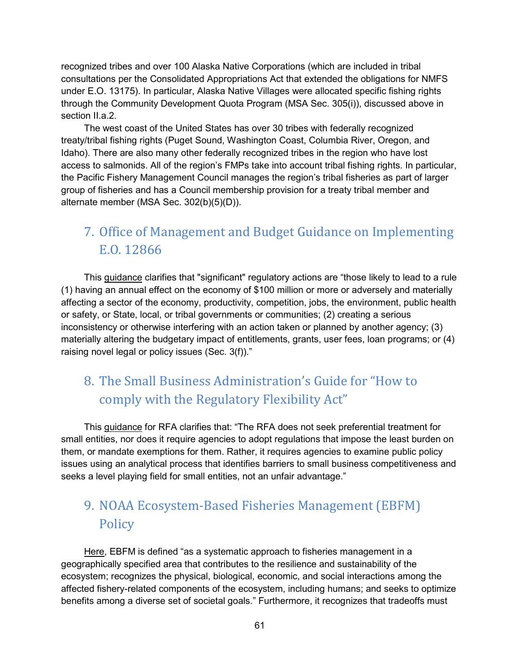recognized tribes and over 100 Alaska Native Corporations (which are included in tribal consultations per the Consolidated Appropriations Act that extended the obligations for NMFS under E.O. 13175). In particular, Alaska Native Villages were allocated specific fishing rights through the Community Development Quota Program (MSA Sec. 305(i)), discussed above in section II.a.2.

The west coast of the United States has over 30 tribes with federally recognized treaty/tribal fishing rights (Puget Sound, Washington Coast, Columbia River, Oregon, and Idaho). There are also many other federally recognized tribes in the region who have lost access to salmonids. All of the region's FMPs take into account tribal fishing rights. In particular, the Pacific Fishery Management Council manages the region's tribal fisheries as part of larger group of fisheries and has a Council membership provision for a treaty tribal member and alternate member (MSA Sec. 302(b)(5)(D)).

# 7. Office of Management and Budget Guidance on Implementing E.O. 12866

This [guidance](https://www.whitehouse.gov/sites/whitehouse.gov/files/omb/assets/inforeg/eo12866_implementation_guidance.pdf) clarifies that "significant" regulatory actions are "those likely to lead to a rule (1) having an annual effect on the economy of \$100 million or more or adversely and materially affecting a sector of the economy, productivity, competition, jobs, the environment, public health or safety, or State, local, or tribal governments or communities; (2) creating a serious inconsistency or otherwise interfering with an action taken or planned by another agency; (3) materially altering the budgetary impact of entitlements, grants, user fees, loan programs; or (4) raising novel legal or policy issues (Sec. 3(f))."

# 8. The Small Business Administration's Guide for "How to comply with the Regulatory Flexibility Act"

This [guidance](https://www.sba.gov/advocacy/guide-government-agencies-how-comply-regulatory-flexibility-act) for RFA clarifies that: "The RFA does not seek preferential treatment for small entities, nor does it require agencies to adopt regulations that impose the least burden on them, or mandate exemptions for them. Rather, it requires agencies to examine public policy issues using an analytical process that identifies barriers to small business competitiveness and seeks a level playing field for small entities, not an unfair advantage."

# 9. NOAA Ecosystem-Based Fisheries Management (EBFM) Policy

[Here,](https://www.fisheries.noaa.gov/resource/document/ecosystem-based-fisheries-management-policy) EBFM is defined "as a systematic approach to fisheries management in a geographically specified area that contributes to the resilience and sustainability of the ecosystem; recognizes the physical, biological, economic, and social interactions among the affected fishery-related components of the ecosystem, including humans; and seeks to optimize benefits among a diverse set of societal goals." Furthermore, it recognizes that tradeoffs must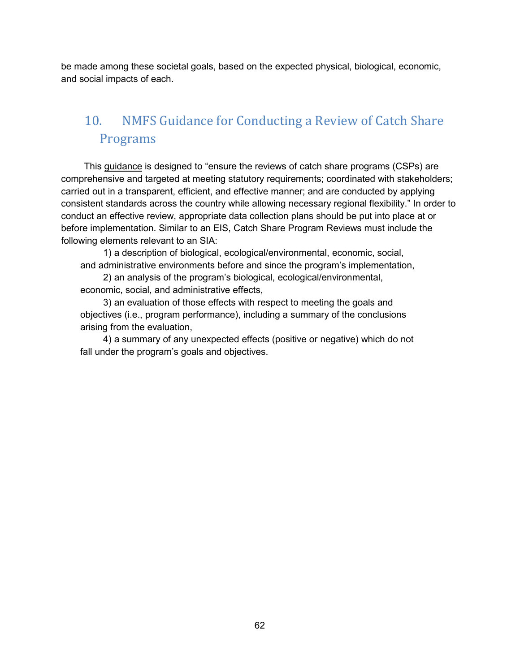be made among these societal goals, based on the expected physical, biological, economic, and social impacts of each.

# 10. NMFS Guidance for Conducting a Review of Catch Share Programs

This [guidance](https://www.fisheries.noaa.gov/webdam/download/64669111) is designed to "ensure the reviews of catch share programs (CSPs) are comprehensive and targeted at meeting statutory requirements; coordinated with stakeholders; carried out in a transparent, efficient, and effective manner; and are conducted by applying consistent standards across the country while allowing necessary regional flexibility." In order to conduct an effective review, appropriate data collection plans should be put into place at or before implementation. Similar to an EIS, Catch Share Program Reviews must include the following elements relevant to an SIA:

1) a description of biological, ecological/environmental, economic, social, and administrative environments before and since the program's implementation,

2) an analysis of the program's biological, ecological/environmental, economic, social, and administrative effects,

3) an evaluation of those effects with respect to meeting the goals and objectives (i.e., program performance), including a summary of the conclusions arising from the evaluation,

4) a summary of any unexpected effects (positive or negative) which do not fall under the program's goals and objectives.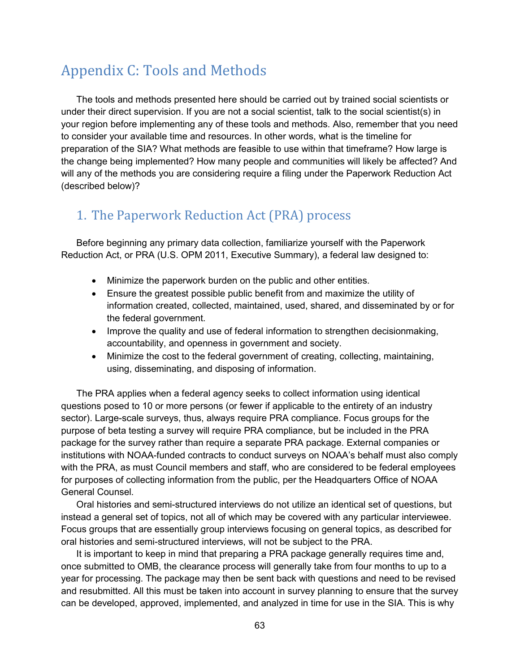# Appendix C: Tools and Methods

The tools and methods presented here should be carried out by trained social scientists or under their direct supervision. If you are not a social scientist, talk to the social scientist(s) in your region before implementing any of these tools and methods. Also, remember that you need to consider your available time and resources. In other words, what is the timeline for preparation of the SIA? What methods are feasible to use within that timeframe? How large is the change being implemented? How many people and communities will likely be affected? And will any of the methods you are considering require a filing under the Paperwork Reduction Act (described below)?

## 1. The Paperwork Reduction Act (PRA) process

Before beginning any primary data collection, familiarize yourself with the Paperwork Reduction Act, or PRA (U.S. OPM 2011, Executive Summary), a federal law designed to:

- Minimize the paperwork burden on the public and other entities.
- Ensure the greatest possible public benefit from and maximize the utility of information created, collected, maintained, used, shared, and disseminated by or for the federal government.
- Improve the quality and use of federal information to strengthen decisionmaking, accountability, and openness in government and society.
- Minimize the cost to the federal government of creating, collecting, maintaining, using, disseminating, and disposing of information.

The PRA applies when a federal agency seeks to collect information using identical questions posed to 10 or more persons (or fewer if applicable to the entirety of an industry sector). Large-scale surveys, thus, always require PRA compliance. Focus groups for the purpose of beta testing a survey will require PRA compliance, but be included in the PRA package for the survey rather than require a separate PRA package. External companies or institutions with NOAA-funded contracts to conduct surveys on NOAA's behalf must also comply with the PRA, as must Council members and staff, who are considered to be federal employees for purposes of collecting information from the public, per the Headquarters Office of NOAA General Counsel.

Oral histories and semi-structured interviews do not utilize an identical set of questions, but instead a general set of topics, not all of which may be covered with any particular interviewee. Focus groups that are essentially group interviews focusing on general topics, as described for oral histories and semi-structured interviews, will not be subject to the PRA.

It is important to keep in mind that preparing a PRA package generally requires time and, once submitted to OMB, the clearance process will generally take from four months to up to a year for processing. The package may then be sent back with questions and need to be revised and resubmitted. All this must be taken into account in survey planning to ensure that the survey can be developed, approved, implemented, and analyzed in time for use in the SIA. This is why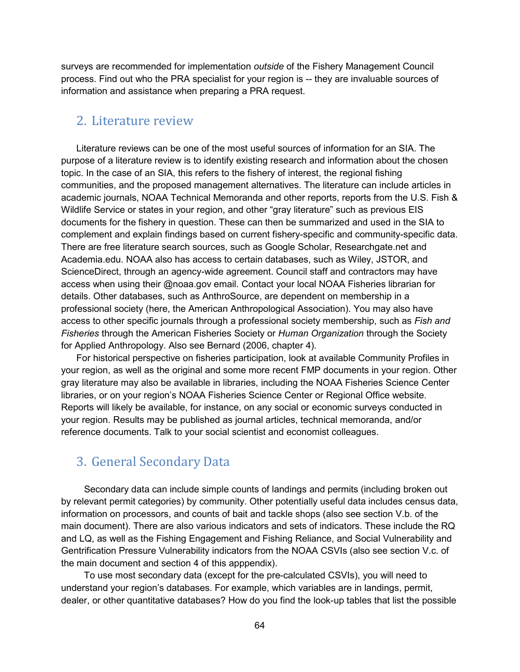surveys are recommended for implementation *outside* of the Fishery Management Council process. Find out who the PRA specialist for your region is -- they are invaluable sources of information and assistance when preparing a PRA request.

#### 2. Literature review

Literature reviews can be one of the most useful sources of information for an SIA. The purpose of a literature review is to identify existing research and information about the chosen topic. In the case of an SIA, this refers to the fishery of interest, the regional fishing communities, and the proposed management alternatives. The literature can include articles in academic journals, NOAA Technical Memoranda and other reports, reports from the U.S. Fish & Wildlife Service or states in your region, and other "gray literature" such as previous EIS documents for the fishery in question. These can then be summarized and used in the SIA to complement and explain findings based on current fishery-specific and community-specific data. There are free literature search sources, such as Google Scholar, Researchgate.net and Academia.edu. NOAA also has access to certain databases, such as Wiley, JSTOR, and ScienceDirect, through an agency-wide agreement. Council staff and contractors may have access when using their @noaa.gov email. Contact your local NOAA Fisheries librarian for details. Other databases, such as AnthroSource, are dependent on membership in a professional society (here, the American Anthropological Association). You may also have access to other specific journals through a professional society membership, such as *Fish and Fisheries* through the American Fisheries Society or *Human Organization* through the Society for Applied Anthropology. Also see Bernard (2006, chapter 4).

For historical perspective on fisheries participation, look at available Community Profiles in your region, as well as the original and some more recent FMP documents in your region. Other gray literature may also be available in libraries, including the NOAA Fisheries Science Center libraries, or on your region's NOAA Fisheries Science Center or Regional Office website. Reports will likely be available, for instance, on any social or economic surveys conducted in your region. Results may be published as journal articles, technical memoranda, and/or reference documents. Talk to your social scientist and economist colleagues.

## 3. General Secondary Data

Secondary data can include simple counts of landings and permits (including broken out by relevant permit categories) by community. Other potentially useful data includes census data, information on processors, and counts of bait and tackle shops (also see section V.b. of the main document). There are also various indicators and sets of indicators. These include the RQ and LQ, as well as the Fishing Engagement and Fishing Reliance, and Social Vulnerability and Gentrification Pressure Vulnerability indicators from the NOAA CSVIs (also see section V.c. of the main document and section 4 of this apppendix).

To use most secondary data (except for the pre-calculated CSVIs), you will need to understand your region's databases. For example, which variables are in landings, permit, dealer, or other quantitative databases? How do you find the look-up tables that list the possible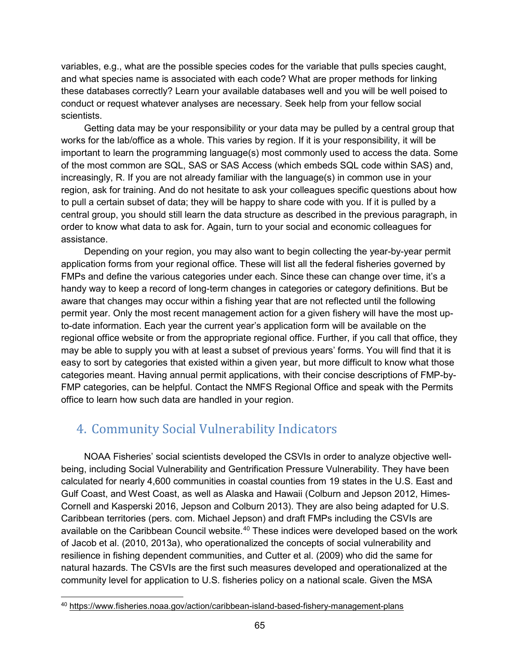variables, e.g., what are the possible species codes for the variable that pulls species caught, and what species name is associated with each code? What are proper methods for linking these databases correctly? Learn your available databases well and you will be well poised to conduct or request whatever analyses are necessary. Seek help from your fellow social scientists.

Getting data may be your responsibility or your data may be pulled by a central group that works for the lab/office as a whole. This varies by region. If it is your responsibility, it will be important to learn the programming language(s) most commonly used to access the data. Some of the most common are SQL, SAS or SAS Access (which embeds SQL code within SAS) and, increasingly, R. If you are not already familiar with the language(s) in common use in your region, ask for training. And do not hesitate to ask your colleagues specific questions about how to pull a certain subset of data; they will be happy to share code with you. If it is pulled by a central group, you should still learn the data structure as described in the previous paragraph, in order to know what data to ask for. Again, turn to your social and economic colleagues for assistance.

Depending on your region, you may also want to begin collecting the year-by-year permit application forms from your regional office. These will list all the federal fisheries governed by FMPs and define the various categories under each. Since these can change over time, it's a handy way to keep a record of long-term changes in categories or category definitions. But be aware that changes may occur within a fishing year that are not reflected until the following permit year. Only the most recent management action for a given fishery will have the most upto-date information. Each year the current year's application form will be available on the regional office website or from the appropriate regional office. Further, if you call that office, they may be able to supply you with at least a subset of previous years' forms. You will find that it is easy to sort by categories that existed within a given year, but more difficult to know what those categories meant. Having annual permit applications, with their concise descriptions of FMP-by-FMP categories, can be helpful. Contact the NMFS Regional Office and speak with the Permits office to learn how such data are handled in your region.

# 4. Community Social Vulnerability Indicators

NOAA Fisheries' social scientists developed the CSVIs in order to analyze objective wellbeing, including Social Vulnerability and Gentrification Pressure Vulnerability. They have been calculated for nearly 4,600 communities in coastal counties from 19 states in the U.S. East and Gulf Coast, and West Coast, as well as Alaska and Hawaii (Colburn and Jepson 2012, Himes-Cornell and Kasperski 2016, Jepson and Colburn 2013). They are also being adapted for U.S. Caribbean territories (pers. com. Michael Jepson) and draft FMPs including the CSVIs are available on the Caribbean Council website.<sup>[40](#page-74-0)</sup> These indices were developed based on the work of Jacob et al. (2010, 2013a), who operationalized the concepts of social vulnerability and resilience in fishing dependent communities, and Cutter et al. (2009) who did the same for natural hazards. The CSVIs are the first such measures developed and operationalized at the community level for application to U.S. fisheries policy on a national scale. Given the MSA

<span id="page-74-0"></span> <sup>40</sup> <https://www.fisheries.noaa.gov/action/caribbean-island-based-fishery-management-plans>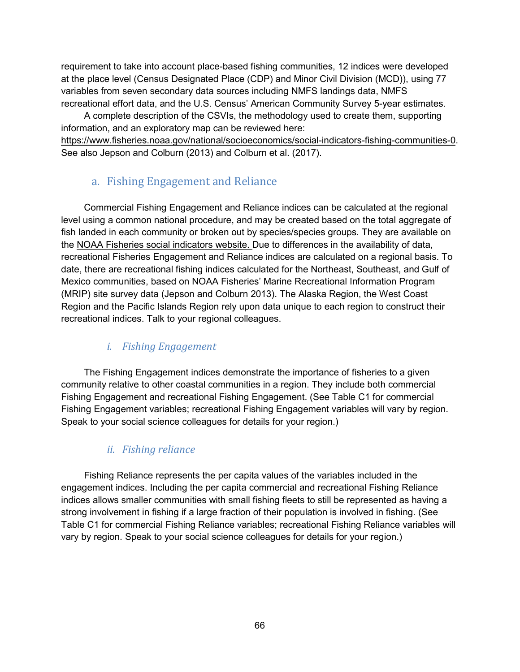requirement to take into account place-based fishing communities, 12 indices were developed at the place level (Census Designated Place (CDP) and Minor Civil Division (MCD)), using 77 variables from seven secondary data sources including NMFS landings data, NMFS recreational effort data, and the U.S. Census' American Community Survey 5-year estimates.

A complete description of the CSVIs, the methodology used to create them, supporting information, and an exploratory map can be reviewed here:

[https://www.fisheries.noaa.gov/national/socioeconomics/social-indicators-fishing-communities-0.](https://www.fisheries.noaa.gov/national/socioeconomics/social-indicators-fishing-communities-0) See also Jepson and Colburn (2013) and Colburn et al. (2017).

## a. Fishing Engagement and Reliance

Commercial Fishing Engagement and Reliance indices can be calculated at the regional level using a common national procedure, and may be created based on the total aggregate of fish landed in each community or broken out by species/species groups. They are available on the NOAA Fisheries [social indicators website.](https://www.fisheries.noaa.gov/national/socioeconomics/social-indicators-fishing-communities-0) Due to differences in the availability of data, recreational Fisheries Engagement and Reliance indices are calculated on a regional basis. To date, there are recreational fishing indices calculated for the Northeast, Southeast, and Gulf of Mexico communities, based on NOAA Fisheries' Marine Recreational Information Program (MRIP) site survey data (Jepson and Colburn 2013). The Alaska Region, the West Coast Region and the Pacific Islands Region rely upon data unique to each region to construct their recreational indices. Talk to your regional colleagues.

## *i. Fishing Engagement*

The Fishing Engagement indices demonstrate the importance of fisheries to a given community relative to other coastal communities in a region. They include both commercial Fishing Engagement and recreational Fishing Engagement. (See Table C1 for commercial Fishing Engagement variables; recreational Fishing Engagement variables will vary by region. Speak to your social science colleagues for details for your region.)

### *ii. Fishing reliance*

Fishing Reliance represents the per capita values of the variables included in the engagement indices. Including the per capita commercial and recreational Fishing Reliance indices allows smaller communities with small fishing fleets to still be represented as having a strong involvement in fishing if a large fraction of their population is involved in fishing. (See Table C1 for commercial Fishing Reliance variables; recreational Fishing Reliance variables will vary by region. Speak to your social science colleagues for details for your region.)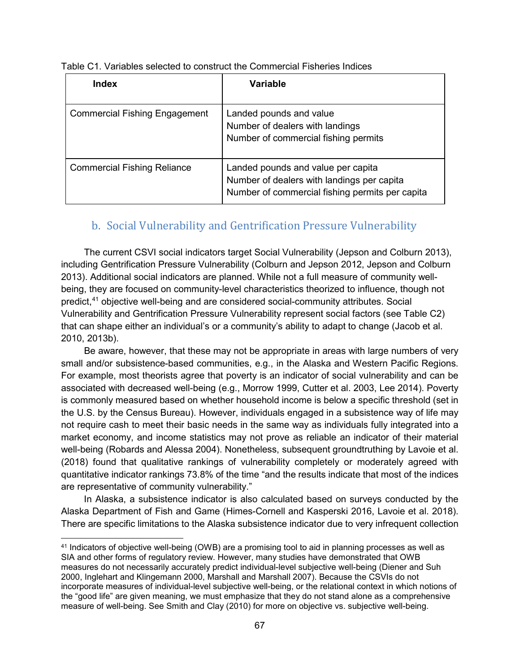| <b>Index</b>                         | Variable                                                                                                                            |
|--------------------------------------|-------------------------------------------------------------------------------------------------------------------------------------|
| <b>Commercial Fishing Engagement</b> | Landed pounds and value<br>Number of dealers with landings<br>Number of commercial fishing permits                                  |
| <b>Commercial Fishing Reliance</b>   | Landed pounds and value per capita<br>Number of dealers with landings per capita<br>Number of commercial fishing permits per capita |

Table C1. Variables selected to construct the Commercial Fisheries Indices

#### b. Social Vulnerability and Gentrification Pressure Vulnerability

The current CSVI social indicators target Social Vulnerability (Jepson and Colburn 2013), including Gentrification Pressure Vulnerability (Colburn and Jepson 2012, Jepson and Colburn 2013). Additional social indicators are planned. While not a full measure of community wellbeing, they are focused on community-level characteristics theorized to influence, though not predict, [41](#page-76-0) objective well-being and are considered social-community attributes. Social Vulnerability and Gentrification Pressure Vulnerability represent social factors (see Table C2) that can shape either an individual's or a community's ability to adapt to change (Jacob et al. 2010, 2013b).

Be aware, however, that these may not be appropriate in areas with large numbers of very small and/or subsistence-based communities, e.g., in the Alaska and Western Pacific Regions. For example, most theorists agree that poverty is an indicator of social vulnerability and can be associated with decreased well-being (e.g., Morrow 1999, Cutter et al. 2003, Lee 2014). Poverty is commonly measured based on whether household income is below a specific threshold (set in the U.S. by the Census Bureau). However, individuals engaged in a subsistence way of life may not require cash to meet their basic needs in the same way as individuals fully integrated into a market economy, and income statistics may not prove as reliable an indicator of their material well-being (Robards and Alessa 2004). Nonetheless, subsequent groundtruthing by Lavoie et al. (2018) found that qualitative rankings of vulnerability completely or moderately agreed with quantitative indicator rankings 73.8% of the time "and the results indicate that most of the indices are representative of community vulnerability."

In Alaska, a subsistence indicator is also calculated based on surveys conducted by the Alaska Department of Fish and Game (Himes-Cornell and Kasperski 2016, Lavoie et al. 2018). There are specific limitations to the Alaska subsistence indicator due to very infrequent collection

<span id="page-76-0"></span> <sup>41</sup> Indicators of objective well-being (OWB) are a promising tool to aid in planning processes as well as SIA and other forms of regulatory review. However, many studies have demonstrated that OWB measures do not necessarily accurately predict individual-level subjective well-being (Diener and Suh 2000, Inglehart and Klingemann 2000, Marshall and Marshall 2007). Because the CSVIs do not incorporate measures of individual-level subjective well-being, or the relational context in which notions of the "good life" are given meaning, we must emphasize that they do not stand alone as a comprehensive measure of well-being. See Smith and Clay (2010) for more on objective vs. subjective well-being.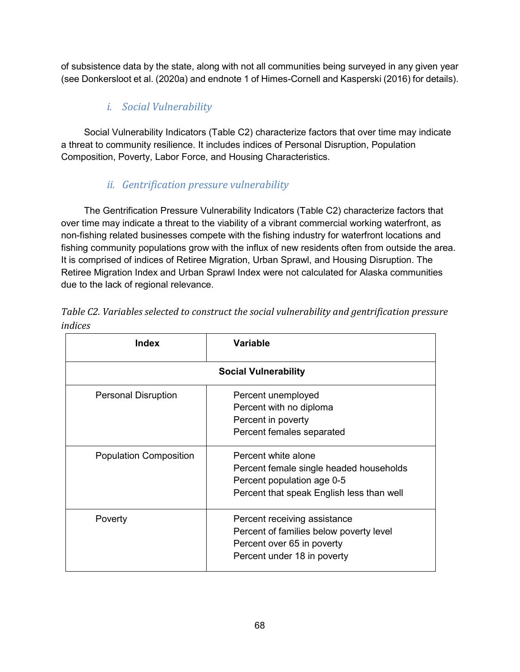of subsistence data by the state, along with not all communities being surveyed in any given year (see Donkersloot et al. (2020a) and endnote 1 of Himes-Cornell and Kasperski (2016) for details).

## *i. Social Vulnerability*

Social Vulnerability Indicators (Table C2) characterize factors that over time may indicate a threat to community resilience. It includes indices of Personal Disruption, Population Composition, Poverty, Labor Force, and Housing Characteristics.

## *ii. Gentrification pressure vulnerability*

The Gentrification Pressure Vulnerability Indicators (Table C2) characterize factors that over time may indicate a threat to the viability of a vibrant commercial working waterfront, as non-fishing related businesses compete with the fishing industry for waterfront locations and fishing community populations grow with the influx of new residents often from outside the area. It is comprised of indices of Retiree Migration, Urban Sprawl, and Housing Disruption. The Retiree Migration Index and Urban Sprawl Index were not calculated for Alaska communities due to the lack of regional relevance.

| Index                         | <b>Variable</b>                                                                                                                           |  |  |  |  |
|-------------------------------|-------------------------------------------------------------------------------------------------------------------------------------------|--|--|--|--|
| <b>Social Vulnerability</b>   |                                                                                                                                           |  |  |  |  |
| <b>Personal Disruption</b>    | Percent unemployed<br>Percent with no diploma<br>Percent in poverty<br>Percent females separated                                          |  |  |  |  |
| <b>Population Composition</b> | Percent white alone<br>Percent female single headed households<br>Percent population age 0-5<br>Percent that speak English less than well |  |  |  |  |
| Poverty                       | Percent receiving assistance<br>Percent of families below poverty level<br>Percent over 65 in poverty<br>Percent under 18 in poverty      |  |  |  |  |

|         | Table C2. Variables selected to construct the social vulnerability and gentrification pressure |  |  |
|---------|------------------------------------------------------------------------------------------------|--|--|
| indices |                                                                                                |  |  |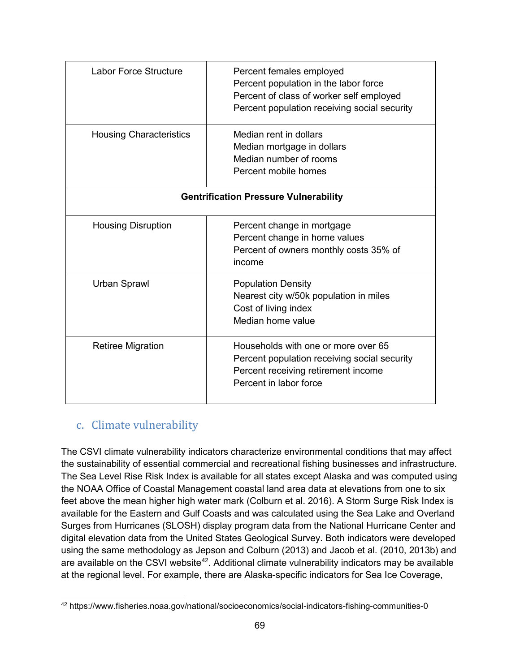| <b>Labor Force Structure</b>                 | Percent females employed<br>Percent population in the labor force<br>Percent of class of worker self employed<br>Percent population receiving social security |  |  |  |
|----------------------------------------------|---------------------------------------------------------------------------------------------------------------------------------------------------------------|--|--|--|
| <b>Housing Characteristics</b>               | Median rent in dollars<br>Median mortgage in dollars<br>Median number of rooms<br>Percent mobile homes                                                        |  |  |  |
| <b>Gentrification Pressure Vulnerability</b> |                                                                                                                                                               |  |  |  |
| <b>Housing Disruption</b>                    | Percent change in mortgage<br>Percent change in home values<br>Percent of owners monthly costs 35% of<br>income                                               |  |  |  |
| <b>Urban Sprawl</b>                          | <b>Population Density</b><br>Nearest city w/50k population in miles<br>Cost of living index<br>Median home value                                              |  |  |  |
| <b>Retiree Migration</b>                     | Households with one or more over 65<br>Percent population receiving social security<br>Percent receiving retirement income<br>Percent in labor force          |  |  |  |

## c. Climate vulnerability

The CSVI climate vulnerability indicators characterize environmental conditions that may affect the sustainability of essential commercial and recreational fishing businesses and infrastructure. The Sea Level Rise Risk Index is available for all states except Alaska and was computed using the NOAA Office of Coastal Management coastal land area data at elevations from one to six feet above the mean higher high water mark (Colburn et al. 2016). A Storm Surge Risk Index is available for the Eastern and Gulf Coasts and was calculated using the Sea Lake and Overland Surges from Hurricanes (SLOSH) display program data from the National Hurricane Center and digital elevation data from the United States Geological Survey. Both indicators were developed using the same methodology as Jepson and Colburn (2013) and Jacob et al. (2010, 2013b) and are available on the CSVI website<sup>[42](#page-78-0)</sup>. Additional climate vulnerability indicators may be available at the regional level. For example, there are Alaska-specific indicators for Sea Ice Coverage,

<span id="page-78-0"></span> <sup>42</sup> https://www.fisheries.noaa.gov/national/socioeconomics/social-indicators-fishing-communities-0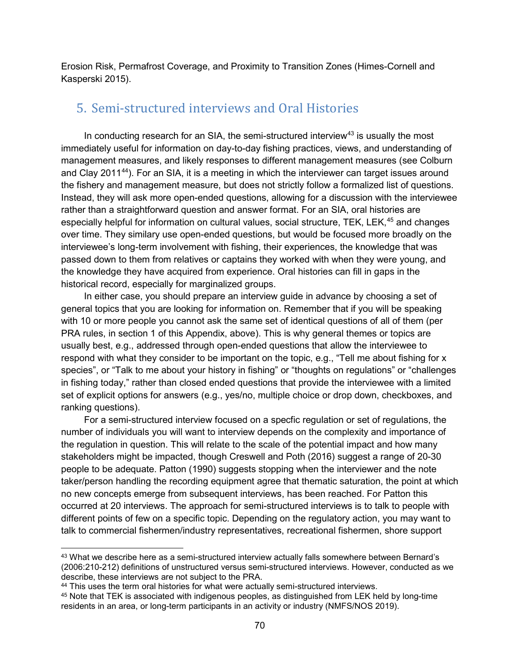Erosion Risk, Permafrost Coverage, and Proximity to Transition Zones (Himes-Cornell and Kasperski 2015).

## 5. Semi-structured interviews and Oral Histories

In conducting research for an SIA, the semi-structured interview<sup>[43](#page-79-0)</sup> is usually the most immediately useful for information on day-to-day fishing practices, views, and understanding of management measures, and likely responses to different management measures (see Colburn and Clay 2011[44](#page-79-1)). For an SIA, it is a meeting in which the interviewer can target issues around the fishery and management measure, but does not strictly follow a formalized list of questions. Instead, they will ask more open-ended questions, allowing for a discussion with the interviewee rather than a straightforward question and answer format. For an SIA, oral histories are especially helpful for information on cultural values, social structure, TEK, LEK,<sup>[45](#page-79-2)</sup> and changes over time. They similary use open-ended questions, but would be focused more broadly on the interviewee's long-term involvement with fishing, their experiences, the knowledge that was passed down to them from relatives or captains they worked with when they were young, and the knowledge they have acquired from experience. Oral histories can fill in gaps in the historical record, especially for marginalized groups.

In either case, you should prepare an interview guide in advance by choosing a set of general topics that you are looking for information on. Remember that if you will be speaking with 10 or more people you cannot ask the same set of identical questions of all of them (per PRA rules, in section 1 of this Appendix, above). This is why general themes or topics are usually best, e.g., addressed through open-ended questions that allow the interviewee to respond with what they consider to be important on the topic, e.g., "Tell me about fishing for x species", or "Talk to me about your history in fishing" or "thoughts on regulations" or "challenges in fishing today," rather than closed ended questions that provide the interviewee with a limited set of explicit options for answers (e.g., yes/no, multiple choice or drop down, checkboxes, and ranking questions).

For a semi-structured interview focused on a specfic regulation or set of regulations, the number of individuals you will want to interview depends on the complexity and importance of the regulation in question. This will relate to the scale of the potential impact and how many stakeholders might be impacted, though Creswell and Poth (2016) suggest a range of 20-30 people to be adequate. Patton (1990) suggests stopping when the interviewer and the note taker/person handling the recording equipment agree that thematic saturation, the point at which no new concepts emerge from subsequent interviews, has been reached. For Patton this occurred at 20 interviews. The approach for semi-structured interviews is to talk to people with different points of few on a specific topic. Depending on the regulatory action, you may want to talk to commercial fishermen/industry representatives, recreational fishermen, shore support

<span id="page-79-0"></span> <sup>43</sup> What we describe here as a semi-structured interview actually falls somewhere between Bernard's (2006:210-212) definitions of unstructured versus semi-structured interviews. However, conducted as we describe, these interviews are not subject to the PRA.

<span id="page-79-1"></span><sup>&</sup>lt;sup>44</sup> This uses the term oral histories for what were actually semi-structured interviews.

<span id="page-79-2"></span><sup>45</sup> Note that TEK is associated with indigenous peoples, as distinguished from LEK held by long-time residents in an area, or long-term participants in an activity or industry (NMFS/NOS 2019).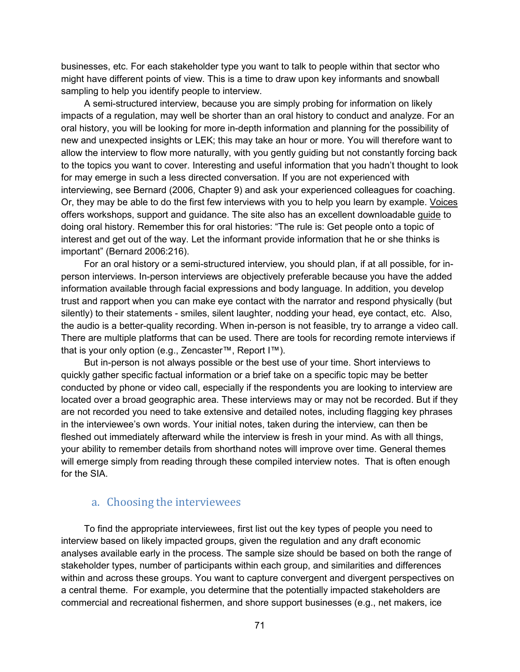businesses, etc. For each stakeholder type you want to talk to people within that sector who might have different points of view. This is a time to draw upon key informants and snowball sampling to help you identify people to interview.

A semi-structured interview, because you are simply probing for information on likely impacts of a regulation, may well be shorter than an oral history to conduct and analyze. For an oral history, you will be looking for more in-depth information and planning for the possibility of new and unexpected insights or LEK; this may take an hour or more. You will therefore want to allow the interview to flow more naturally, with you gently guiding but not constantly forcing back to the topics you want to cover. Interesting and useful information that you hadn't thought to look for may emerge in such a less directed conversation. If you are not experienced with interviewing, see Bernard (2006, Chapter 9) and ask your experienced colleagues for coaching. Or, they may be able to do the first few interviews with you to help you learn by example. [Voices](https://www.voices.nmfs.noaa.gov/) offers workshops, support and guidance. The site also has an excellent downloadable [guide](https://voices.nmfs.noaa.gov/sites/default/files/inline-files/Voices%20Oral%20History%20Guide_0.pdf) to doing oral history. Remember this for oral histories: "The rule is: Get people onto a topic of interest and get out of the way. Let the informant provide information that he or she thinks is important" (Bernard 2006:216).

For an oral history or a semi-structured interview, you should plan, if at all possible, for inperson interviews. In-person interviews are objectively preferable because you have the added information available through facial expressions and body language. In addition, you develop trust and rapport when you can make eye contact with the narrator and respond physically (but silently) to their statements - smiles, silent laughter, nodding your head, eye contact, etc. Also, the audio is a better-quality recording. When in-person is not feasible, try to arrange a video call. There are multiple platforms that can be used. There are tools for recording remote interviews if that is your only option (e.g., Zencaster™, Report I™).

But in-person is not always possible or the best use of your time. Short interviews to quickly gather specific factual information or a brief take on a specific topic may be better conducted by phone or video call, especially if the respondents you are looking to interview are located over a broad geographic area. These interviews may or may not be recorded. But if they are not recorded you need to take extensive and detailed notes, including flagging key phrases in the interviewee's own words. Your initial notes, taken during the interview, can then be fleshed out immediately afterward while the interview is fresh in your mind. As with all things, your ability to remember details from shorthand notes will improve over time. General themes will emerge simply from reading through these compiled interview notes. That is often enough for the SIA.

#### a. Choosing the interviewees

To find the appropriate interviewees, first list out the key types of people you need to interview based on likely impacted groups, given the regulation and any draft economic analyses available early in the process. The sample size should be based on both the range of stakeholder types, number of participants within each group, and similarities and differences within and across these groups. You want to capture convergent and divergent perspectives on a central theme. For example, you determine that the potentially impacted stakeholders are commercial and recreational fishermen, and shore support businesses (e.g., net makers, ice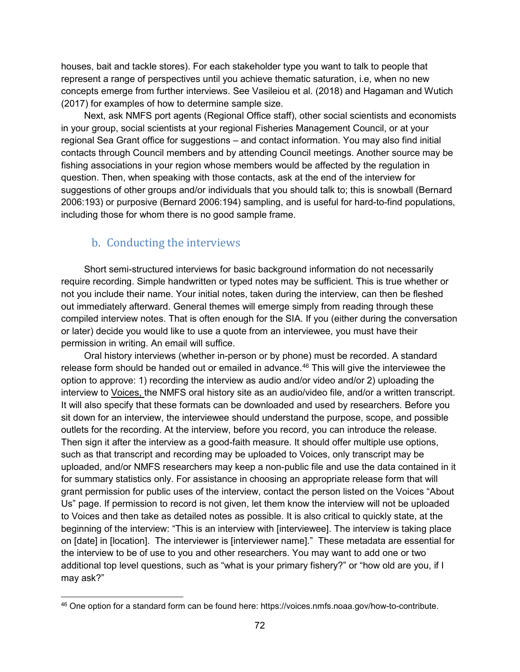houses, bait and tackle stores). For each stakeholder type you want to talk to people that represent a range of perspectives until you achieve thematic saturation, i.e, when no new concepts emerge from further interviews. See Vasileiou et al. (2018) and Hagaman and Wutich (2017) for examples of how to determine sample size.

Next, ask NMFS port agents (Regional Office staff), other social scientists and economists in your group, social scientists at your regional Fisheries Management Council, or at your regional Sea Grant office for suggestions – and contact information. You may also find initial contacts through Council members and by attending Council meetings. Another source may be fishing associations in your region whose members would be affected by the regulation in question. Then, when speaking with those contacts, ask at the end of the interview for suggestions of other groups and/or individuals that you should talk to; this is snowball (Bernard 2006:193) or purposive (Bernard 2006:194) sampling, and is useful for hard-to-find populations, including those for whom there is no good sample frame.

#### b. Conducting the interviews

Short semi-structured interviews for basic background information do not necessarily require recording. Simple handwritten or typed notes may be sufficient. This is true whether or not you include their name. Your initial notes, taken during the interview, can then be fleshed out immediately afterward. General themes will emerge simply from reading through these compiled interview notes. That is often enough for the SIA. If you (either during the conversation or later) decide you would like to use a quote from an interviewee, you must have their permission in writing. An email will suffice.

Oral history interviews (whether in-person or by phone) must be recorded. A standard release form should be handed out or emailed in advance. [46](#page-81-0) This will give the interviewee the option to approve: 1) recording the interview as audio and/or video and/or 2) uploading the interview to [Voices,](https://www.voices.nmfs.noaa.gov/) the NMFS oral history site as an audio/video file, and/or a written transcript. It will also specify that these formats can be downloaded and used by researchers. Before you sit down for an interview, the interviewee should understand the purpose, scope, and possible outlets for the recording. At the interview, before you record, you can introduce the release. Then sign it after the interview as a good-faith measure. It should offer multiple use options, such as that transcript and recording may be uploaded to Voices, only transcript may be uploaded, and/or NMFS researchers may keep a non-public file and use the data contained in it for summary statistics only. For assistance in choosing an appropriate release form that will grant permission for public uses of the interview, contact the person listed on the Voices "About Us" page. If permission to record is not given, let them know the interview will not be uploaded to Voices and then take as detailed notes as possible. It is also critical to quickly state, at the beginning of the interview: "This is an interview with [interviewee]. The interview is taking place on [date] in [location]. The interviewer is [interviewer name]." These metadata are essential for the interview to be of use to you and other researchers. You may want to add one or two additional top level questions, such as "what is your primary fishery?" or "how old are you, if I may ask?"

<span id="page-81-0"></span> <sup>46</sup> One option for a standard form can be found here: https://voices.nmfs.noaa.gov/how-to-contribute.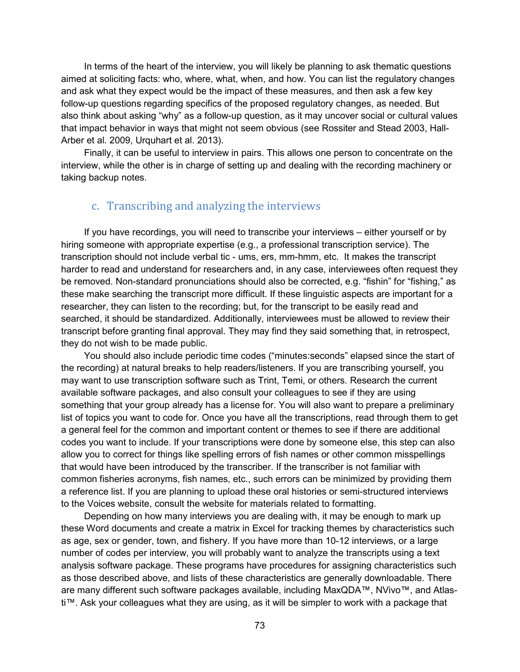In terms of the heart of the interview, you will likely be planning to ask thematic questions aimed at soliciting facts: who, where, what, when, and how. You can list the regulatory changes and ask what they expect would be the impact of these measures, and then ask a few key follow-up questions regarding specifics of the proposed regulatory changes, as needed. But also think about asking "why" as a follow-up question, as it may uncover social or cultural values that impact behavior in ways that might not seem obvious (see Rossiter and Stead 2003, Hall-Arber et al. 2009, Urquhart et al. 2013).

Finally, it can be useful to interview in pairs. This allows one person to concentrate on the interview, while the other is in charge of setting up and dealing with the recording machinery or taking backup notes.

#### c. Transcribing and analyzing the interviews

If you have recordings, you will need to transcribe your interviews – either yourself or by hiring someone with appropriate expertise (e.g., a professional transcription service). The transcription should not include verbal tic - ums, ers, mm-hmm, etc. It makes the transcript harder to read and understand for researchers and, in any case, interviewees often request they be removed. Non-standard pronunciations should also be corrected, e.g. "fishin" for "fishing," as these make searching the transcript more difficult. If these linguistic aspects are important for a researcher, they can listen to the recording; but, for the transcript to be easily read and searched, it should be standardized. Additionally, interviewees must be allowed to review their transcript before granting final approval. They may find they said something that, in retrospect, they do not wish to be made public.

You should also include periodic time codes ("minutes:seconds" elapsed since the start of the recording) at natural breaks to help readers/listeners. If you are transcribing yourself, you may want to use transcription software such as Trint, Temi, or others. Research the current available software packages, and also consult your colleagues to see if they are using something that your group already has a license for. You will also want to prepare a preliminary list of topics you want to code for. Once you have all the transcriptions, read through them to get a general feel for the common and important content or themes to see if there are additional codes you want to include. If your transcriptions were done by someone else, this step can also allow you to correct for things like spelling errors of fish names or other common misspellings that would have been introduced by the transcriber. If the transcriber is not familiar with common fisheries acronyms, fish names, etc., such errors can be minimized by providing them a reference list. If you are planning to upload these oral histories or semi-structured interviews to the Voices website, consult the website for materials related to formatting.

Depending on how many interviews you are dealing with, it may be enough to mark up these Word documents and create a matrix in Excel for tracking themes by characteristics such as age, sex or gender, town, and fishery. If you have more than 10-12 interviews, or a large number of codes per interview, you will probably want to analyze the transcripts using a text analysis software package. These programs have procedures for assigning characteristics such as those described above, and lists of these characteristics are generally downloadable. There are many different such software packages available, including MaxQDA™, NVivo™, and Atlasti™. Ask your colleagues what they are using, as it will be simpler to work with a package that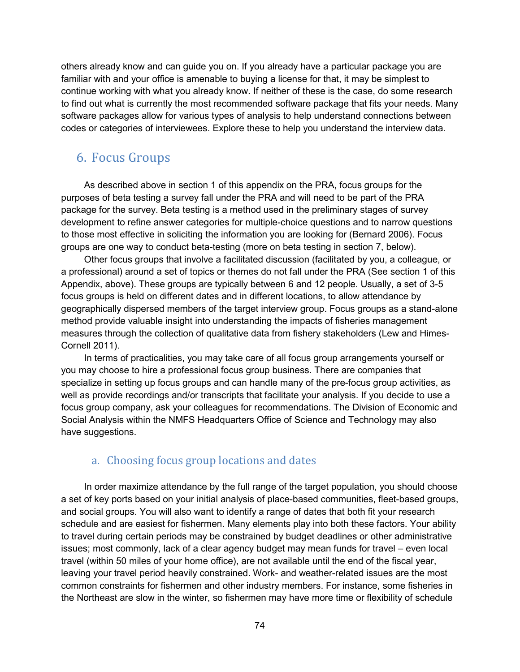others already know and can guide you on. If you already have a particular package you are familiar with and your office is amenable to buying a license for that, it may be simplest to continue working with what you already know. If neither of these is the case, do some research to find out what is currently the most recommended software package that fits your needs. Many software packages allow for various types of analysis to help understand connections between codes or categories of interviewees. Explore these to help you understand the interview data.

## 6. Focus Groups

As described above in section 1 of this appendix on the PRA, focus groups for the purposes of beta testing a survey fall under the PRA and will need to be part of the PRA package for the survey. Beta testing is a method used in the preliminary stages of survey development to refine answer categories for multiple-choice questions and to narrow questions to those most effective in soliciting the information you are looking for (Bernard 2006). Focus groups are one way to conduct beta-testing (more on beta testing in section 7, below).

Other focus groups that involve a facilitated discussion (facilitated by you, a colleague, or a professional) around a set of topics or themes do not fall under the PRA (See section 1 of this Appendix, above). These groups are typically between 6 and 12 people. Usually, a set of 3-5 focus groups is held on different dates and in different locations, to allow attendance by geographically dispersed members of the target interview group. Focus groups as a stand-alone method provide valuable insight into understanding the impacts of fisheries management measures through the collection of qualitative data from fishery stakeholders (Lew and Himes-Cornell 2011).

In terms of practicalities, you may take care of all focus group arrangements yourself or you may choose to hire a professional focus group business. There are companies that specialize in setting up focus groups and can handle many of the pre-focus group activities, as well as provide recordings and/or transcripts that facilitate your analysis. If you decide to use a focus group company, ask your colleagues for recommendations. The Division of Economic and Social Analysis within the NMFS Headquarters Office of Science and Technology may also have suggestions.

### a. Choosing focus group locations and dates

In order maximize attendance by the full range of the target population, you should choose a set of key ports based on your initial analysis of place-based communities, fleet-based groups, and social groups. You will also want to identify a range of dates that both fit your research schedule and are easiest for fishermen. Many elements play into both these factors. Your ability to travel during certain periods may be constrained by budget deadlines or other administrative issues; most commonly, lack of a clear agency budget may mean funds for travel – even local travel (within 50 miles of your home office), are not available until the end of the fiscal year, leaving your travel period heavily constrained. Work- and weather-related issues are the most common constraints for fishermen and other industry members. For instance, some fisheries in the Northeast are slow in the winter, so fishermen may have more time or flexibility of schedule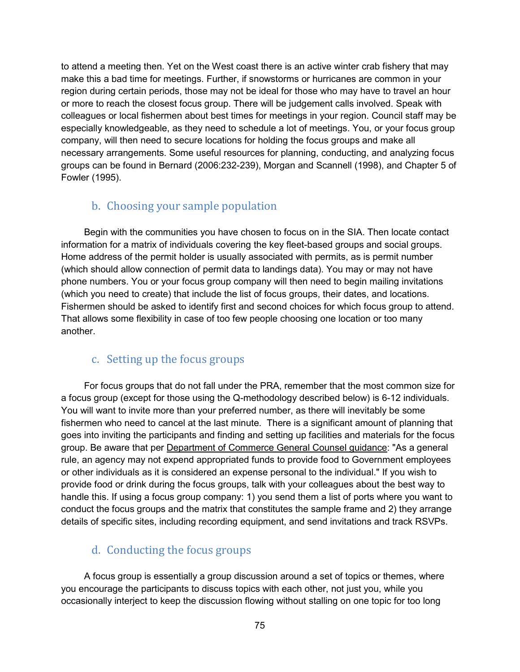to attend a meeting then. Yet on the West coast there is an active winter crab fishery that may make this a bad time for meetings. Further, if snowstorms or hurricanes are common in your region during certain periods, those may not be ideal for those who may have to travel an hour or more to reach the closest focus group. There will be judgement calls involved. Speak with colleagues or local fishermen about best times for meetings in your region. Council staff may be especially knowledgeable, as they need to schedule a lot of meetings. You, or your focus group company, will then need to secure locations for holding the focus groups and make all necessary arrangements. Some useful resources for planning, conducting, and analyzing focus groups can be found in Bernard (2006:232-239), Morgan and Scannell (1998), and Chapter 5 of Fowler (1995).

## b. Choosing your sample population

Begin with the communities you have chosen to focus on in the SIA. Then locate contact information for a matrix of individuals covering the key fleet-based groups and social groups. Home address of the permit holder is usually associated with permits, as is permit number (which should allow connection of permit data to landings data). You may or may not have phone numbers. You or your focus group company will then need to begin mailing invitations (which you need to create) that include the list of focus groups, their dates, and locations. Fishermen should be asked to identify first and second choices for which focus group to attend. That allows some flexibility in case of too few people choosing one location or too many another.

### c. Setting up the focus groups

For focus groups that do not fall under the PRA, remember that the most common size for a focus group (except for those using the Q-methodology described below) is 6-12 individuals. You will want to invite more than your preferred number, as there will inevitably be some fishermen who need to cancel at the last minute. There is a significant amount of planning that goes into inviting the participants and finding and setting up facilities and materials for the focus group. Be aware that per **Department of Commerce General Counsel guidance**: "As a general rule, an agency may not expend appropriated funds to provide food to Government employees or other individuals as it is considered an expense personal to the individual." If you wish to provide food or drink during the focus groups, talk with your colleagues about the best way to handle this. If using a focus group company: 1) you send them a list of ports where you want to conduct the focus groups and the matrix that constitutes the sample frame and 2) they arrange details of specific sites, including recording equipment, and send invitations and track RSVPs.

### d. Conducting the focus groups

A focus group is essentially a group discussion around a set of topics or themes, where you encourage the participants to discuss topics with each other, not just you, while you occasionally interject to keep the discussion flowing without stalling on one topic for too long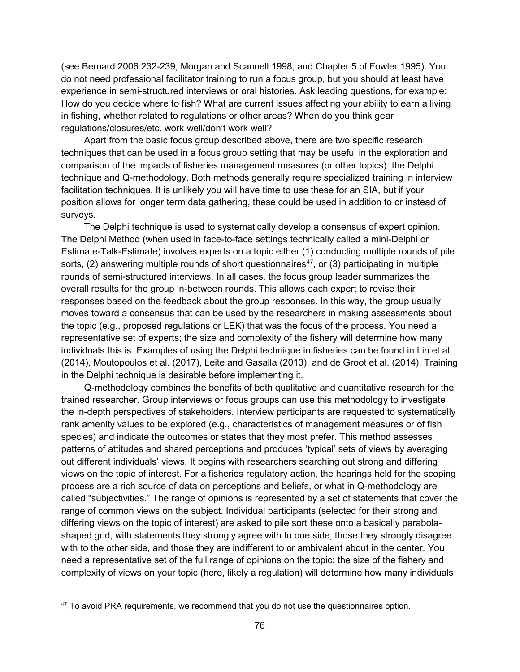(see Bernard 2006:232-239, Morgan and Scannell 1998, and Chapter 5 of Fowler 1995). You do not need professional facilitator training to run a focus group, but you should at least have experience in semi-structured interviews or oral histories. Ask leading questions, for example: How do you decide where to fish? What are current issues affecting your ability to earn a living in fishing, whether related to regulations or other areas? When do you think gear regulations/closures/etc. work well/don't work well?

Apart from the basic focus group described above, there are two specific research techniques that can be used in a focus group setting that may be useful in the exploration and comparison of the impacts of fisheries management measures (or other topics): the Delphi technique and Q-methodology. Both methods generally require specialized training in interview facilitation techniques. It is unlikely you will have time to use these for an SIA, but if your position allows for longer term data gathering, these could be used in addition to or instead of surveys.

The Delphi technique is used to systematically develop a consensus of expert opinion. The Delphi Method (when used in face-to-face settings technically called a mini-Delphi or Estimate-Talk-Estimate) involves experts on a topic either (1) conducting multiple rounds of pile sorts, (2) answering multiple rounds of short questionnaires<sup>47</sup>, or (3) participating in multiple rounds of semi-structured interviews. In all cases, the focus group leader summarizes the overall results for the group in-between rounds. This allows each expert to revise their responses based on the feedback about the group responses. In this way, the group usually moves toward a consensus that can be used by the researchers in making assessments about the topic (e.g., proposed regulations or LEK) that was the focus of the process. You need a representative set of experts; the size and complexity of the fishery will determine how many individuals this is. Examples of using the Delphi technique in fisheries can be found in Lin et al. (2014), Moutopoulos et al. (2017), Leite and Gasalla (2013), and de Groot et al. (2014). Training in the Delphi technique is desirable before implementing it.

Q-methodology combines the benefits of both qualitative and quantitative research for the trained researcher. Group interviews or focus groups can use this methodology to investigate the in-depth perspectives of stakeholders. Interview participants are requested to systematically rank amenity values to be explored (e.g., characteristics of management measures or of fish species) and indicate the outcomes or states that they most prefer. This method assesses patterns of attitudes and shared perceptions and produces 'typical' sets of views by averaging out different individuals' views. It begins with researchers searching out strong and differing views on the topic of interest. For a fisheries regulatory action, the hearings held for the scoping process are a rich source of data on perceptions and beliefs, or what in Q-methodology are called "subjectivities." The range of opinions is represented by a set of statements that cover the range of common views on the subject. Individual participants (selected for their strong and differing views on the topic of interest) are asked to pile sort these onto a basically parabolashaped grid, with statements they strongly agree with to one side, those they strongly disagree with to the other side, and those they are indifferent to or ambivalent about in the center. You need a representative set of the full range of opinions on the topic; the size of the fishery and complexity of views on your topic (here, likely a regulation) will determine how many individuals

<span id="page-85-0"></span><sup>&</sup>lt;sup>47</sup> To avoid PRA requirements, we recommend that you do not use the questionnaires option.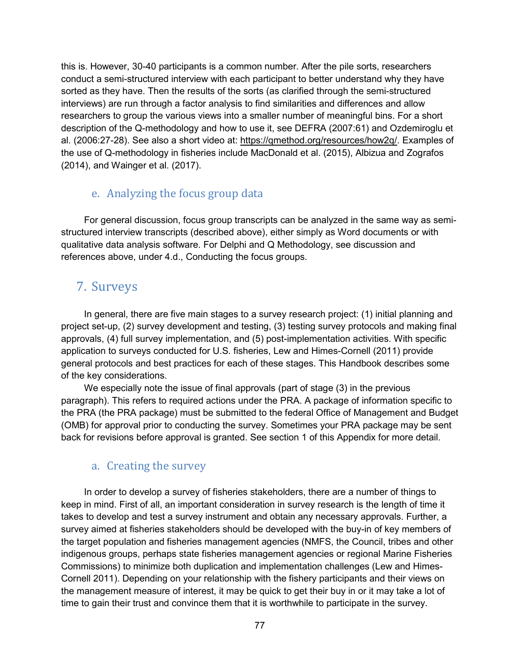this is. However, 30-40 participants is a common number. After the pile sorts, researchers conduct a semi-structured interview with each participant to better understand why they have sorted as they have. Then the results of the sorts (as clarified through the semi-structured interviews) are run through a factor analysis to find similarities and differences and allow researchers to group the various views into a smaller number of meaningful bins. For a short description of the Q-methodology and how to use it, see DEFRA (2007:61) and Ozdemiroglu et al. (2006:27-28). See also a short video at: [https://qmethod.org/resources/how2q/.](https://qmethod.org/resources/how2q/) Examples of the use of Q-methodology in fisheries include MacDonald et al. (2015), Albizua and Zografos (2014), and Wainger et al. (2017).

## e. Analyzing the focus group data

For general discussion, focus group transcripts can be analyzed in the same way as semistructured interview transcripts (described above), either simply as Word documents or with qualitative data analysis software. For Delphi and Q Methodology, see discussion and references above, under 4.d., Conducting the focus groups.

# 7. Surveys

In general, there are five main stages to a survey research project: (1) initial planning and project set-up, (2) survey development and testing, (3) testing survey protocols and making final approvals, (4) full survey implementation, and (5) post-implementation activities. With specific application to surveys conducted for U.S. fisheries, Lew and Himes-Cornell (2011) provide general protocols and best practices for each of these stages. This Handbook describes some of the key considerations.

We especially note the issue of final approvals (part of stage (3) in the previous paragraph). This refers to required actions under the PRA. A package of information specific to the PRA (the PRA package) must be submitted to the federal Office of Management and Budget (OMB) for approval prior to conducting the survey. Sometimes your PRA package may be sent back for revisions before approval is granted. See section 1 of this Appendix for more detail.

## a. Creating the survey

In order to develop a survey of fisheries stakeholders, there are a number of things to keep in mind. First of all, an important consideration in survey research is the length of time it takes to develop and test a survey instrument and obtain any necessary approvals. Further, a survey aimed at fisheries stakeholders should be developed with the buy-in of key members of the target population and fisheries management agencies (NMFS, the Council, tribes and other indigenous groups, perhaps state fisheries management agencies or regional Marine Fisheries Commissions) to minimize both duplication and implementation challenges (Lew and Himes-Cornell 2011). Depending on your relationship with the fishery participants and their views on the management measure of interest, it may be quick to get their buy in or it may take a lot of time to gain their trust and convince them that it is worthwhile to participate in the survey.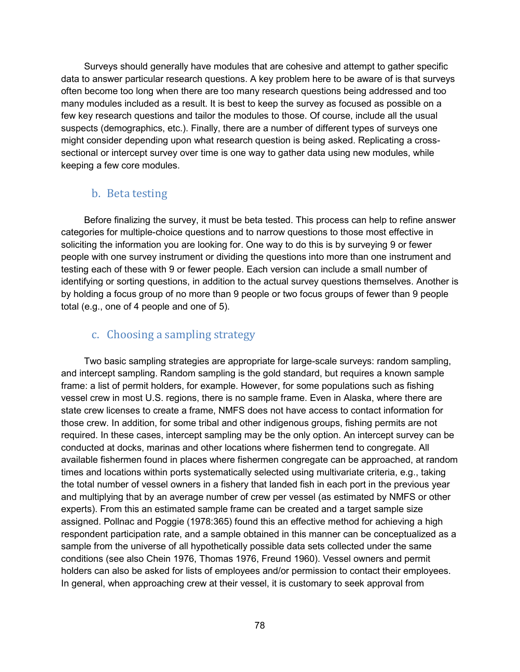Surveys should generally have modules that are cohesive and attempt to gather specific data to answer particular research questions. A key problem here to be aware of is that surveys often become too long when there are too many research questions being addressed and too many modules included as a result. It is best to keep the survey as focused as possible on a few key research questions and tailor the modules to those. Of course, include all the usual suspects (demographics, etc.). Finally, there are a number of different types of surveys one might consider depending upon what research question is being asked. Replicating a crosssectional or intercept survey over time is one way to gather data using new modules, while keeping a few core modules.

### b. Beta testing

Before finalizing the survey, it must be beta tested. This process can help to refine answer categories for multiple-choice questions and to narrow questions to those most effective in soliciting the information you are looking for. One way to do this is by surveying 9 or fewer people with one survey instrument or dividing the questions into more than one instrument and testing each of these with 9 or fewer people. Each version can include a small number of identifying or sorting questions, in addition to the actual survey questions themselves. Another is by holding a focus group of no more than 9 people or two focus groups of fewer than 9 people total (e.g., one of 4 people and one of 5).

#### c. Choosing a sampling strategy

Two basic sampling strategies are appropriate for large-scale surveys: random sampling, and intercept sampling. Random sampling is the gold standard, but requires a known sample frame: a list of permit holders, for example. However, for some populations such as fishing vessel crew in most U.S. regions, there is no sample frame. Even in Alaska, where there are state crew licenses to create a frame, NMFS does not have access to contact information for those crew. In addition, for some tribal and other indigenous groups, fishing permits are not required. In these cases, intercept sampling may be the only option. An intercept survey can be conducted at docks, marinas and other locations where fishermen tend to congregate. All available fishermen found in places where fishermen congregate can be approached, at random times and locations within ports systematically selected using multivariate criteria, e.g., taking the total number of vessel owners in a fishery that landed fish in each port in the previous year and multiplying that by an average number of crew per vessel (as estimated by NMFS or other experts). From this an estimated sample frame can be created and a target sample size assigned. Pollnac and Poggie (1978:365) found this an effective method for achieving a high respondent participation rate, and a sample obtained in this manner can be conceptualized as a sample from the universe of all hypothetically possible data sets collected under the same conditions (see also Chein 1976, Thomas 1976, Freund 1960). Vessel owners and permit holders can also be asked for lists of employees and/or permission to contact their employees. In general, when approaching crew at their vessel, it is customary to seek approval from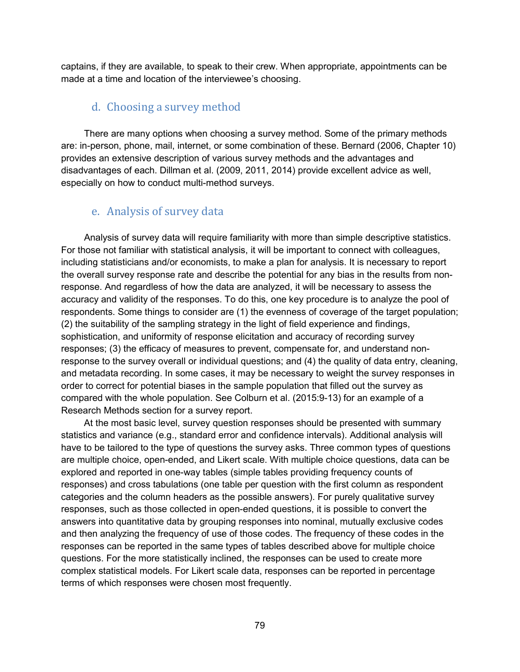captains, if they are available, to speak to their crew. When appropriate, appointments can be made at a time and location of the interviewee's choosing.

#### d. Choosing a survey method

There are many options when choosing a survey method. Some of the primary methods are: in-person, phone, mail, internet, or some combination of these. Bernard (2006, Chapter 10) provides an extensive description of various survey methods and the advantages and disadvantages of each. Dillman et al. (2009, 2011, 2014) provide excellent advice as well, especially on how to conduct multi-method surveys.

#### e. Analysis of survey data

Analysis of survey data will require familiarity with more than simple descriptive statistics. For those not familiar with statistical analysis, it will be important to connect with colleagues, including statisticians and/or economists, to make a plan for analysis. It is necessary to report the overall survey response rate and describe the potential for any bias in the results from nonresponse. And regardless of how the data are analyzed, it will be necessary to assess the accuracy and validity of the responses. To do this, one key procedure is to analyze the pool of respondents. Some things to consider are (1) the evenness of coverage of the target population; (2) the suitability of the sampling strategy in the light of field experience and findings, sophistication, and uniformity of response elicitation and accuracy of recording survey responses; (3) the efficacy of measures to prevent, compensate for, and understand nonresponse to the survey overall or individual questions; and (4) the quality of data entry, cleaning, and metadata recording. In some cases, it may be necessary to weight the survey responses in order to correct for potential biases in the sample population that filled out the survey as compared with the whole population. See Colburn et al. (2015:9-13) for an example of a Research Methods section for a survey report.

At the most basic level, survey question responses should be presented with summary statistics and variance (e.g., standard error and confidence intervals). Additional analysis will have to be tailored to the type of questions the survey asks. Three common types of questions are multiple choice, open-ended, and Likert scale. With multiple choice questions, data can be explored and reported in one-way tables (simple tables providing frequency counts of responses) and cross tabulations (one table per question with the first column as respondent categories and the column headers as the possible answers). For purely qualitative survey responses, such as those collected in open-ended questions, it is possible to convert the answers into quantitative data by grouping responses into nominal, mutually exclusive codes and then analyzing the frequency of use of those codes. The frequency of these codes in the responses can be reported in the same types of tables described above for multiple choice questions. For the more statistically inclined, the responses can be used to create more complex statistical models. For Likert scale data, responses can be reported in percentage terms of which responses were chosen most frequently.